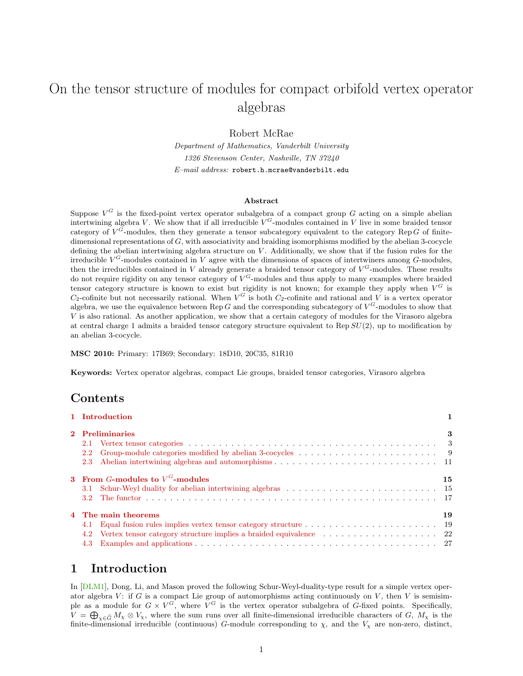# On the tensor structure of modules for compact orbifold vertex operator algebras

Robert McRae

Department of Mathematics, Vanderbilt University 1326 Stevenson Center, Nashville, TN 37240  $E$ -mail address: robert.h.mcrae@vanderbilt.edu

### Abstract

Suppose  $V^G$  is the fixed-point vertex operator subalgebra of a compact group G acting on a simple abelian intertwining algebra V. We show that if all irreducible  $V^G$ -modules contained in V live in some braided tensor category of  $V^G$ -modules, then they generate a tensor subcategory equivalent to the category Rep G of finitedimensional representations of  $G$ , with associativity and braiding isomorphisms modified by the abelian 3-cocycle defining the abelian intertwining algebra structure on  $V$ . Additionally, we show that if the fusion rules for the irreducible  $V^G$ -modules contained in V agree with the dimensions of spaces of intertwiners among  $G$ -modules, then the irreducibles contained in V already generate a braided tensor category of  $V^G$ -modules. These results do not require rigidity on any tensor category of  $V^G$ -modules and thus apply to many examples where braided tensor category structure is known to exist but rigidity is not known; for example they apply when  $V^G$  is  $C_2$ -cofinite but not necessarily rational. When  $V^G$  is both  $C_2$ -cofinite and rational and V is a vertex operator algebra, we use the equivalence between Rep G and the corresponding subcategory of  $V^G$ -modules to show that V is also rational. As another application, we show that a certain category of modules for the Virasoro algebra at central charge 1 admits a braided tensor category structure equivalent to Rep  $SU(2)$ , up to modification by an abelian 3-cocycle.

MSC 2010: Primary: 17B69; Secondary: 18D10, 20C35, 81R10

Keywords: Vertex operator algebras, compact Lie groups, braided tensor categories, Virasoro algebra

## Contents

| 1 Introduction                     |    |
|------------------------------------|----|
| 2 Preliminaries                    | 3  |
|                                    |    |
| 2.2                                |    |
|                                    |    |
| 3 From G-modules to $V^G$ -modules | 15 |
| 3.1                                |    |
|                                    |    |
| 4 The main theorems                | 19 |
| 4.1                                |    |
|                                    |    |
| 4.3                                |    |
|                                    |    |

## <span id="page-0-0"></span>1 Introduction

In [\[DLM1\]](#page-30-0), Dong, Li, and Mason proved the following Schur-Weyl-duality-type result for a simple vertex operator algebra  $V$ : if G is a compact Lie group of automorphisms acting continuously on  $V$ , then  $V$  is semisimple as a module for  $G \times V^G$ , where  $V^G$  is the vertex operator subalgebra of G-fixed points. Specifically,  $V = \bigoplus_{\chi \in \widehat{G}} M_{\chi} \otimes V_{\chi}$ , where the sum runs over all finite-dimensional irreducible characters of G,  $M_{\chi}$  is the finite-dimensional irreducible (continuous) G-module corresponding to  $\chi$ , and the  $V_{\chi}$  are non-zero, distinct,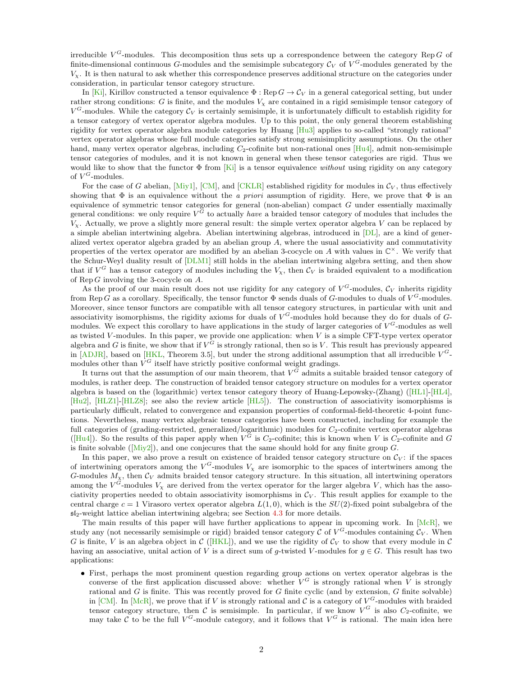irreducible  $V^G$ -modules. This decomposition thus sets up a correspondence between the category Rep G of finite-dimensional continuous G-modules and the semisimple subcategory  $\mathcal{C}_V$  of  $V^G$ -modules generated by the  $V<sub>x</sub>$ . It is then natural to ask whether this correspondence preserves additional structure on the categories under consideration, in particular tensor category structure.

In [\[Ki\]](#page-31-0), Kirillov constructed a tensor equivalence  $\Phi : \text{Rep } G \to C_V$  in a general categorical setting, but under rather strong conditions: G is finite, and the modules  $V<sub>x</sub>$  are contained in a rigid semisimple tensor category of  $V^G$ -modules. While the category  $\mathcal{C}_V$  is certainly semisimple, it is unfortunately difficult to establish rigidity for a tensor category of vertex operator algebra modules. Up to this point, the only general theorem establishing rigidity for vertex operator algebra module categories by Huang [\[Hu3\]](#page-30-1) applies to so-called "strongly rational" vertex operator algebras whose full module categories satisfy strong semisimplicity assumptions. On the other hand, many vertex operator algebras, including  $C_2$ -cofinite but non-rational ones [\[Hu4\]](#page-30-2), admit non-semisimple tensor categories of modules, and it is not known in general when these tensor categories are rigid. Thus we would like to show that the functor  $\Phi$  from [\[Ki\]](#page-31-0) is a tensor equivalence without using rigidity on any category of  $V^G$ -modules.

For the case of G abelian, [\[Miy1\]](#page-31-1), [\[CM\]](#page-29-0), and [\[CKLR\]](#page-29-1) established rigidity for modules in  $\mathcal{C}_V$ , thus effectively showing that  $\Phi$  is an equivalence without the a priori assumption of rigidity. Here, we prove that  $\Phi$  is an equivalence of symmetric tensor categories for general (non-abelian) compact  $G$  under essentially maximally general conditions: we only require  $V^G$  to actually *have* a braided tensor category of modules that includes the  $V_x$ . Actually, we prove a slightly more general result: the simple vertex operator algebra V can be replaced by a simple abelian intertwining algebra. Abelian intertwining algebras, introduced in [\[DL\]](#page-29-2), are a kind of generalized vertex operator algebra graded by an abelian group  $A$ , where the usual associativity and commutativity properties of the vertex operator are modified by an abelian 3-cocycle on A with values in  $\mathbb{C}^{\times}$ . We verify that the Schur-Weyl duality result of [\[DLM1\]](#page-30-0) still holds in the abelian intertwining algebra setting, and then show that if  $V^G$  has a tensor category of modules including the  $V_\chi$ , then  $\mathcal{C}_V$  is braided equivalent to a modification of Rep G involving the 3-cocycle on A.

As the proof of our main result does not use rigidity for any category of  $V^G$ -modules,  $\mathcal{C}_V$  inherits rigidity from Rep G as a corollary. Specifically, the tensor functor  $\Phi$  sends duals of G-modules to duals of  $V^G$ -modules. Moreover, since tensor functors are compatible with all tensor category structures, in particular with unit and associativity isomorphisms, the rigidity axioms for duals of  $V^G$ -modules hold because they do for duals of  $G$ modules. We expect this corollary to have applications in the study of larger categories of  $V^G$ -modules as well as twisted V-modules. In this paper, we provide one application: when V is a simple CFT-type vertex operator algebra and G is finite, we show that if  $V^G$  is strongly rational, then so is V. This result has previously appeared in  $[ADJR]$ , based on  $[HKL]$ , Theorem 3.5, but under the strong additional assumption that all irreducible  $V^G$ modules other than  $V^G$  itself have strictly positive conformal weight gradings.

It turns out that the assumption of our main theorem, that  $V^G$  admits a suitable braided tensor category of modules, is rather deep. The construction of braided tensor category structure on modules for a vertex operator algebra is based on the (logarithmic) vertex tensor category theory of Huang-Lepowsky-(Zhang) ([\[HL1\]](#page-30-4)-[\[HL4\]](#page-30-5), [\[Hu2\]](#page-30-6), [\[HLZ1\]](#page-30-7)-[\[HLZ8\]](#page-31-2); see also the review article [\[HL5\]](#page-30-8)). The construction of associativity isomorphisms is particularly difficult, related to convergence and expansion properties of conformal-field-theoretic 4-point functions. Nevertheless, many vertex algebraic tensor categories have been constructed, including for example the full categories of (grading-restricted, generalized/logarithmic) modules for  $C_2$ -cofinite vertex operator algebras ([\[Hu4\]](#page-30-2)). So the results of this paper apply when  $V^G$  is  $C_2$ -cofinite; this is known when V is  $C_2$ -cofinite and G is finite solvable ( $[Miy2]$ ), and one conjecures that the same should hold for any finite group G.

In this paper, we also prove a result on existence of braided tensor category structure on  $\mathcal{C}_V$ : if the spaces of intertwining operators among the  $V^G$ -modules  $V_\chi$  are isomorphic to the spaces of intertwiners among the G-modules  $M_X$ , then  $\mathcal{C}_V$  admits braided tensor category structure. In this situation, all intertwining operators among the  $V^G$ -modules  $V_\chi$  are derived from the vertex operator for the larger algebra V, which has the associativity properties needed to obtain associativity isomorphisms in  $\mathcal{C}_V$ . This result applies for example to the central charge  $c = 1$  Virasoro vertex operator algebra  $L(1, 0)$ , which is the  $SU(2)$ -fixed point subalgebra of the  $5l_2$ -weight lattice abelian intertwining algebra; see Section [4.3](#page-26-0) for more details.

The main results of this paper will have further applications to appear in upcoming work. In [\[McR\]](#page-31-4), we study any (not necessarily semisimple or rigid) braided tensor category C of  $V^G$ -modules containing  $\mathcal{C}_V$ . When G is finite, V is an algebra object in C ([\[HKL\]](#page-30-3)), and we use the rigidity of  $\mathcal{C}_V$  to show that every module in C having an associative, unital action of V is a direct sum of g-twisted V-modules for  $g \in G$ . This result has two applications:

 First, perhaps the most prominent question regarding group actions on vertex operator algebras is the converse of the first application discussed above: whether  $V^G$  is strongly rational when V is strongly rational and  $G$  is finite. This was recently proved for  $G$  finite cyclic (and by extension,  $G$  finite solvable) in [\[CM\]](#page-29-0). In [\[McR\]](#page-31-4), we prove that if V is strongly rational and C is a category of  $V^G$ -modules with braided tensor category structure, then C is semisimple. In particular, if we know  $V^G$  is also  $C_2$ -cofinite, we may take C to be the full  $V^G$ -module category, and it follows that  $V^G$  is rational. The main idea here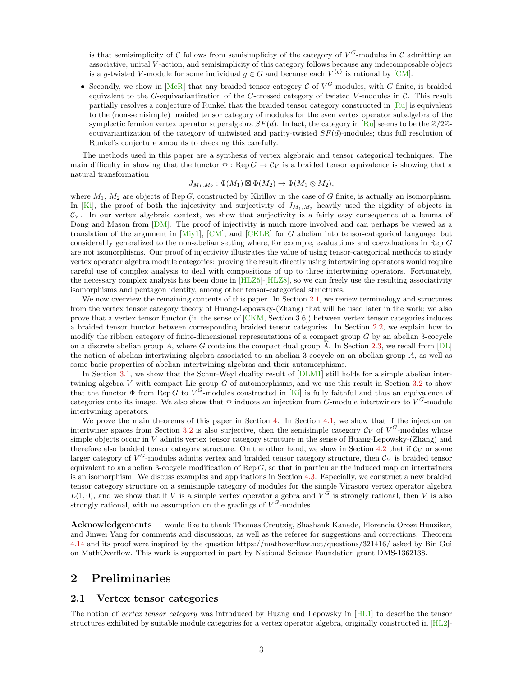is that semisimplicity of C follows from semisimplicity of the category of  $V^G$ -modules in C admitting an associative, unital V -action, and semisimplicity of this category follows because any indecomposable object is a g-twisted V-module for some individual  $g \in G$  and because each  $V^{(g)}$  is rational by [\[CM\]](#page-29-0).

• Secondly, we show in [\[McR\]](#page-31-4) that any braided tensor category  $\mathcal C$  of  $V^G$ -modules, with G finite, is braided equivalent to the G-equivariantization of the G-crossed category of twisted V-modules in  $\mathcal{C}$ . This result partially resolves a conjecture of Runkel that the braided tensor category constructed in [\[Ru\]](#page-31-5) is equivalent to the (non-semisimple) braided tensor category of modules for the even vertex operator subalgebra of the symplectic fermion vertex operator superalgebra  $SF(d)$ . In fact, the category in [\[Ru\]](#page-31-5) seems to be the  $\mathbb{Z}/2\mathbb{Z}$ equivariantization of the category of untwisted and parity-twisted  $SF(d)$ -modules; thus full resolution of Runkel's conjecture amounts to checking this carefully.

The methods used in this paper are a synthesis of vertex algebraic and tensor categorical techniques. The main difficulty in showing that the functor  $\Phi : \text{Rep } G \to C_V$  is a braided tensor equivalence is showing that a natural transformation

$$
J_{M_1,M_2} : \Phi(M_1) \boxtimes \Phi(M_2) \to \Phi(M_1 \otimes M_2),
$$

where  $M_1$ ,  $M_2$  are objects of Rep G, constructed by Kirillov in the case of G finite, is actually an isomorphism. In [\[Ki\]](#page-31-0), the proof of both the injectivity and surjectivity of  $J_{M_1,M_2}$  heavily used the rigidity of objects in  $\mathcal{C}_V$ . In our vertex algebraic context, we show that surjectivity is a fairly easy consequence of a lemma of Dong and Mason from [\[DM\]](#page-30-9). The proof of injectivity is much more involved and can perhaps be viewed as a translation of the argument in [\[Miy1\]](#page-31-1), [\[CM\]](#page-29-0), and [\[CKLR\]](#page-29-1) for G abelian into tensor-categorical language, but considerably generalized to the non-abelian setting where, for example, evaluations and coevaluations in Rep G are not isomorphisms. Our proof of injectivity illustrates the value of using tensor-categorical methods to study vertex operator algebra module categories: proving the result directly using intertwining operators would require careful use of complex analysis to deal with compositions of up to three intertwining operators. Fortunately, the necessary complex analysis has been done in [\[HLZ5\]](#page-30-10)-[\[HLZ8\]](#page-31-2), so we can freely use the resulting associativity isomorphisms and pentagon identity, among other tensor-categorical structures.

We now overview the remaining contents of this paper. In Section [2.1,](#page-2-1) we review terminology and structures from the vertex tensor category theory of Huang-Lepowsky-(Zhang) that will be used later in the work; we also prove that a vertex tensor functor (in the sense of [\[CKM,](#page-29-4) Section 3.6]) between vertex tensor categories induces a braided tensor functor between corresponding braided tensor categories. In Section [2.2,](#page-8-0) we explain how to modify the ribbon category of finite-dimensional representations of a compact group  $G$  by an abelian 3-cocycle on a discrete abelian group A, where G contains the compact dual group  $\hat{A}$ . In Section [2.3,](#page-10-0) we recall from  $\overline{[DL]}$  $\overline{[DL]}$  $\overline{[DL]}$ the notion of abelian intertwining algebra associated to an abelian 3-cocycle on an abelian group A, as well as some basic properties of abelian intertwining algebras and their automorphisms.

In Section [3.1,](#page-14-1) we show that the Schur-Weyl duality result of [\[DLM1\]](#page-30-0) still holds for a simple abelian intertwining algebra V with compact Lie group  $G$  of automorphisms, and we use this result in Section [3.2](#page-16-0) to show that the functor  $\Phi$  from Rep G to  $V^G$ -modules constructed in [\[Ki\]](#page-31-0) is fully faithful and thus an equivalence of categories onto its image. We also show that  $\Phi$  induces an injection from G-module intertwiners to  $V^G$ -module intertwining operators.

We prove the main theorems of this paper in Section [4.](#page-18-0) In Section [4.1,](#page-18-1) we show that if the injection on intertwiner spaces from Section [3.2](#page-16-0) is also surjective, then the semisimple category  $\mathcal{C}_V$  of  $V^G$ -modules whose simple objects occur in V admits vertex tensor category structure in the sense of Huang-Lepowsky-(Zhang) and therefore also braided tensor category structure. On the other hand, we show in Section [4.2](#page-21-0) that if  $\mathcal{C}_V$  or some larger category of  $V^G$ -modules admits vertex and braided tensor category structure, then  $\mathcal{C}_V$  is braided tensor equivalent to an abelian 3-cocycle modification of  $\text{Rep } G$ , so that in particular the induced map on intertwiners is an isomorphism. We discuss examples and applications in Section [4.3.](#page-26-0) Especially, we construct a new braided tensor category structure on a semisimple category of modules for the simple Virasoro vertex operator algebra  $L(1,0)$ , and we show that if V is a simple vertex operator algebra and  $V^G$  is strongly rational, then V is also strongly rational, with no assumption on the gradings of  $V^G$ -modules.

Acknowledgements I would like to thank Thomas Creutzig, Shashank Kanade, Florencia Orosz Hunziker, and Jinwei Yang for comments and discussions, as well as the referee for suggestions and corrections. Theorem [4.14](#page-28-0) and its proof were inspired by the question https://mathoverflow.net/questions/321416/ asked by Bin Gui on MathOverflow. This work is supported in part by National Science Foundation grant DMS-1362138.

## <span id="page-2-0"></span>2 Preliminaries

#### <span id="page-2-1"></span>2.1 Vertex tensor categories

The notion of vertex tensor category was introduced by Huang and Lepowsky in  $[HL1]$  to describe the tensor structures exhibited by suitable module categories for a vertex operator algebra, originally constructed in [\[HL2\]](#page-30-11)-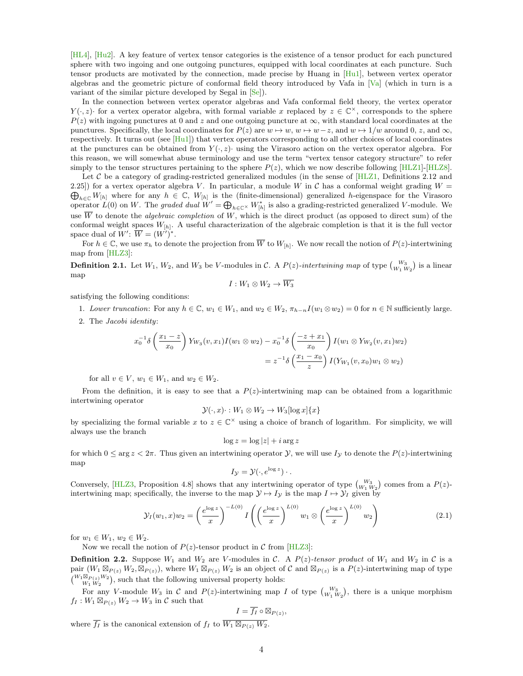[\[HL4\]](#page-30-5), [\[Hu2\]](#page-30-6). A key feature of vertex tensor categories is the existence of a tensor product for each punctured sphere with two ingoing and one outgoing punctures, equipped with local coordinates at each puncture. Such tensor products are motivated by the connection, made precise by Huang in [\[Hu1\]](#page-30-12), between vertex operator algebras and the geometric picture of conformal field theory introduced by Vafa in [\[Va\]](#page-31-6) (which in turn is a variant of the similar picture developed by Segal in [\[Se\]](#page-31-7)).

In the connection between vertex operator algebras and Vafa conformal field theory, the vertex operator  $Y(\cdot, z)$  for a vertex operator algebra, with formal variable x replaced by  $z \in \mathbb{C}^{\times}$ , corresponds to the sphere  $P(z)$  with ingoing punctures at 0 and z and one outgoing puncture at  $\infty$ , with standard local coordinates at the punctures. Specifically, the local coordinates for  $P(z)$  are  $w \mapsto w, w \mapsto w-z$ , and  $w \mapsto 1/w$  around 0, z, and  $\infty$ , respectively. It turns out (see [\[Hu1\]](#page-30-12)) that vertex operators corresponding to all other choices of local coordinates at the punctures can be obtained from  $Y(\cdot, z)$ · using the Virasoro action on the vertex operator algebra. For this reason, we will somewhat abuse terminology and use the term "vertex tensor category structure" to refer simply to the tensor structures pertaining to the sphere  $P(z)$ , which we now describe following [\[HLZ1\]](#page-30-7)-[\[HLZ8\]](#page-31-2).

Let C be a category of grading-restricted generalized modules (in the sense of  $\left[\text{HLZ1}, \text{Definitions 2.12 and}\right]$ 2.25) for a vertex operator algebra V. In particular, a module W in C has a conformal weight grading  $W =$  $\bigoplus_{h\in\mathbb{C}}W_{[h]}$  where for any  $h\in\mathbb{C}$ ,  $W_{[h]}$  is the (finite-dimensional) generalized h-eigenspace for the Virasoro operator  $L(0)$  on W. The graded dual  $W' = \bigoplus_{h \in \mathbb{C}^\times} W_{[h]}^*$  is also a grading-restricted generalized V-module. We use  $\overline{W}$  to denote the *algebraic completion* of W, which is the direct product (as opposed to direct sum) of the conformal weight spaces  $W_{[h]}$ . A useful characterization of the algebraic completion is that it is the full vector space dual of  $W'$ :  $\overline{W} = (W')^*$ .

For  $h \in \mathbb{C}$ , we use  $\pi_h$  to denote the projection from  $\overline{W}$  to  $W_{[h]}$ . We now recall the notion of  $P(z)$ -intertwining map from [\[HLZ3\]](#page-30-13):

**Definition 2.1.** Let  $W_1$ ,  $W_2$ , and  $W_3$  be V-modules in C. A  $P(z)$ -intertwining map of type  ${W_3 \choose W_1 W_2}$  is a linear map

$$
I:W_1\otimes W_2\to \overline{W_3}
$$

satisfying the following conditions:

1. Lower truncation: For any  $h \in \mathbb{C}$ ,  $w_1 \in W_1$ , and  $w_2 \in W_2$ ,  $\pi_{h-n}I(w_1 \otimes w_2) = 0$  for  $n \in \mathbb{N}$  sufficiently large.

2. The Jacobi identity:

$$
x_0^{-1}\delta\left(\frac{x_1-z}{x_0}\right)Y_{W_3}(v,x_1)I(w_1\otimes w_2)-x_0^{-1}\delta\left(\frac{-z+x_1}{x_0}\right)I(w_1\otimes Y_{W_2}(v,x_1)w_2)
$$
  
=  $z^{-1}\delta\left(\frac{x_1-x_0}{z}\right)I(Y_{W_1}(v,x_0)w_1\otimes w_2)$ 

for all  $v \in V$ ,  $w_1 \in W_1$ , and  $w_2 \in W_2$ .

From the definition, it is easy to see that a  $P(z)$ -intertwining map can be obtained from a logarithmic intertwining operator

$$
\mathcal{Y}(\cdot, x) \cdot : W_1 \otimes W_2 \to W_3[\log x] \{x\}
$$

by specializing the formal variable x to  $z \in \mathbb{C}^\times$  using a choice of branch of logarithm. For simplicity, we will always use the branch

$$
\log z = \log |z| + i \arg z
$$

for which  $0 \le \arg z < 2\pi$ . Thus given an intertwining operator  $\mathcal{Y}$ , we will use  $I_{\mathcal{Y}}$  to denote the  $P(z)$ -intertwining map

<span id="page-3-0"></span>
$$
I_{\mathcal{Y}} = \mathcal{Y}(\cdot, e^{\log z}) \cdot .
$$

Conversely, [\[HLZ3,](#page-30-13) Proposition 4.8] shows that any intertwining operator of type  $\binom{W_3}{W_1 W_2}$  comes from a  $P(z)$ intertwining map; specifically, the inverse to the map  $\mathcal{Y} \mapsto I_{\mathcal{Y}}$  is the map  $I \mapsto \mathcal{Y}_I$  given by

$$
\mathcal{Y}_I(w_1, x)w_2 = \left(\frac{e^{\log z}}{x}\right)^{-L(0)} I\left(\left(\frac{e^{\log z}}{x}\right)^{L(0)} w_1 \otimes \left(\frac{e^{\log z}}{x}\right)^{L(0)} w_2\right) \tag{2.1}
$$

for  $w_1 \in W_1$ ,  $w_2 \in W_2$ .

Now we recall the notion of  $P(z)$ -tensor product in C from [\[HLZ3\]](#page-30-13):

**Definition 2.2.** Suppose  $W_1$  and  $W_2$  are V-modules in C. A  $P(z)$ -tensor product of  $W_1$  and  $W_2$  in C is a pair  $(W_1 \boxtimes_{P(z)} W_2, \boxtimes_{P(z)})$ , where  $W_1 \boxtimes_{P(z)} W_2$  is an object of C and  $\boxtimes_{P(z)}$  is a  $P(z)$ -intertwining map of type  ${W_1 \boxtimes_{P(z)} W_2 \choose W_1 \, W_2},$  such that the following universal property holds:

For any V-module  $W_3$  in C and  $P(z)$ -intertwining map I of type  ${W_3 \choose W_1 W_2}$ , there is a unique morphism  $f_I: W_1 \boxtimes_{P(z)} W_2 \to W_3$  in C such that

$$
I = \overline{f_I} \circ \boxtimes_{P(z)},
$$

where  $\overline{f_I}$  is the canonical extension of  $f_I$  to  $\overline{W_1 \boxtimes_{P(z)} W_2}$ .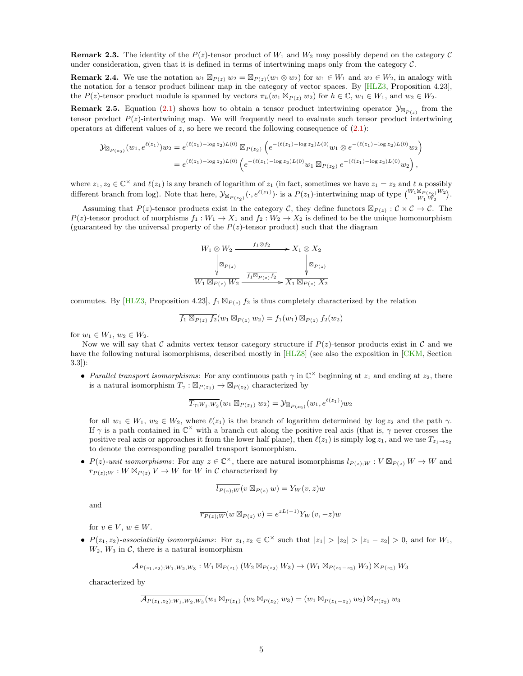<span id="page-4-0"></span>**Remark 2.3.** The identity of the  $P(z)$ -tensor product of  $W_1$  and  $W_2$  may possibly depend on the category  $C$ under consideration, given that it is defined in terms of intertwining maps only from the category  $\mathcal{C}$ .

**Remark 2.4.** We use the notation  $w_1 \boxtimes_{P(z)} w_2 = \boxtimes_{P(z)} (w_1 \otimes w_2)$  for  $w_1 \in W_1$  and  $w_2 \in W_2$ , in analogy with the notation for a tensor product bilinear map in the category of vector spaces. By [\[HLZ3,](#page-30-13) Proposition 4.23], the  $P(z)$ -tensor product module is spanned by vectors  $\pi_h(w_1 \boxtimes_{P(z)} w_2)$  for  $h \in \mathbb{C}$ ,  $w_1 \in W_1$ , and  $w_2 \in W_2$ .

**Remark 2.5.** Equation [\(2.1\)](#page-3-0) shows how to obtain a tensor product intertwining operator  $\mathcal{Y}_{\boxtimes_{P(z)}}$  from the tensor product  $P(z)$ -intertwining map. We will frequently need to evaluate such tensor product intertwining operators at different values of z, so here we record the following consequence of  $(2.1)$ :

$$
\mathcal{Y}_{\boxtimes_{P(z_2)}}(w_1, e^{\ell(z_1)})w_2 = e^{(\ell(z_1) - \log z_2)L(0)} \boxtimes_{P(z_2)} \left( e^{-(\ell(z_1) - \log z_2)L(0)} w_1 \otimes e^{-(\ell(z_1) - \log z_2)L(0)} w_2 \right)
$$
  
= 
$$
e^{(\ell(z_1) - \log z_2)L(0)} \left( e^{-(\ell(z_1) - \log z_2)L(0)} w_1 \boxtimes_{P(z_2)} e^{-(\ell(z_1) - \log z_2)L(0)} w_2 \right),
$$

where  $z_1, z_2 \in \mathbb{C}^\times$  and  $\ell(z_1)$  is any branch of logarithm of  $z_1$  (in fact, sometimes we have  $z_1 = z_2$  and  $\ell$  a possibly different branch from log). Note that here,  $y_{\boxtimes_{P(z_2)}}(\cdot, e^{\ell(z_1)})$  is a  $P(z_1)$ -intertwining map of type  $\binom{W_1\boxtimes_{P(z_2)} W_2}{W_1\,W_2}$ .

Assuming that  $P(z)$ -tensor products exist in the category C, they define functors  $\mathbb{Z}_{P(z)} : C \times C \to C$ . The  $P(z)$ -tensor product of morphisms  $f_1 : W_1 \to X_1$  and  $f_2 : W_2 \to X_2$  is defined to be the unique homomorphism (guaranteed by the universal property of the  $P(z)$ -tensor product) such that the diagram

$$
W_1 \otimes W_2 \xrightarrow{f_1 \otimes f_2} X_1 \otimes X_2
$$
  
\n
$$
\downarrow \boxtimes_{P(z)} \qquad \qquad \downarrow \boxtimes_{P(z)} \qquad \downarrow \boxtimes_{P(z)} \qquad \downarrow
$$
  
\n
$$
\overline{W_1 \boxtimes_{P(z)} W_2} \xrightarrow{f_1 \boxtimes_{P(z)} f_2} \overline{X_1 \boxtimes_{P(z)} X_2}
$$

commutes. By [\[HLZ3,](#page-30-13) Proposition 4.23],  $f_1 \boxtimes_{P(z)} f_2$  is thus completely characterized by the relation

$$
\overline{f_1 \boxtimes_{P(z)} f_2}(w_1 \boxtimes_{P(z)} w_2) = f_1(w_1) \boxtimes_{P(z)} f_2(w_2)
$$

for  $w_1 \in W_1$ ,  $w_2 \in W_2$ .

Now we will say that C admits vertex tensor category structure if  $P(z)$ -tensor products exist in C and we have the following natural isomorphisms, described mostly in  $[HLZ8]$  (see also the exposition in  $\overline{CKM}$ , Section 3.3]):

• Parallel transport isomorphisms: For any continuous path  $\gamma$  in  $\mathbb{C}^\times$  beginning at  $z_1$  and ending at  $z_2$ , there is a natural isomorphism  $T_{\gamma}: \boxtimes_{P(z_1)} \to \boxtimes_{P(z_2)}$  characterized by

$$
\overline{T_{\gamma;W_1,W_2}}(w_1 \boxtimes_{P(z_1)} w_2) = \mathcal{Y}_{\boxtimes_{P(z_2)}}(w_1, e^{\ell(z_1)})w_2
$$

for all  $w_1 \in W_1$ ,  $w_2 \in W_2$ , where  $\ell(z_1)$  is the branch of logarithm determined by log  $z_2$  and the path  $\gamma$ . If  $\gamma$  is a path contained in  $\mathbb{C}^{\times}$  with a branch cut along the positive real axis (that is,  $\gamma$  never crosses the positive real axis or approaches it from the lower half plane), then  $\ell(z_1)$  is simply log  $z_1$ , and we use  $T_{z_1\to z_2}$ to denote the corresponding parallel transport isomorphism.

•  $P(z)$ -unit isomorphisms: For any  $z \in \mathbb{C}^{\times}$ , there are natural isomorphisms  $l_{P(z);W}: V \boxtimes_{P(z)} W \to W$  and  $r_{P(z);W}: W \boxtimes_{P(z)} V \to W$  for W in C characterized by

$$
\overline{l_{P(z);W}}(v \boxtimes_{P(z)} w) = Y_W(v, z)w
$$

and

$$
\overline{r_{P(z);W}}(w \boxtimes_{P(z)} v) = e^{zL(-1)} Y_W(v, -z)w
$$

for  $v \in V$ ,  $w \in W$ .

•  $P(z_1, z_2)$ -associativity isomorphisms: For  $z_1, z_2 \in \mathbb{C}^\times$  such that  $|z_1| > |z_2| > |z_1 - z_2| > 0$ , and for  $W_1$ ,  $W_2$ ,  $W_3$  in C, there is a natural isomorphism

$$
\mathcal{A}_{P(z_1,z_2);W_1,W_2,W_3}:W_1\boxtimes_{P(z_1)}(W_2\boxtimes_{P(z_2)} W_3)\to (W_1\boxtimes_{P(z_1-z_2)} W_2)\boxtimes_{P(z_2)} W_3
$$

characterized by

$$
\overline{\mathcal{A}_{P(z_1, z_2);W_1, W_2, W_3}}(w_1 \boxtimes_{P(z_1)} (w_2 \boxtimes_{P(z_2)} w_3) = (w_1 \boxtimes_{P(z_1 - z_2)} w_2) \boxtimes_{P(z_2)} w_3
$$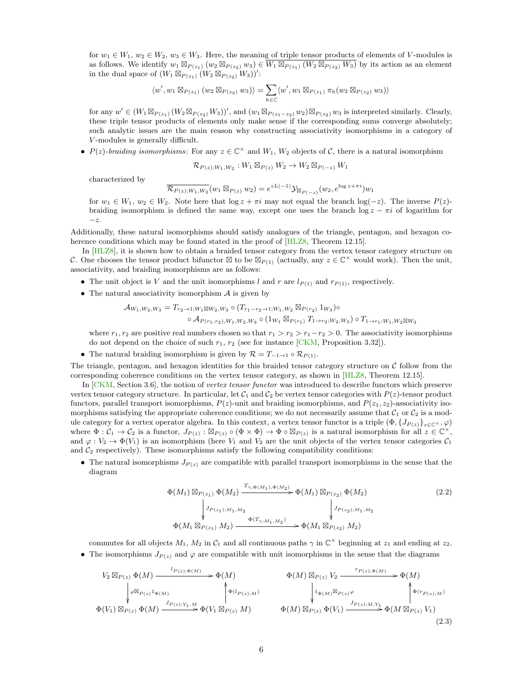for  $w_1 \in W_1$ ,  $w_2 \in W_2$ ,  $w_3 \in W_3$ . Here, the meaning of triple tensor products of elements of V-modules is as follows. We identify  $w_1 \boxtimes_{P(z_1)} (w_2 \boxtimes_{P(z_2)} w_3) \in \overline{W_1 \boxtimes_{P(z_1)} (W_2 \boxtimes_{P(z_2)} W_3)}$  by its action as an element in the dual space of  $(W_1 \boxtimes_{P(z_1)} W_2 \boxtimes_{P(z_2)} W_3))'$ :

$$
\langle w', w_1 \boxtimes_{P(z_1)} (w_2 \boxtimes_{P(z_2)} w_3) \rangle = \sum_{h \in \mathbb{C}} \langle w', w_1 \boxtimes_{P(z_1)} \pi_h(w_2 \boxtimes_{P(z_2)} w_3) \rangle
$$

for any  $w' \in (W_1 \boxtimes_{P(z_1)} (W_2 \boxtimes_{P(z_2)} W_3))'$ , and  $(w_1 \boxtimes_{P(z_1-z_2)} w_2) \boxtimes_{P(z_2)} w_3$  is interpreted similarly. Clearly, these triple tensor products of elements only make sense if the corresponding sums converge absolutely; such analytic issues are the main reason why constructing associativity isomorphisms in a category of V -modules is generally difficult.

•  $P(z)$ -braiding isomorphisms: For any  $z \in \mathbb{C}^\times$  and  $W_1$ ,  $W_2$  objects of C, there is a natural isomorphism

$$
\mathcal{R}_{P(z);W_1,W_2}: W_1 \boxtimes_{P(z)} W_2 \to W_2 \boxtimes_{P(-z)} W_1
$$

characterized by

$$
\overline{\mathcal{R}_{P(z);W_1,W_2}}(w_1 \boxtimes_{P(z)} w_2) = e^{zL(-1)} \mathcal{Y}_{\boxtimes_{P(-z)}}(w_2, e^{\log z + \pi i}) w_1
$$

for  $w_1 \in W_1$ ,  $w_2 \in W_2$ . Note here that  $\log z + \pi i$  may not equal the branch  $\log(-z)$ . The inverse  $P(z)$ braiding isomorphism is defined the same way, except one uses the branch  $\log z - \pi i$  of logarithm for  $-z$ .

Additionally, these natural isomorphisms should satisfy analogues of the triangle, pentagon, and hexagon coherence conditions which may be found stated in the proof of  $[HLZ8,$  Theorem 12.15].

In [\[HLZ8\]](#page-31-2), it is shown how to obtain a braided tensor category from the vertex tensor category structure on C. One chooses the tensor product bifunctor  $\boxtimes$  to be  $\boxtimes_{P(1)}$  (actually, any  $z \in \mathbb{C}^\times$  would work). Then the unit, associativity, and braiding isomorphisms are as follows:

- The unit object is V and the unit isomorphisms l and r are  $l_{P(1)}$  and  $r_{P(1)}$ , respectively.
- The natural associativity isomorphism  $A$  is given by

$$
\mathcal{A}_{W_1,W_2,W_3} = T_{r_2 \to 1; W_1 \boxtimes W_2, W_3} \circ (T_{r_1 - r_2 \to 1; W_1, W_2} \boxtimes_{P(r_2)} 1_{W_3}) \circ \circ \mathcal{A}_{P(r_1,r_2), W_1, W_2, W_3} \circ (1_{W_1} \boxtimes_{P(r_1)} T_{1 \to r_2; W_2, W_3}) \circ T_{1 \to r_1; W_1, W_2 \boxtimes W_3}
$$

where  $r_1, r_2$  are positive real numbers chosen so that  $r_1 > r_2 > r_1-r_2 > 0$ . The associativity isomorphisms do not depend on the choice of such  $r_1$ ,  $r_2$  (see for instance [\[CKM,](#page-29-4) Proposition 3.32]).

• The natural braiding isomorphism is given by  $\mathcal{R} = T_{-1\rightarrow 1} \circ \mathcal{R}_{P(1)}$ .

The triangle, pentagon, and hexagon identities for this braided tensor category structure on  $C$  follow from the corresponding coherence conditions on the vertex tensor category, as shown in [\[HLZ8,](#page-31-2) Theorem 12.15].

In [\[CKM,](#page-29-4) Section 3.6], the notion of vertex tensor functor was introduced to describe functors which preserve vertex tensor category structure. In particular, let  $C_1$  and  $C_2$  be vertex tensor categories with  $P(z)$ -tensor product functors, parallel transport isomorphisms,  $P(z)$ -unit and braiding isomorphisms, and  $P(z_1, z_2)$ -associativity isomorphisms satisfying the appropriate coherence conditions; we do not necessarily assume that  $C_1$  or  $C_2$  is a module category for a vertex operator algebra. In this context, a vertex tensor functor is a triple  $(\Phi, \{J_{P(z)}\}_{z\in\mathbb{C}^{\times}}, \varphi)$ where  $\Phi: \mathcal{C}_1 \to \mathcal{C}_2$  is a functor,  $J_{P(z)} : \mathbb{Z}_{P(z)} \circ (\Phi \times \Phi) \to \Phi \circ \mathbb{Z}_{P(z)}$  is a natural isomorphism for all  $z \in \mathbb{C}^{\times}$ , and  $\varphi: V_2 \to \Phi(V_1)$  is an isomorphism (here  $V_1$  and  $V_2$  are the unit objects of the vertex tensor categories  $C_1$ and  $C_2$  respectively). These isomorphisms satisfy the following compatibility conditions:

• The natural isomorphisms  $J_{P(z)}$  are compatible with parallel transport isomorphisms in the sense that the diagram

<span id="page-5-1"></span><span id="page-5-0"></span>
$$
\Phi(M_1) \boxtimes_{P(z_1)} \Phi(M_2) \xrightarrow{T_{\gamma; \Phi(M_1), \Phi(M_2)} \Phi(M_1) \boxtimes_{P(z_2)} \Phi(M_2)}
$$
\n
$$
\downarrow J_{P(z_1); M_1, M_2} \qquad \qquad J_{P(z_2); M_1, M_2}
$$
\n
$$
\Phi(M_1 \boxtimes_{P(z_1)} M_2) \xrightarrow{\Phi(T_{\gamma; M_1, M_2})} \Phi(M_1 \boxtimes_{P(z_2)} M_2)
$$
\n(2.2)

commutes for all objects  $M_1$ ,  $M_2$  in  $\mathcal{C}_1$  and all continuous paths  $\gamma$  in  $\mathbb{C}^\times$  beginning at  $z_1$  and ending at  $z_2$ .

• The isomorphisms  $J_{P(z)}$  and  $\varphi$  are compatible with unit isomorphisms in the sense that the diagrams

$$
V_2 \boxtimes_{P(z)} \Phi(M) \xrightarrow{l_{P(z);\Phi(M)}} \Phi(M) \xrightarrow{\Phi_{P(z);\Phi(M)}} \Phi(M) \boxtimes_{P(z)} V_2 \xrightarrow{r_{P(z);\Phi(M)}} \Phi(M) \boxtimes_{P(z)\Phi(M)} \Phi(r_{P(z);\mu})
$$
\n
$$
\Phi(V_1) \boxtimes_{P(z)} \Phi(M) \xrightarrow{J_{P(z);\nmid V_1,M}} \Phi(V_1 \boxtimes_{P(z)} M) \xrightarrow{\Phi(M) \boxtimes_{P(z)} \Phi(V_1)} \Phi(M) \boxtimes_{P(z)\Phi(V_1)} \Phi(M) \boxtimes_{P(z)\Phi(V_1)} \Phi(M) \boxtimes_{P(z)\Phi(V_1)} (2.3)
$$
\n
$$
(2.3)
$$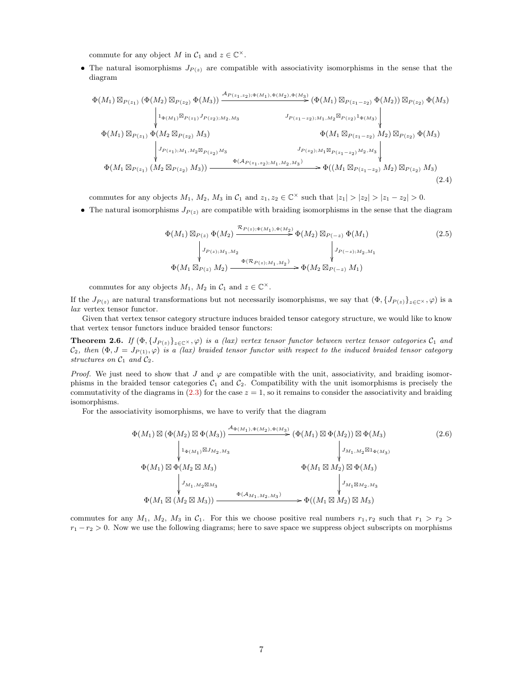commute for any object M in  $C_1$  and  $z \in \mathbb{C}^{\times}$ .

• The natural isomorphisms  $J_{P(z)}$  are compatible with associativity isomorphisms in the sense that the diagram

$$
\Phi(M_{1}) \boxtimes_{P(z_{1})} (\Phi(M_{2}) \boxtimes_{P(z_{2})} \Phi(M_{3})) \xrightarrow{A_{P(z_{1},z_{2});\Phi(M_{1}),\Phi(M_{2}),\Phi(M_{3})}} (\Phi(M_{1}) \boxtimes_{P(z_{1}-z_{2})} \Phi(M_{2})) \boxtimes_{P(z_{2})} \Phi(M_{3})
$$
\n
$$
\phi(M_{1}) \boxtimes_{P(z_{1})} \Phi(M_{2} \boxtimes_{P(z_{2})} M_{3}) \xrightarrow{J_{P(z_{1}-z_{2});M_{1},M_{2}} \boxtimes_{P(z_{2})} 1_{\Phi(M_{3})}} \Phi(M_{1}) \boxtimes_{P(z_{1})} \Phi(M_{2} \boxtimes_{P(z_{2})} M_{3})
$$
\n
$$
\Phi(M_{1} \boxtimes_{P(z_{1})} M_{1}, M_{2} \boxtimes_{P(z_{2})} M_{3}) \xrightarrow{J_{P(z_{2});M_{1}} \boxtimes_{P(z_{1}-z_{2})} M_{2}, M_{3}} \Phi(M_{1} \boxtimes_{P(z_{1})} (M_{2} \boxtimes_{P(z_{2})} M_{3})) \xrightarrow{\Phi(A_{P(z_{1},z_{2});M_{1},M_{2},M_{3})} \Phi((M_{1} \boxtimes_{P(z_{1}-z_{2})} M_{2}) \boxtimes_{P(z_{2})} M_{3})} (2.4)
$$

commutes for any objects  $M_1$ ,  $M_2$ ,  $M_3$  in  $\mathcal{C}_1$  and  $z_1, z_2 \in \mathbb{C}^\times$  such that  $|z_1| > |z_2| > |z_1 - z_2| > 0$ .

• The natural isomorphisms  $J_{P(z)}$  are compatible with braiding isomorphisms in the sense that the diagram

<span id="page-6-2"></span><span id="page-6-1"></span>
$$
\Phi(M_1) \boxtimes_{P(z)} \Phi(M_2) \xrightarrow{\mathcal{R}_{P(z);\Phi(M_1),\Phi(M_2)}} \Phi(M_2) \boxtimes_{P(-z)} \Phi(M_1)
$$
\n
$$
\downarrow J_{P(z);M_1,M_2} \qquad \qquad J_{P(-z);M_2,M_1} \qquad \qquad J_{P(-z);M_2,M_1}
$$
\n
$$
\Phi(M_1 \boxtimes_{P(z)} M_2) \xrightarrow{\Phi(\mathcal{R}_{P(z);M_1,M_2})} \Phi(M_2 \boxtimes_{P(-z)} M_1)
$$
\n(2.5)

commutes for any objects  $M_1$ ,  $M_2$  in  $C_1$  and  $z \in \mathbb{C}^{\times}$ .

If the  $J_{P(z)}$  are natural transformations but not necessarily isomorphisms, we say that  $(\Phi, \{J_{P(z)}\}_{z\in\mathbb{C}^{\times}}, \varphi)$  is a lax vertex tensor functor.

Given that vertex tensor category structure induces braided tensor category structure, we would like to know that vertex tensor functors induce braided tensor functors:

<span id="page-6-3"></span>**Theorem 2.6.** If  $(\Phi, \{J_{P(z)}\}_{z\in\mathbb{C}} \times, \varphi)$  is a (lax) vertex tensor functor between vertex tensor categories  $C_1$  and  $C_2$ , then  $(\Phi, J = J_{P(1)}, \varphi)$  is a (lax) braided tensor functor with respect to the induced braided tensor category structures on  $C_1$  and  $C_2$ .

*Proof.* We just need to show that J and  $\varphi$  are compatible with the unit, associativity, and braiding isomorphisms in the braided tensor categories  $C_1$  and  $C_2$ . Compatibility with the unit isomorphisms is precisely the commutativity of the diagrams in  $(2.3)$  for the case  $z = 1$ , so it remains to consider the associativity and braiding isomorphisms.

For the associativity isomorphisms, we have to verify that the diagram

<span id="page-6-0"></span>
$$
\Phi(M_1) \boxtimes (\Phi(M_2) \boxtimes \Phi(M_3)) \xrightarrow{\mathcal{A}_{\Phi(M_1), \Phi(M_2), \Phi(M_3)}} (\Phi(M_1) \boxtimes \Phi(M_2)) \boxtimes \Phi(M_3)
$$
\n
$$
\phi(M_1) \boxtimes \Phi(M_2 \boxtimes M_3) \qquad \qquad \downarrow J_{M_1, M_2 \boxtimes 1_{\Phi(M_3)}}
$$
\n
$$
\Phi(M_1) \boxtimes \Phi(M_2 \boxtimes M_3) \qquad \qquad \Phi(M_1 \boxtimes M_2) \boxtimes \Phi(M_3)
$$
\n
$$
\phi(M_1 \boxtimes M_2 \boxtimes M_3) \qquad \qquad \downarrow J_{M_1 \boxtimes M_2, M_3}
$$
\n
$$
\Phi(M_1 \boxtimes (M_2 \boxtimes M_3)) \xrightarrow{\Phi(\mathcal{A}_{M_1, M_2, M_3})} \Phi((M_1 \boxtimes M_2) \boxtimes M_3)
$$
\n(2.6)

commutes for any  $M_1$ ,  $M_2$ ,  $M_3$  in  $C_1$ . For this we choose positive real numbers  $r_1, r_2$  such that  $r_1 > r_2$  $r_1 - r_2 > 0$ . Now we use the following diagrams; here to save space we suppress object subscripts on morphisms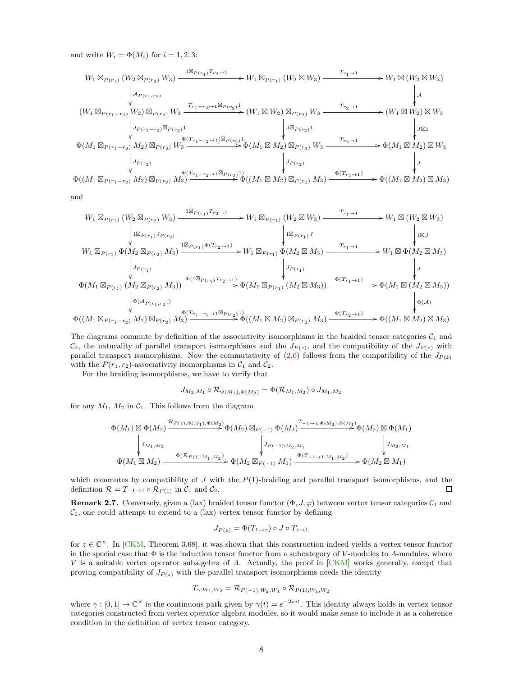and write  $W_i = \Phi(M_i)$  for  $i = 1, 2, 3$ :

$$
W_{1} \boxtimes_{P(r_{1})} (W_{2} \boxtimes_{P(r_{2})} W_{3}) \xrightarrow{\text{1} \boxtimes_{P(r_{1})} T_{r_{2} \to 1}} W_{1} \boxtimes_{P(r_{1})} (W_{2} \boxtimes W_{3}) \xrightarrow{T_{r_{1} \to 1}} W_{1} \boxtimes (W_{2} \boxtimes W_{3})
$$
\n
$$
\downarrow^{A_{P(r_{1},r_{2})}} W_{2} \boxtimes_{P(r_{2})} W_{3} \xrightarrow{T_{r_{1} \to 2} \to 1} (W_{1} \boxtimes W_{2}) \boxtimes_{P(r_{2})} W_{3} \xrightarrow{T_{r_{2} \to 1}} (W_{1} \boxtimes W_{2}) \boxtimes_{P(r_{2})} W_{3} \xrightarrow{T_{r_{2} \to 1}} (W_{1} \boxtimes W_{2}) \boxtimes W_{3}
$$
\n
$$
\downarrow^{J_{P(r_{1} \to r_{2})} W_{2}} W_{3} \qquad \downarrow^{J_{P(r_{1} \to r_{2})} \boxtimes_{P(r_{2})} 1} W_{3} \xrightarrow{\text{1} \oplus (T_{r_{1} \to r_{2} \to 1}) \boxtimes_{P(r_{2})} 1} W_{4} \qquad \downarrow^{J_{P(r_{2})} W_{3}}
$$
\n
$$
\downarrow^{J_{P(r_{1} \to r_{2})} M_{2}} W_{3} \boxtimes_{P(r_{2})} W_{3} \xrightarrow{\text{1} \oplus (T_{r_{1} \to r_{2} \to 1}) \boxtimes_{P(r_{2})} 1} \oplus (M_{1} \boxtimes M_{2}) \boxtimes_{P(r_{2})} W_{3} \xrightarrow{T_{r_{2} \to 1}} \Phi(M_{1} \boxtimes M_{2}) \boxtimes W_{3}
$$
\n
$$
\downarrow^{J_{P(r_{2})}} W_{3} \qquad \downarrow^{J_{P(r_{2})}} W_{3} \qquad \downarrow^{J_{P(r_{2})}} W_{3} \qquad \downarrow^{J_{P(r_{2})}} W_{3} \qquad \downarrow^{J_{P(r_{2})}} W_{3}
$$
\n
$$
\Phi((M_{1} \boxtimes_{P(r_{1} \to r_{2})} M_{2}) \boxtimes_{P(r_{2})} M_{3}) \xrightarrow{\text{1} \oplus (T_{r_{1} \to r_{2} \to 1} \boxtimes_{P(r_{2})
$$

and

$$
W_{1} \boxtimes_{P(r_{1})} (W_{2} \boxtimes_{P(r_{2})} W_{3}) \xrightarrow{\Pi \boxtimes_{P(r_{1})} T_{r_{2} \to 1}} W_{1} \boxtimes_{P(r_{1})} (W_{2} \boxtimes W_{3}) \xrightarrow{\tau_{r_{1} \to 1}} W_{1} \boxtimes (W_{2} \boxtimes W_{3})
$$
\n
$$
\downarrow \qquad W_{1} \boxtimes_{P(r_{1})} \Phi(W_{2} \boxtimes_{P(r_{2})} M_{3}) \xrightarrow{\Pi \boxtimes_{P(r_{1})} \Phi(T_{r_{2} \to 1})} W_{1} \boxtimes_{P(r_{1})} \Phi(W_{2} \boxtimes M_{3}) \xrightarrow{\tau_{r_{1} \to 1}} W_{1} \boxtimes_{P(r_{1})} \Phi(W_{2} \boxtimes M_{3})
$$
\n
$$
\downarrow \qquad W_{1} \boxtimes_{P(r_{1})} \Phi(M_{2} \boxtimes_{P(r_{2})} M_{3}) \xrightarrow{\Pi \boxtimes_{P(r_{1})} \Phi(T_{r_{2} \to 1})} W_{1} \boxtimes_{P(r_{1})} \Phi(M_{2} \boxtimes M_{3}) \xrightarrow{\tau_{r_{1} \to 1}} W_{1} \boxtimes_{P(M_{2} \boxtimes M_{3})} W_{1} \boxtimes_{P(r_{1})} W_{1} \boxtimes_{P(r_{1})} W_{1} \boxtimes_{P(r_{1})} W_{1} \boxtimes_{P(r_{1})} W_{1} \boxtimes_{P(r_{1})} W_{1} \boxtimes_{P(r_{1})} W_{1} \boxtimes_{P(r_{1} \to 1)} W_{1} \boxtimes_{P(r_{1} \to 1)} W_{1} \boxtimes_{P(r_{1} \to 1)} W_{1} \boxtimes_{P(r_{1} \to 1)} W_{1} \boxtimes_{P(r_{1} \to 1)} W_{1} \boxtimes_{P(r_{1} \to 1)} W_{1} \boxtimes_{P(r_{1} \to 1)} W_{1} \boxtimes_{P(r_{1} \to 1)} W_{1} \boxtimes_{P(r_{1} \to 1)} W_{1} \boxtimes_{P(r_{1} \to 1)} W_{1} \boxtimes_{P(r_{1} \to 1)} W_{1} \boxtimes_{P(r_{1} \to 1)} W_{1} \boxtimes_{P(r_{1} \to 1)} W_{1} \boxtimes_{P(r_{1} \to 1)} W_{1} \boxtimes_{P(r_{1} \to
$$

The diagrams commute by definition of the associativity isomorphisms in the braided tensor categories  $C_1$  and  $C_2$ , the naturality of parallel transport isomorphisms and the  $J_{P(z)}$ , and the compatibility of the  $J_{P(z)}$  with parallel transport isomorphisms. Now the commutativity of [\(2.6\)](#page-6-0) follows from the compatibility of the  $J_{P(z)}$ with the  $P(r_1, r_2)$ -associativity isomorphisms in  $\mathcal{C}_1$  and  $\mathcal{C}_2$ .

For the braiding isomorphisms, we have to verify that

$$
J_{M_2,M_1} \circ {\mathcal R}_{\Phi(M_1),\Phi(M_2)} = \Phi({\mathcal R}_{M_1,M_2}) \circ J_{M_1,M_2}
$$

for any  $M_1$ ,  $M_2$  in  $C_1$ . This follows from the diagram

$$
\Phi(M_1) \boxtimes \Phi(M_2) \xrightarrow{\mathcal{R}_{P(1);\Phi(M_1),\Phi(M_2))}} \Phi(M_2) \boxtimes_{P(-1)} \Phi(M_2) \xrightarrow{T_{-1 \to 1;\Phi(M_2),\Phi(M_1))}} \Phi(M_2) \boxtimes \Phi(M_1)
$$
\n
$$
\downarrow J_{M_1,M_2} \qquad \qquad \downarrow J_{P(-1);M_2,M_1} \qquad \qquad \downarrow J_{M_2,M_1} \qquad \qquad \downarrow J_{M_2,M_1}
$$
\n
$$
\Phi(M_1 \boxtimes M_2) \xrightarrow{\Phi(\mathcal{R}_{P(1);M_1,M_2})} \Phi(M_2 \boxtimes_{P(-1)} M_1) \xrightarrow{\Phi(T_{-1 \to 1;M_1,M_2})} \Phi(M_2 \boxtimes M_1)
$$

which commutes by compatibility of  $J$  with the  $P(1)$ -braiding and parallel transport isomorphisms, and the definition  $\mathcal{R} = T_{-1 \to 1} \circ \mathcal{R}_{P(1)}$  in  $\mathcal{C}_1$  and  $\mathcal{C}_2$ .  $\Box$ 

**Remark 2.7.** Conversely, given a (lax) braided tensor functor  $(\Phi, J, \varphi)$  between vertex tensor categories  $C_1$  and  $\mathcal{C}_2$ , one could attempt to extend to a (lax) vertex tensor functor by defining

$$
J_{P(z)} = \Phi(T_{1 \to z}) \circ J \circ T_{z \to 1}
$$

for  $z \in \mathbb{C}^{\times}$ . In [\[CKM,](#page-29-4) Theorem 3.68], it was shown that this construction indeed yields a vertex tensor functor in the special case that  $\Phi$  is the induction tensor functor from a subcategory of V-modules to A-modules, where V is a suitable vertex operator subalgebra of A. Actually, the proof in [\[CKM\]](#page-29-4) works generally, except that proving compatibility of  $J_{P(z)}$  with the parallel transport isomorphisms needs the identity

$$
T_{\gamma,W_1,W_2} = \mathcal{R}_{P(-1);W_2,W_1} \circ \mathcal{R}_{P(1);W_1,W_2}
$$

where  $\gamma : [0,1] \to \mathbb{C}^\times$  is the continuous path given by  $\gamma(t) = e^{-2\pi i t}$ . This identity always holds in vertex tensor categories constructed from vertex operator algebra modules, so it would make sense to include it as a coherence condition in the definition of vertex tensor category.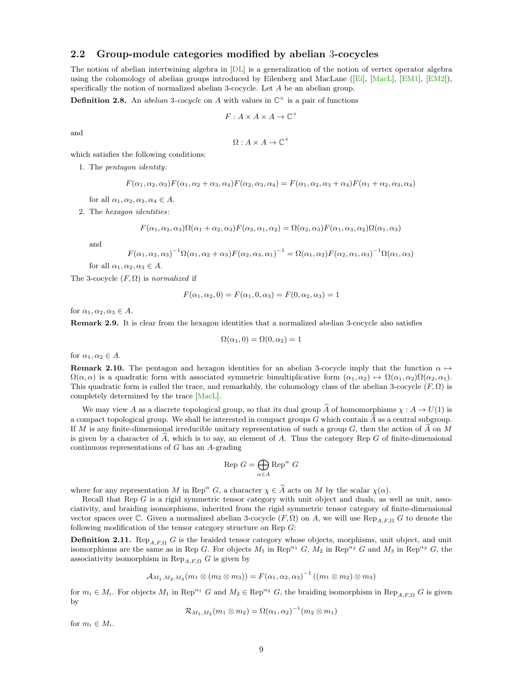### <span id="page-8-0"></span>2.2 Group-module categories modified by abelian 3-cocycles

The notion of abelian intertwining algebra in [\[DL\]](#page-29-2) is a generalization of the notion of vertex operator algebra using the cohomology of abelian groups introduced by Eilenberg and MacLane ([\[Ei\]](#page-30-14), [\[MacL\]](#page-31-8), [\[EM1\]](#page-30-15), [\[EM2\]](#page-30-16)), specifically the notion of normalized abelian 3-cocycle. Let A be an abelian group.

**Definition 2.8.** An *abelian* 3-cocycle on A with values in  $\mathbb{C}^{\times}$  is a pair of functions

$$
F: A \times A \times A \rightarrow \mathbb{C}^\times
$$

and

$$
\Omega: A \times A \rightarrow \mathbb{C}^\times
$$

which satisfies the following conditions:

1. The pentagon identity:

$$
F(\alpha_1, \alpha_2, \alpha_3) F(\alpha_1, \alpha_2 + \alpha_3, \alpha_4) F(\alpha_2, \alpha_3, \alpha_4) = F(\alpha_1, \alpha_2, \alpha_3 + \alpha_4) F(\alpha_1 + \alpha_2, \alpha_3, \alpha_4)
$$

for all  $\alpha_1, \alpha_2, \alpha_3, \alpha_4 \in A$ .

2. The hexagon identities:

$$
F(\alpha_1, \alpha_2, \alpha_3)\Omega(\alpha_1 + \alpha_2, \alpha_3)F(\alpha_3, \alpha_1, \alpha_2) = \Omega(\alpha_2, \alpha_3)F(\alpha_1, \alpha_3, \alpha_2)\Omega(\alpha_1, \alpha_3)
$$

and

$$
F(\alpha_1, \alpha_2, \alpha_3)^{-1} \Omega(\alpha_1, \alpha_2 + \alpha_3) F(\alpha_2, \alpha_3, \alpha_1)^{-1} = \Omega(\alpha_1, \alpha_2) F(\alpha_2, \alpha_1, \alpha_3)^{-1} \Omega(\alpha_1, \alpha_3)
$$

for all  $\alpha_1, \alpha_2, \alpha_3 \in A$ .

The 3-cocycle  $(F, \Omega)$  is normalized if

$$
F(\alpha_1, \alpha_2, 0) = F(\alpha_1, 0, \alpha_3) = F(0, \alpha_2, \alpha_3) = 1
$$

for  $\alpha_1, \alpha_2, \alpha_3 \in A$ .

<span id="page-8-2"></span>Remark 2.9. It is clear from the hexagon identities that a normalized abelian 3-cocycle also satisfies

$$
\Omega(\alpha_1, 0) = \Omega(0, \alpha_2) = 1
$$

for  $\alpha_1, \alpha_2 \in A$ .

<span id="page-8-1"></span>**Remark 2.10.** The pentagon and hexagon identities for an abelian 3-cocycle imply that the function  $\alpha \mapsto$  $\Omega(\alpha,\alpha)$  is a quadratic form with associated symmetric bimultiplicative form  $(\alpha_1,\alpha_2) \mapsto \Omega(\alpha_1,\alpha_2)\Omega(\alpha_2,\alpha_1)$ . This quadratic form is called the trace, and remarkably, the cohomology class of the abelian 3-cocycle  $(F, \Omega)$  is completely determined by the trace [\[MacL\]](#page-31-8).

We may view A as a discrete topological group, so that its dual group  $\widehat{A}$  of homomorphisms  $\chi : A \to U(1)$  is a compact topological group. We shall be interested in compact groups G which contain  $\hat{A}$  as a central subgroup. If M is any finite-dimensional irreducible unitary representation of such a group  $G$ , then the action of  $\overline{A}$  on  $\overline{M}$ is given by a character of  $\hat{A}$ , which is to say, an element of  $A$ . Thus the category Rep G of finite-dimensional continuous representations of G has an A-grading

$$
\text{Rep } G = \bigoplus_{\alpha \in A} \text{Rep}^{\alpha} \ G
$$

where for any representation M in Rep<sup> $\alpha$ </sup> G, a character  $\chi \in \widehat{A}$  acts on M by the scalar  $\chi(\alpha)$ .

Recall that Rep  $G$  is a rigid symmetric tensor category with unit object and duals, as well as unit, associativity, and braiding isomorphisms, inherited from the rigid symmetric tensor category of finite-dimensional vector spaces over C. Given a normalized abelian 3-cocycle  $(F, \Omega)$  on A, we will use  $\text{Rep}_{A,F,\Omega} G$  to denote the following modification of the tensor category structure on Rep G:

**Definition 2.11.** Rep<sub>A,F,Q</sub> G is the braided tensor category whose objects, morphisms, unit object, and unit isomorphisms are the same as in Rep G. For objects  $M_1$  in Rep<sup> $\alpha_1$ </sup> G,  $M_2$  in Rep<sup> $\alpha_2$ </sup> G and  $M_3$  in Rep<sup> $\alpha_3$ </sup> G, the associativity isomorphism in  $\text{Rep}_{A,F,\Omega} G$  is given by

$$
A_{M_1,M_2,M_3}(m_1 \otimes (m_2 \otimes m_3)) = F(\alpha_1,\alpha_2,\alpha_3)^{-1} ((m_1 \otimes m_2) \otimes m_3)
$$

for  $m_i \in M_i$ . For objects  $M_1$  in Rep<sup> $\alpha_1$ </sup> G and  $M_2 \in \text{Rep}^{\alpha_2}$  G, the braiding isomorphism in Rep<sub>AFQ</sub> G is given by

$$
\mathcal{R}_{M_1,M_2}(m_1\otimes m_2)=\Omega(\alpha_1,\alpha_2)^{-1}(m_2\otimes m_1)
$$

for  $m_i \in M_i$ .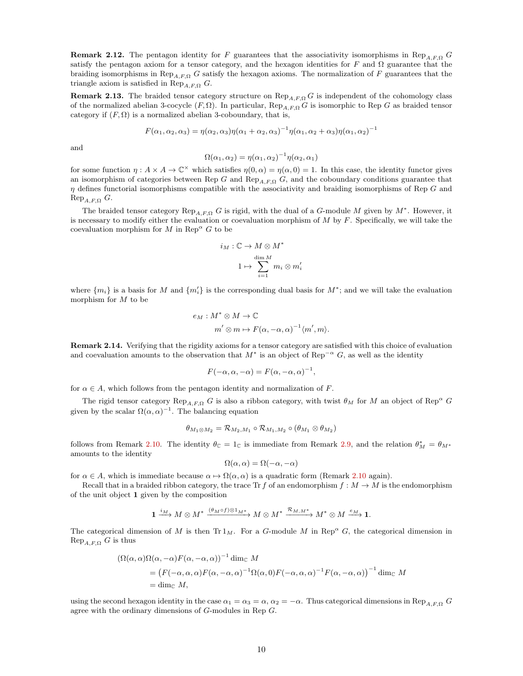**Remark 2.12.** The pentagon identity for F guarantees that the associativity isomorphisms in Rep<sub>A,F,Q</sub> G satisfy the pentagon axiom for a tensor category, and the hexagon identities for F and  $\Omega$  guarantee that the braiding isomorphisms in Rep<sub>A,F,Ω</sub> G satisfy the hexagon axioms. The normalization of F guarantees that the triangle axiom is satisfied in  $\text{Rep}_{A,F,\Omega} G$ .

**Remark 2.13.** The braided tensor category structure on  $\text{Rep}_{A,F,\Omega} G$  is independent of the cohomology class of the normalized abelian 3-cocycle  $(F, \Omega)$ . In particular,  $\text{Rep}_{A,F,\Omega} G$  is isomorphic to Rep G as braided tensor category if  $(F, \Omega)$  is a normalized abelian 3-coboundary, that is,

$$
F(\alpha_1, \alpha_2, \alpha_3) = \eta(\alpha_2, \alpha_3)\eta(\alpha_1 + \alpha_2, \alpha_3)^{-1}\eta(\alpha_1, \alpha_2 + \alpha_3)\eta(\alpha_1, \alpha_2)^{-1}
$$

and

$$
\Omega(\alpha_1, \alpha_2) = \eta(\alpha_1, \alpha_2)^{-1} \eta(\alpha_2, \alpha_1)
$$

for some function  $\eta: A \times A \to \mathbb{C}^{\times}$  which satisfies  $\eta(0, \alpha) = \eta(\alpha, 0) = 1$ . In this case, the identity functor gives an isomorphism of categories between Rep G and Rep<sub>AFQ</sub> G, and the coboundary conditions guarantee that  $\eta$  defines functorial isomorphisms compatible with the associativity and braiding isomorphisms of Rep G and  $\text{Rep}_{A,F,\Omega} G.$ 

The braided tensor category  $\text{Rep}_{A,F,\Omega} G$  is rigid, with the dual of a G-module M given by  $M^*$ . However, it is necessary to modify either the evaluation or coevaluation morphism of  $M$  by  $F$ . Specifically, we will take the coevaluation morphism for M in Rep<sup> $\alpha$ </sup> G to be

$$
i_M: \mathbb{C} \to M \otimes M^*
$$

$$
1 \mapsto \sum_{i=1}^{\dim M} m_i \otimes m
$$

 $\frac{i}{i}$ 

where  $\{m_i\}$  is a basis for M and  $\{m'_i\}$  is the corresponding dual basis for  $M^*$ ; and we will take the evaluation morphism for M to be

$$
e_M: M^* \otimes M \to \mathbb{C}
$$
  

$$
m' \otimes m \mapsto F(\alpha, -\alpha, \alpha)^{-1} \langle m', m \rangle.
$$

Remark 2.14. Verifying that the rigidity axioms for a tensor category are satisfied with this choice of evaluation and coevaluation amounts to the observation that  $M^*$  is an object of Rep<sup>-α</sup> G, as well as the identity

$$
F(-\alpha, \alpha, -\alpha) = F(\alpha, -\alpha, \alpha)^{-1},
$$

for  $\alpha \in A$ , which follows from the pentagon identity and normalization of F.

The rigid tensor category Rep<sub>A,F,Ω</sub> G is also a ribbon category, with twist  $\theta_M$  for M an object of Rep<sup>α</sup> G given by the scalar  $\Omega(\alpha, \alpha)^{-1}$ . The balancing equation

$$
\theta_{M_1 \otimes M_2} = \mathcal{R}_{M_2, M_1} \circ \mathcal{R}_{M_1, M_2} \circ (\theta_{M_1} \otimes \theta_{M_2})
$$

follows from Remark [2.10.](#page-8-1) The identity  $\theta_{\mathbb{C}} = 1_{\mathbb{C}}$  is immediate from Remark [2.9,](#page-8-2) and the relation  $\theta_{M}^* = \theta_{M^*}$ amounts to the identity

$$
\Omega(\alpha, \alpha) = \Omega(-\alpha, -\alpha)
$$

for  $\alpha \in A$ , which is immediate because  $\alpha \mapsto \Omega(\alpha, \alpha)$  is a quadratic form (Remark [2.10](#page-8-1) again).

Recall that in a braided ribbon category, the trace Tr f of an endomorphism  $f : M \to M$  is the endomorphism of the unit object 1 given by the composition

$$
1 \xrightarrow{i_M} M \otimes M^* \xrightarrow{(\theta_M \circ f) \otimes 1_{M^*}} M \otimes M^* \xrightarrow{\mathcal{R}_{M,M^*}} M^* \otimes M \xrightarrow{e_M} 1.
$$

The categorical dimension of M is then  $Tr 1_M$ . For a G-module M in Rep<sup> $\alpha$ </sup> G, the categorical dimension in  $\text{Rep}_{A,F,\Omega} G$  is thus

$$
(\Omega(\alpha,\alpha)\Omega(\alpha,-\alpha)F(\alpha,-\alpha,\alpha))^{-1} \dim_{\mathbb{C}} M
$$
  
=  $(F(-\alpha,\alpha,\alpha)F(\alpha,-\alpha,\alpha)^{-1}\Omega(\alpha,0)F(-\alpha,\alpha,\alpha)^{-1}F(\alpha,-\alpha,\alpha))^{-1} \dim_{\mathbb{C}} M$   
=  $\dim_{\mathbb{C}} M$ ,

using the second hexagon identity in the case  $\alpha_1 = \alpha_3 = \alpha$ ,  $\alpha_2 = -\alpha$ . Thus categorical dimensions in Rep<sub>A,F,Q</sub> G agree with the ordinary dimensions of G-modules in Rep G.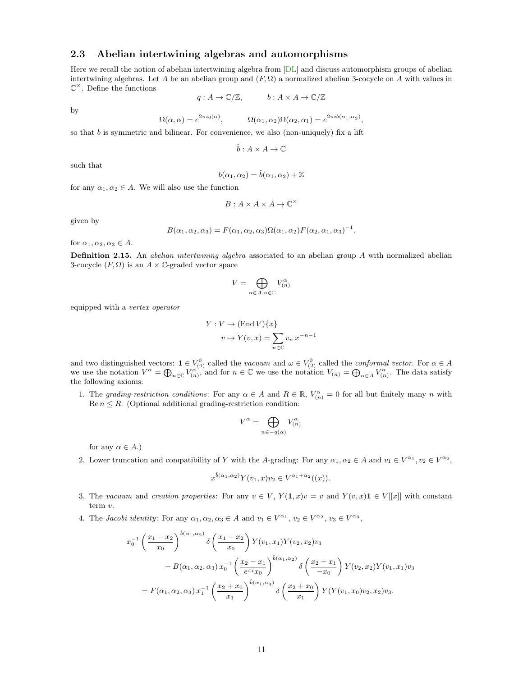### <span id="page-10-0"></span>2.3 Abelian intertwining algebras and automorphisms

Here we recall the notion of abelian intertwining algebra from [\[DL\]](#page-29-2) and discuss automorphism groups of abelian intertwining algebras. Let A be an abelian group and  $(F, \Omega)$  a normalized abelian 3-cocycle on A with values in  $\mathbb{C}^{\times}$ . Define the functions

$$
q: A \to \mathbb{C}/\mathbb{Z}, \qquad b: A \times A \to \mathbb{C}/\mathbb{Z}
$$

by

$$
\Omega(\alpha,\alpha) = e^{2\pi i q(\alpha)}, \qquad \Omega(\alpha_1,\alpha_2)\Omega(\alpha_2,\alpha_1) = e^{2\pi i b(\alpha_1,\alpha_2)},
$$

so that  $b$  is symmetric and bilinear. For convenience, we also (non-uniquely) fix a lift

$$
\hat{b}: A \times A \rightarrow \mathbb{C}
$$

such that

$$
b(\alpha_1, \alpha_2) = \hat{b}(\alpha_1, \alpha_2) + \mathbb{Z}
$$

for any  $\alpha_1, \alpha_2 \in A$ . We will also use the function

$$
B:A\times A\times A\to\mathbb{C}^\times
$$

given by

$$
B(\alpha_1, \alpha_2, \alpha_3) = F(\alpha_1, \alpha_2, \alpha_3) \Omega(\alpha_1, \alpha_2) F(\alpha_2, \alpha_1, \alpha_3)^{-1}.
$$

for  $\alpha_1, \alpha_2, \alpha_3 \in A$ .

Definition 2.15. An *abelian intertwining algebra* associated to an abelian group A with normalized abelian 3-cocycle  $(F, \Omega)$  is an  $A \times \mathbb{C}$ -graded vector space

$$
V = \bigoplus_{\alpha \in A, n \in \mathbb{C}} V_{(n)}^{\alpha}
$$

equipped with a vertex operator

$$
Y: V \to (\text{End } V) \{x\}
$$

$$
v \mapsto Y(v, x) = \sum_{n \in \mathbb{C}} v_n x^{-n-1}
$$

and two distinguished vectors:  $\mathbf{1} \in V^0_{(0)}$  called the vacuum and  $\omega \in V^0_{(2)}$  called the conformal vector. For  $\alpha \in A$ we use the notation  $V^{\alpha} = \bigoplus_{n \in \mathbb{C}} V^{\alpha^{(n)}}_{(n)}$  and for  $n \in \mathbb{C}$  we use the notation  $V_{(n)} = \bigoplus_{\alpha \in A} V^{\alpha}_{(n)}$ . The data satisfy the following axioms:

1. The grading-restriction conditions: For any  $\alpha \in A$  and  $R \in \mathbb{R}$ ,  $V_{(n)}^{\alpha} = 0$  for all but finitely many n with  $\text{Re } n \leq R$ . (Optional additional grading-restriction condition:

$$
V^{\alpha} = \bigoplus_{n \in -q(\alpha)} V_{(n)}^{\alpha}
$$

for any  $\alpha \in A$ .)

2. Lower truncation and compatibility of Y with the A-grading: For any  $\alpha_1, \alpha_2 \in A$  and  $v_1 \in V^{\alpha_1}, v_2 \in V^{\alpha_2},$ 

$$
x^{\hat{b}(\alpha_1, \alpha_2)} Y(v_1, x)v_2 \in V^{\alpha_1 + \alpha_2}((x)).
$$

- 3. The vacuum and creation properties: For any  $v \in V$ ,  $Y(1, x)v = v$  and  $Y(v, x)1 \in V[[x]]$  with constant term v.
- 4. The Jacobi identity: For any  $\alpha_1, \alpha_2, \alpha_3 \in A$  and  $v_1 \in V^{\alpha_1}$ ,  $v_2 \in V^{\alpha_2}$ ,  $v_3 \in V^{\alpha_3}$ ,

$$
x_0^{-1} \left(\frac{x_1 - x_2}{x_0}\right)^{\hat{b}(\alpha_1, \alpha_2)} \delta\left(\frac{x_1 - x_2}{x_0}\right) Y(v_1, x_1) Y(v_2, x_2) v_3
$$
  
-  $B(\alpha_1, \alpha_2, \alpha_3) x_0^{-1} \left(\frac{x_2 - x_1}{e^{\pi i} x_0}\right)^{\hat{b}(\alpha_1, \alpha_2)} \delta\left(\frac{x_2 - x_1}{-x_0}\right) Y(v_2, x_2) Y(v_1, x_1) v_3$   
=  $F(\alpha_1, \alpha_2, \alpha_3) x_1^{-1} \left(\frac{x_2 + x_0}{x_1}\right)^{\hat{b}(\alpha_1, \alpha_3)} \delta\left(\frac{x_2 + x_0}{x_1}\right) Y(Y(v_1, x_0) v_2, x_2) v_3.$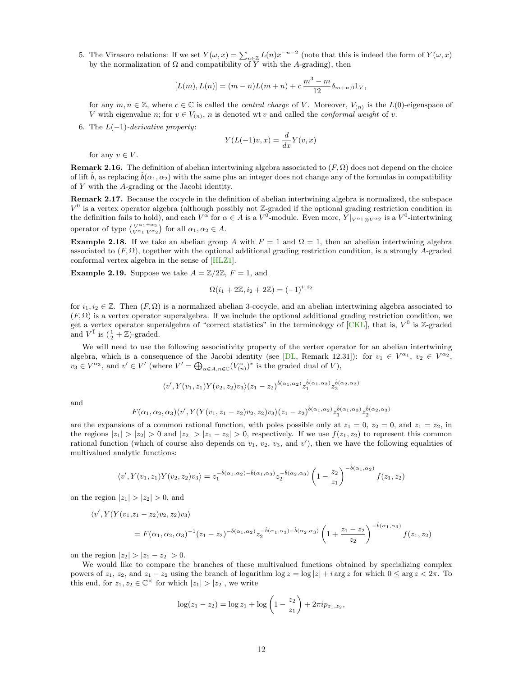5. The Virasoro relations: If we set  $Y(\omega, x) = \sum_{n \in \mathbb{Z}} L(n) x^{-n-2}$  (note that this is indeed the form of  $Y(\omega, x)$ ) by the normalization of  $\Omega$  and compatibility of Y with the A-grading), then

$$
[L(m), L(n)] = (m - n)L(m + n) + c\frac{m^3 - m}{12}\delta_{m+n,0}1_V,
$$

for any  $m, n \in \mathbb{Z}$ , where  $c \in \mathbb{C}$  is called the *central charge* of V. Moreover,  $V_{(n)}$  is the  $L(0)$ -eigenspace of V with eigenvalue n; for  $v \in V_{(n)}$ , n is denoted wt v and called the *conformal weight* of v.

6. The  $L(-1)$ -derivative property:

$$
Y(L(-1)v, x) = \frac{d}{dx}Y(v, x)
$$

for any  $v \in V$ .

**Remark 2.16.** The definition of abelian intertwining algebra associated to  $(F, \Omega)$  does not depend on the choice of lift  $\hat{b}$ , as replacing  $\hat{b}(\alpha_1, \alpha_2)$  with the same plus an integer does not change any of the formulas in compatibility of Y with the A-grading or the Jacobi identity.

Remark 2.17. Because the cocycle in the definition of abelian intertwining algebra is normalized, the subspace  $V^0$  is a vertex operator algebra (although possibly not Z-graded if the optional grading restriction condition in the definition fails to hold), and each  $V^{\alpha}$  for  $\alpha \in A$  is a  $V^0$ -module. Even more,  $Y|_{V^{\alpha_1} \otimes V^{\alpha_2}}$  is a  $V^0$ -intertwining operator of type  $\begin{pmatrix} V^{\alpha_1+\alpha_2} \\ V^{\alpha_1} V^{\alpha_2} \end{pmatrix}$  for all  $\alpha_1, \alpha_2 \in A$ .

Example 2.18. If we take an abelian group A with  $F = 1$  and  $\Omega = 1$ , then an abelian intertwining algebra associated to  $(F, \Omega)$ , together with the optional additional grading restriction condition, is a strongly A-graded conformal vertex algebra in the sense of [\[HLZ1\]](#page-30-7).

<span id="page-11-0"></span>**Example 2.19.** Suppose we take  $A = \mathbb{Z}/2\mathbb{Z}$ ,  $F = 1$ , and

$$
\Omega(i_1 + 2\mathbb{Z}, i_2 + 2\mathbb{Z}) = (-1)^{i_1 i_2}
$$

for  $i_1, i_2 \in \mathbb{Z}$ . Then  $(F, \Omega)$  is a normalized abelian 3-cocycle, and an abelian intertwining algebra associated to  $(F, \Omega)$  is a vertex operator superalgebra. If we include the optional additional grading restriction condition, we get a vertex operator superalgebra of "correct statistics" in the terminology of  $\overline{CKL}$ , that is,  $V^{\bar{0}}$  is Z-graded and  $V^{\bar{1}}$  is  $(\frac{1}{2} + \mathbb{Z})$ -graded.

We will need to use the following associativity property of the vertex operator for an abelian intertwining algebra, which is a consequence of the Jacobi identity (see [\[DL,](#page-29-2) Remark 12.31]): for  $v_1 \in V^{\alpha_1}$ ,  $v_2 \in V^{\alpha_2}$ ,  $v_3 \in V^{\alpha_3}$ , and  $v' \in V'$  (where  $V' = \bigoplus_{\alpha \in A, n \in \mathbb{C}} (V_{(n)}^{\alpha})^*$  is the graded dual of  $V$ ),

$$
\langle v', Y(v_1, z_1)Y(v_2, z_2)v_3\rangle(z_1-z_2)^{\hat{b}(\alpha_1, \alpha_2)}z_1^{\hat{b}(\alpha_1, \alpha_3)}z_2^{\hat{b}(\alpha_2, \alpha_3)}
$$

and

$$
F(\alpha_1,\alpha_2,\alpha_3)\langle v', Y(Y(v_1,z_1-z_2)v_2,z_2)v_3\rangle(z_1-z_2)^{\hat{b}(\alpha_1,\alpha_2)}z_1^{\hat{b}(\alpha_1,\alpha_3)}z_2^{\hat{b}(\alpha_2,\alpha_3)}
$$

are the expansions of a common rational function, with poles possible only at  $z_1 = 0$ ,  $z_2 = 0$ , and  $z_1 = z_2$ , in the regions  $|z_1| > |z_2| > 0$  and  $|z_2| > |z_1 - z_2| > 0$ , respectively. If we use  $f(z_1, z_2)$  to represent this common rational function (which of course also depends on  $v_1$ ,  $v_2$ ,  $v_3$ , and  $v'$ ), then we have the following equalities of multivalued analytic functions:

$$
\langle v', Y(v_1, z_1)Y(v_2, z_2)v_3 \rangle = z_1^{-\hat{b}(\alpha_1, \alpha_2) - \hat{b}(\alpha_1, \alpha_3)} z_2^{-\hat{b}(\alpha_2, \alpha_3)} \left(1 - \frac{z_2}{z_1}\right)^{-\hat{b}(\alpha_1, \alpha_2)} f(z_1, z_2)
$$

on the region  $|z_1| > |z_2| > 0$ , and

$$
\langle v', Y(Y(v_1, z_1 - z_2)v_2, z_2)v_3 \rangle
$$
  
=  $F(\alpha_1, \alpha_2, \alpha_3)^{-1}(z_1 - z_2)^{-\hat{b}(\alpha_1, \alpha_2)} z_2^{-\hat{b}(\alpha_1, \alpha_3) - \hat{b}(\alpha_2, \alpha_3)} \left(1 + \frac{z_1 - z_2}{z_2}\right)^{-\hat{b}(\alpha_1, \alpha_3)} f(z_1, z_2)$ 

on the region  $|z_2| > |z_1 - z_2| > 0$ .

We would like to compare the branches of these multivalued functions obtained by specializing complex powers of  $z_1$ ,  $z_2$ , and  $z_1 - z_2$  using the branch of logarithm log  $z = \log|z| + i \arg z$  for which  $0 \le \arg z < 2\pi$ . To this end, for  $z_1, z_2 \in \mathbb{C}^\times$  for which  $|z_1| > |z_2|$ , we write

$$
\log(z_1 - z_2) = \log z_1 + \log \left(1 - \frac{z_2}{z_1}\right) + 2\pi i p_{z_1, z_2},
$$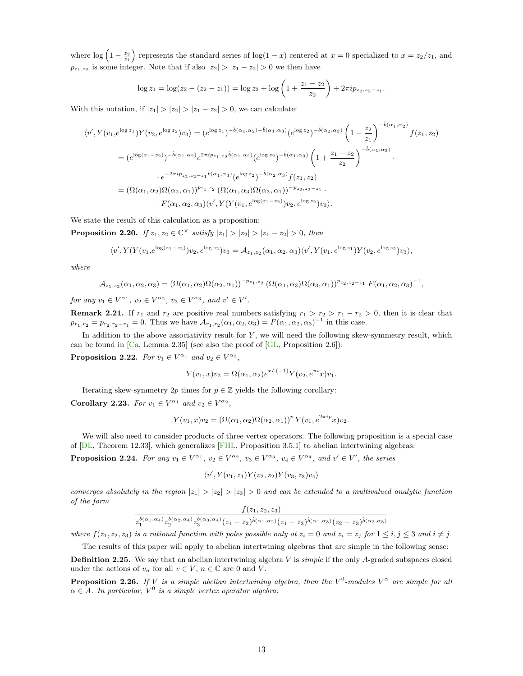where  $\log (1 - \frac{z_2}{z_1})$  represents the standard series of  $\log(1 - x)$  centered at  $x = 0$  specialized to  $x = z_2/z_1$ , and  $p_{z_1,z_2}$  is some integer. Note that if also  $|z_2| > |z_1 - z_2| > 0$  we then have

$$
\log z_1 = \log(z_2 - (z_2 - z_1)) = \log z_2 + \log \left(1 + \frac{z_1 - z_2}{z_2}\right) + 2\pi i p_{z_2, z_2 - z_1}.
$$

With this notation, if  $|z_1| > |z_2| > |z_1 - z_2| > 0$ , we can calculate:

$$
\langle v', Y(v_1, e^{\log z_1}) Y(v_2, e^{\log z_2}) v_3 \rangle = (e^{\log z_1})^{-\hat{b}(\alpha_1, \alpha_2) - \hat{b}(\alpha_1, \alpha_3)} (e^{\log z_2})^{-\hat{b}(\alpha_2, \alpha_3)} \left(1 - \frac{z_2}{z_1}\right)^{-\hat{b}(\alpha_1, \alpha_2)} f(z_1, z_2)
$$
  
\n
$$
= (e^{\log(z_1 - z_2)})^{-\hat{b}(\alpha_1, \alpha_2)} e^{2\pi i p_{z_1, z_2} \hat{b}(\alpha_1, \alpha_2)} (e^{\log z_2})^{-\hat{b}(\alpha_1, \alpha_3)} \left(1 + \frac{z_1 - z_2}{z_2}\right)^{-\hat{b}(\alpha_1, \alpha_3)}.
$$
  
\n
$$
\cdot e^{-2\pi i p_{z_2, z_2 - z_1} \hat{b}(\alpha_1, \alpha_3)} (e^{\log z_2})^{-\hat{b}(\alpha_2, \alpha_3)} f(z_1, z_2)
$$
  
\n
$$
= (\Omega(\alpha_1, \alpha_2) \Omega(\alpha_2, \alpha_1))^{p_{z_1, z_2}} (\Omega(\alpha_1, \alpha_3) \Omega(\alpha_3, \alpha_1))^{-p_{z_2, z_2 - z_1}}.
$$
  
\n
$$
\cdot F(\alpha_1, \alpha_2, \alpha_3) \langle v', Y(Y(v_1, e^{\log(z_1 - z_2)}) v_2, e^{\log z_2}) v_3 \rangle.
$$

<span id="page-12-1"></span>We state the result of this calculation as a proposition:

**Proposition 2.20.** If  $z_1, z_2 \in \mathbb{C}^\times$  satisfy  $|z_1| > |z_2| > |z_1 - z_2| > 0$ , then

$$
\langle v', Y(Y(v_1, e^{\log(z_1-z_2)})v_2, e^{\log z_2})v_3 = \mathcal{A}_{z_1, z_2}(\alpha_1, \alpha_2, \alpha_3) \langle v', Y(v_1, e^{\log z_1})Y(v_2, e^{\log z_2})v_3 \rangle,
$$

where

$$
\mathcal{A}_{z_1,z_2}(\alpha_1,\alpha_2,\alpha_3)=(\Omega(\alpha_1,\alpha_2)\Omega(\alpha_2,\alpha_1))^{-p_{z_1,z_2}}(\Omega(\alpha_1,\alpha_3)\Omega(\alpha_3,\alpha_1))^{p_{z_2,z_2-z_1}}\,F(\alpha_1,\alpha_2,\alpha_3)^{-1},
$$

for any  $v_1 \in V^{\alpha_1}$ ,  $v_2 \in V^{\alpha_2}$ ,  $v_3 \in V^{\alpha_3}$ , and  $v' \in V'$ .

<span id="page-12-2"></span>**Remark 2.21.** If  $r_1$  and  $r_2$  are positive real numbers satisfying  $r_1 > r_2 > r_1 - r_2 > 0$ , then it is clear that  $p_{r_1,r_2} = p_{r_2,r_2-r_1} = 0$ . Thus we have  $\mathcal{A}_{r_1,r_2}(\alpha_1,\alpha_2,\alpha_3) = F(\alpha_1,\alpha_2,\alpha_3)^{-1}$  in this case.

In addition to the above associativity result for  $Y$ , we will need the following skew-symmetry result, which can be found in  $[Ca, Lemma 2.35]$  $[Ca, Lemma 2.35]$  (see also the proof of  $[GL, Proposition 2.6]$  $[GL, Proposition 2.6]$ ):

<span id="page-12-5"></span>**Proposition 2.22.** For  $v_1 \in V^{\alpha_1}$  and  $v_2 \in V^{\alpha_2}$ ,

$$
Y(v_1, x)v_2 = \Omega(\alpha_1, \alpha_2)e^{xL(-1)}Y(v_2, e^{\pi i}x)v_1.
$$

Iterating skew-symmetry 2p times for  $p \in \mathbb{Z}$  yields the following corollary:

<span id="page-12-4"></span>Corollary 2.23. For  $v_1 \in V^{\alpha_1}$  and  $v_2 \in V^{\alpha_2}$ ,

$$
Y(v_1, x)v_2 = (\Omega(\alpha_1, \alpha_2)\Omega(\alpha_2, \alpha_1))^p Y(v_1, e^{2\pi i p}x)v_2.
$$

We will also need to consider products of three vertex operators. The following proposition is a special case of [\[DL,](#page-29-2) Theorem 12.33], which generalizes [\[FHL,](#page-30-18) Proposition 3.5.1] to abelian intertwining algebras:

<span id="page-12-3"></span>**Proposition 2.24.** For any  $v_1 \in V^{\alpha_1}$ ,  $v_2 \in V^{\alpha_2}$ ,  $v_3 \in V^{\alpha_3}$ ,  $v_4 \in V^{\alpha_4}$ , and  $v' \in V'$ , the series

$$
\langle v', Y(v_1, z_1)Y(v_2, z_2)Y(v_3, z_3)v_4 \rangle
$$

converges absolutely in the region  $|z_1| > |z_2| > |z_3| > 0$  and can be extended to a multivalued analytic function of the form  $f(z_1, z_2, z_3)$ 

$$
\frac{\frac{1}{2}\left( \alpha_1,\alpha_4\right)_{2}\hat{b}(\alpha_2,\alpha_4)}{z_1^{\hat{b}(\alpha_1,\alpha_4)}z_2^{\hat{b}(\alpha_3,\alpha_4)}(z_1-z_2)^{\hat{b}(\alpha_1,\alpha_2)}(z_1-z_3)^{\hat{b}(\alpha_1,\alpha_3)}(z_2-z_3)^{\hat{b}(\alpha_2,\alpha_3)}}
$$

where  $f(z_1, z_2, z_3)$  is a rational function with poles possible only at  $z_i = 0$  and  $z_i = z_j$  for  $1 \le i, j \le 3$  and  $i \ne j$ . The results of this paper will apply to abelian intertwining algebras that are simple in the following sense:

**Definition 2.25.** We say that an abelian intertwining algebra  $V$  is *simple* if the only A-graded subspaces closed under the actions of  $v_n$  for all  $v \in V$ ,  $n \in \mathbb{C}$  are 0 and V.

<span id="page-12-0"></span>**Proposition 2.26.** If V is a simple abelian intertwining algebra, then the V<sup>0</sup>-modules V<sup> $\alpha$ </sup> are simple for all  $\alpha \in A$ . In particular,  $V^0$  is a simple vertex operator algebra.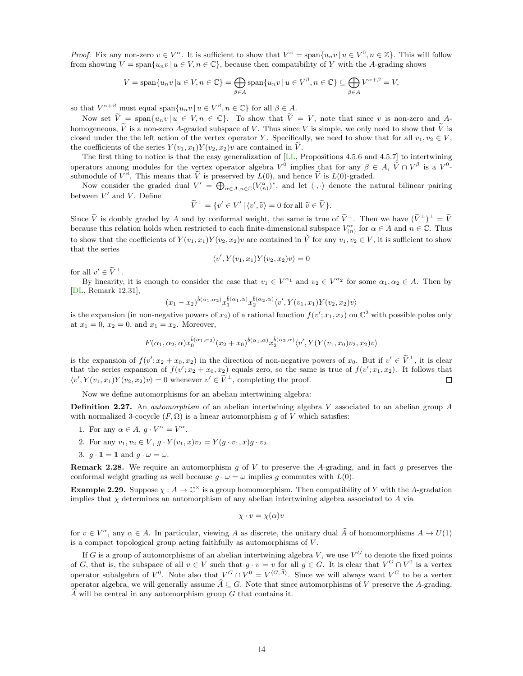*Proof.* Fix any non-zero  $v \in V^{\alpha}$ . It is sufficient to show that  $V^{\alpha} = \text{span}\{u_n v \mid u \in V^0, n \in \mathbb{Z}\}\.$  This will follow from showing  $V = \text{span}\{u_n v | u \in V, n \in \mathbb{C}\}\$ , because then compatibility of Y with the A-grading shows

$$
V = \text{span}\{u_n v \mid u \in V, n \in \mathbb{C}\} = \bigoplus_{\beta \in A} \text{span}\{u_n v \mid u \in V^{\beta}, n \in \mathbb{C}\} \subseteq \bigoplus_{\beta \in A} V^{\alpha + \beta} = V,
$$

so that  $V^{\alpha+\beta}$  must equal span $\{u_n v \mid u \in V^\beta, n \in \mathbb{C}\}\)$  for all  $\beta \in A$ .

Now set  $\tilde{V} = \text{span}\{u_n v | u \in V, n \in \mathbb{C}\}\$ . To show that  $\tilde{V} = V$ , note that since v is non-zero and Ahomogeneous,  $\tilde{V}$  is a non-zero A-graded subspace of V. Thus since V is simple, we only need to show that  $\tilde{V}$  is closed under the the left action of the vertex operator Y. Specifically, we need to show that for all  $v_1, v_2 \in V$ , the coefficients of the series  $Y(v_1, x_1)Y(v_2, x_2)v$  are contained in  $\tilde{V}$ .

The first thing to notice is that the easy generalization of [\[LL,](#page-31-9) Propositions 4.5.6 and 4.5.7] to intertwining operators among modules for the vertex operator algebra  $V^0$  implies that for any  $\beta \in A$ ,  $\widetilde{V} \cap V^{\beta}$  is a  $V^0$ submodule of  $V^{\beta}$ . This means that  $\widetilde{V}$  is preserved by  $L(0)$ , and hence  $\widetilde{V}$  is  $L(0)$ -graded.

Now consider the graded dual  $V' = \bigoplus_{\alpha \in A, n \in \mathbb{C}} (V_{(n)}^{\alpha})^*$ , and let  $\langle \cdot, \cdot \rangle$  denote the natural bilinear pairing between  $V'$  and  $V$ . Define

$$
\widetilde{V}^{\perp} = \{v' \in V' \mid \langle v', \widetilde{v} \rangle = 0 \text{ for all } \widetilde{v} \in \widetilde{V}\}.
$$

Since  $\tilde{V}$  is doubly graded by A and by conformal weight, the same is true of  $\tilde{V}^{\perp}$ . Then we have  $(\tilde{V}^{\perp})^{\perp} = \tilde{V}$ because this relation holds when restricted to each finite-dimensional subspace  $V_{(n)}^{\alpha}$  for  $\alpha \in A$  and  $n \in \mathbb{C}$ . Thus to show that the coefficients of  $Y(v_1, x_1)Y(v_2, x_2)v$  are contained in  $\widetilde{V}$  for any  $v_1, v_2 \in V$ , it is sufficient to show that the series

$$
\langle v', Y(v_1, x_1) Y(v_2, x_2) v \rangle = 0
$$

for all  $v' \in \widetilde{V}^{\perp}$ .

By linearity, it is enough to consider the case that  $v_1 \in V^{\alpha_1}$  and  $v_2 \in V^{\alpha_2}$  for some  $\alpha_1, \alpha_2 \in A$ . Then by [\[DL,](#page-29-2) Remark 12.31],

$$
(x_1 - x_2)^{\hat{b}(\alpha_1, \alpha_2)} x_1^{\hat{b}(\alpha_1, \alpha)} x_2^{\hat{b}(\alpha_2, \alpha)} \langle v', Y(v_1, x_1)Y(v_2, x_2)v \rangle
$$

is the expansion (in non-negative powers of  $x_2$ ) of a rational function  $f(v'; x_1, x_2)$  on  $\mathbb{C}^2$  with possible poles only at  $x_1 = 0, x_2 = 0,$  and  $x_1 = x_2$ . Moreover,

$$
F(\alpha_1, \alpha_2, \alpha) x_0^{\hat{b}(\alpha_1, \alpha_2)}(x_2 + x_0)^{\hat{b}(\alpha_1, \alpha)} x_2^{\hat{b}(\alpha_2, \alpha)} \langle v', Y(Y(v_1, x_0)v_2, x_2)v \rangle
$$

is the expansion of  $f(v'; x_2 + x_0, x_2)$  in the direction of non-negative powers of  $x_0$ . But if  $v' \in \tilde{V}^{\perp}$ , it is clear that the series expansion of  $f(v'; x_2 + x_0, x_2)$  equals zero, so the same is true of  $f(v'; x_1, x_2)$ . It follows that  $\langle v', Y(v_1, x_1) Y(v_2, x_2) v \rangle = 0$  whenever  $v' \in \tilde{V}^{\perp}$ , completing the proof.  $\Box$ 

Now we define automorphisms for an abelian intertwining algebra:

**Definition 2.27.** An *automorphism* of an abelian intertwining algebra V associated to an abelian group  $A$ with normalized 3-cocycle  $(F, \Omega)$  is a linear automorphism g of V which satisfies:

- 1. For any  $\alpha \in A$ ,  $g \cdot V^{\alpha} = V^{\alpha}$ .
- 2. For any  $v_1, v_2 \in V$ ,  $q \cdot Y(v_1, x)v_2 = Y(q \cdot v_1, x)q \cdot v_2$ .
- 3.  $q \cdot \mathbf{1} = \mathbf{1}$  and  $q \cdot \omega = \omega$ .

**Remark 2.28.** We require an automorphism g of V to preserve the A-grading, and in fact g preserves the conformal weight grading as well because  $q \cdot \omega = \omega$  implies q commutes with  $L(0)$ .

**Example 2.29.** Suppose  $\chi : A \to \mathbb{C}^\times$  is a group homomorphism. Then compatibility of Y with the A-gradation implies that  $\chi$  determines an automorphism of any abelian intertwining algebra associated to A via

$$
\chi \cdot v = \chi(\alpha)v
$$

for  $v \in V^{\alpha}$ , any  $\alpha \in A$ . In particular, viewing A as discrete, the unitary dual  $\hat{A}$  of homomorphisms  $A \to U(1)$ is a compact topological group acting faithfully as automorphisms of  $V$ .

If G is a group of automorphisms of an abelian intertwining algebra V, we use  $V^G$  to denote the fixed points of G, that is, the subspace of all  $v \in V$  such that  $g \cdot v = v$  for all  $g \in G$ . It is clear that  $V^G \cap V^0$  is a vertex operator subalgebra of  $V^0$ . Note also that  $V^G \cap V^0 = V^{\langle G, A \rangle}$ . Since we will always want  $V^G$  to be a vertex operator algebra, we will generally assume  $\widehat{A} \subseteq G$ . Note that since automorphisms of V preserve the A-grading,  $\widehat{A}$  will be central in any automorphism group G that contains it.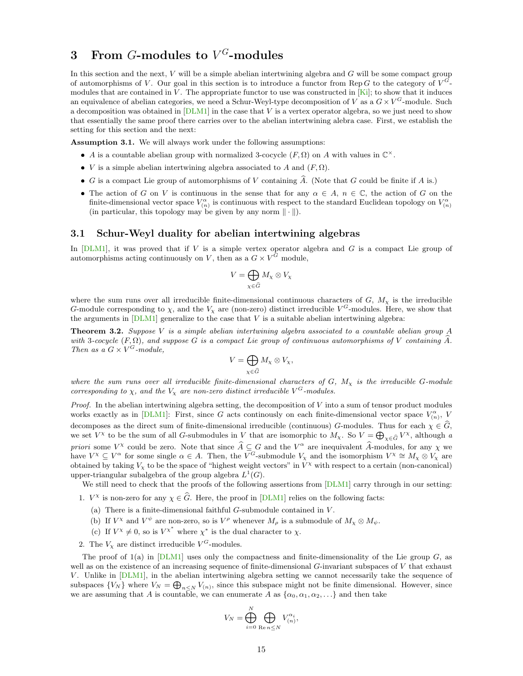## <span id="page-14-0"></span>3 From G-modules to  $V^G\!\!$ -modules

In this section and the next, V will be a simple abelian intertwining algebra and G will be some compact group of automorphisms of V. Our goal in this section is to introduce a functor from Rep G to the category of  $V^G$ modules that are contained in  $V$ . The appropriate functor to use was constructed in  $[Ki]$ ; to show that it induces an equivalence of abelian categories, we need a Schur-Weyl-type decomposition of V as a  $G \times V^G$ -module. Such a decomposition was obtained in  $[DLM1]$  in the case that V is a vertex operator algebra, so we just need to show that essentially the same proof there carries over to the abelian intertwining alebra case. First, we establish the setting for this section and the next:

<span id="page-14-2"></span>Assumption 3.1. We will always work under the following assumptions:

- A is a countable abelian group with normalized 3-cocycle  $(F, \Omega)$  on A with values in  $\mathbb{C}^{\times}$ .
- *V* is a simple abelian intertwining algebra associated to A and  $(F, \Omega)$ .
- $\bullet$  G is a compact Lie group of automorphisms of V containing  $\widehat{A}$ . (Note that G could be finite if A is.)
- The action of G on V is continuous in the sense that for any  $\alpha \in A$ ,  $n \in \mathbb{C}$ , the action of G on the finite-dimensional vector space  $V_{(n)}^{\alpha}$  is continuous with respect to the standard Euclidean topology on  $V_{(n)}^{\alpha}$ (in particular, this topology may be given by any norm  $\|\cdot\|$ ).

### <span id="page-14-1"></span>3.1 Schur-Weyl duality for abelian intertwining algebras

In  $[DLM1]$ , it was proved that if V is a simple vertex operator algebra and G is a compact Lie group of automorphisms acting continuously on V, then as a  $G \times V^G$  module,

$$
V = \bigoplus_{\chi \in \widehat{G}} M_{\chi} \otimes V_{\chi}
$$

where the sum runs over all irreducible finite-dimensional continuous characters of  $G$ ,  $M<sub>x</sub>$  is the irreducible G-module corresponding to  $\chi$ , and the  $V_{\chi}$  are (non-zero) distinct irreducible  $V^G$ -modules. Here, we show that the arguments in  $\overline{\text{DLM1}}$  generalize to the case that V is a suitable abelian intertwining algebra:

Theorem 3.2. Suppose V is a simple abelian intertwining algebra associated to a countable abelian group A with 3-cocycle  $(F, \Omega)$ , and suppose G is a compact Lie group of continuous automorphisms of V containing A. Then as a  $G \times V^G$ -module,

$$
V = \bigoplus_{\chi \in \widehat{G}} M_{\chi} \otimes V_{\chi},
$$

where the sum runs over all irreducible finite-dimensional characters of  $G$ ,  $M<sub>x</sub>$  is the irreducible G-module corresponding to  $\chi$ , and the  $V_{\chi}$  are non-zero distinct irreducible  $V^G$ -modules.

*Proof.* In the abelian intertwining algebra setting, the decomposition of  $V$  into a sum of tensor product modules works exactly as in [\[DLM1\]](#page-30-0): First, since G acts continously on each finite-dimensional vector space  $V_{(n)}^{\alpha}$ , V decomposes as the direct sum of finite-dimensional irreducible (continuous) G-modules. Thus for each  $\chi \in \widehat{G}$ , we set  $V^{\chi}$  to be the sum of all G-submodules in V that are isomorphic to  $M_{\chi}$ . So  $V = \bigoplus_{\chi \in \widehat{G}} V^{\chi}$ , although a priori some  $V^{\chi}$  could be zero. Note that since  $\widehat{A} \subseteq G$  and the  $V^{\alpha}$  are inequivalent  $\widehat{A}$ -modules, for any  $\chi$  we have  $V^{\chi} \subseteq V^{\alpha}$  for some single  $\alpha \in A$ . Then, the  $V^{G}$ -submodule  $V_{\chi}$  and the isomorphism  $V^{\chi} \cong M_{\chi} \otimes V_{\chi}$  are obtained by taking  $V_\chi$  to be the space of "highest weight vectors" in  $\overline{V}^\chi$  with respect to a certain (non-canonical) upper-triangular subalgebra of the group algebra  $L^1(G)$ .

We still need to check that the proofs of the following assertions from [\[DLM1\]](#page-30-0) carry through in our setting:

- 1.  $V^{\chi}$  is non-zero for any  $\chi \in \widehat{G}$ . Here, the proof in [\[DLM1\]](#page-30-0) relies on the following facts:
	- (a) There is a finite-dimensional faithful  $G$ -submodule contained in  $V$ .
	- (b) If  $V^{\chi}$  and  $V^{\psi}$  are non-zero, so is  $V^{\rho}$  whenever  $M_{\rho}$  is a submodule of  $M_{\chi} \otimes M_{\psi}$ .
	- (c) If  $V^{\chi} \neq 0$ , so is  $V^{\chi^*}$  where  $\chi^*$  is the dual character to  $\chi$ .
- 2. The  $V_{\chi}$  are distinct irreducible  $V^{G}$ -modules.

The proof of  $1(a)$  in  $[DLM1]$  uses only the compactness and finite-dimensionality of the Lie group  $G$ , as well as on the existence of an increasing sequence of finite-dimensional  $G$ -invariant subspaces of  $V$  that exhaust V. Unlike in [\[DLM1\]](#page-30-0), in the abelian intertwining algebra setting we cannot necessarily take the sequence of subspaces  $\{V_N\}$  where  $V_N = \bigoplus_{n \leq N} V_{(n)}$ , since this subspace might not be finite dimensional. However, since we are assuming that A is countable, we can enumerate A as  $\{\alpha_0, \alpha_1, \alpha_2, \ldots\}$  and then take

$$
V_N = \bigoplus_{i=0}^N \bigoplus_{\mathrm{Re}\, n \leq N} V_{(n)}^{\alpha_i},
$$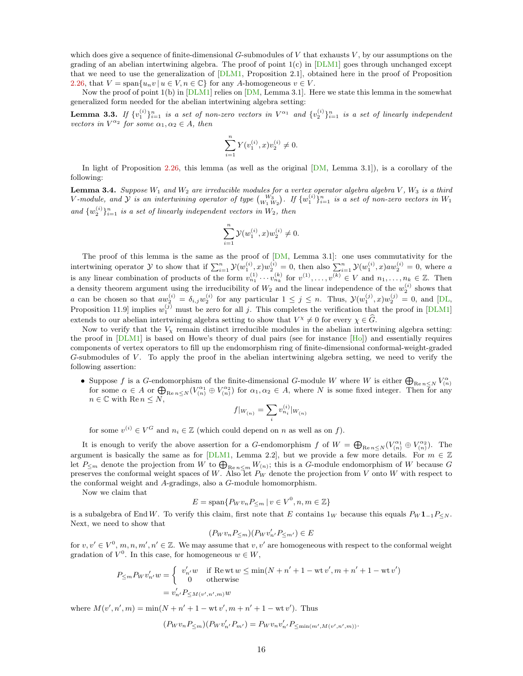which does give a sequence of finite-dimensional  $G$ -submodules of  $V$  that exhausts  $V$ , by our assumptions on the grading of an abelian intertwining algebra. The proof of point  $1(c)$  in  $[DLM1]$  goes through unchanged except that we need to use the generalization of [\[DLM1,](#page-30-0) Proposition 2.1], obtained here in the proof of Proposition [2.26,](#page-12-0) that  $V = \text{span}\{u_n v \mid u \in V, n \in \mathbb{C}\}\$ for any A-homogeneous  $v \in V$ .

Now the proof of point  $1(b)$  in  $[DLM1]$  relies on  $[DM, Lemma 3.1]$  $[DM, Lemma 3.1]$ . Here we state this lemma in the somewhat generalized form needed for the abelian intertwining algebra setting:

**Lemma 3.3.** If  $\{v_1^{(i)}\}_{i=1}^n$  is a set of non-zero vectors in  $V^{\alpha_1}$  and  $\{v_2^{(i)}\}_{i=1}^n$  is a set of linearly independent vectors in  $V^{\alpha_2}$  for some  $\alpha_1, \alpha_2 \in A$ , then

$$
\sum_{i=1}^{n} Y(v_1^{(i)}, x)v_2^{(i)} \neq 0.
$$

In light of Proposition [2.26,](#page-12-0) this lemma (as well as the original  $[DM,$  Lemma 3.1]), is a corollary of the following:

<span id="page-15-0"></span>**Lemma 3.4.** Suppose  $W_1$  and  $W_2$  are irreducible modules for a vertex operator algebra algebra  $V$ ,  $W_3$  is a third V-module, and  $Y$  is an intertwining operator of type  ${W_3 \choose W_1\ W_2}$ . If  $\{w_1^{(i)}\}_{i=1}^n$  is a set of non-zero vectors in  $W_1$ and  $\{w_2^{(i)}\}_{i=1}^n$  is a set of linearly independent vectors in  $W_2$ , then

$$
\sum_{i=1}^n {\cal Y}(w_1^{(i)},x)w_2^{(i)}\neq 0.
$$

The proof of this lemma is the same as the proof of [\[DM,](#page-30-9) Lemma 3.1]: one uses commutativity for the intertwining operator  $\mathcal Y$  to show that if  $\sum_{i=1}^n \mathcal Y(w_1^{(i)}, x) w_2^{(i)} = 0$ , then also  $\sum_{i=1}^n \mathcal Y(w_1^{(i)}, x) a w_2^{(i)} = 0$ , where a is any linear combination of products of the form  $v_{n_1}^{(1)} \cdots v_{n_k}^{(k)}$  for  $v^{(1)}, \ldots, v^{(k)} \in V$  and  $n_1, \ldots, n_k \in \mathbb{Z}$ . Then a density theorem argument using the irreducibility of  $W_2$  and the linear independence of the  $w_2^{(i)}$  shows that a can be chosen so that  $aw_2^{(i)} = \delta_{i,j}w_2^{(i)}$  for any particular  $1 \leq j \leq n$ . Thus,  $\mathcal{Y}(w_1^{(j)}, x)w_2^{(j)} = 0$ , and [\[DL,](#page-29-2) Proposition 11.9 implies  $w_1^{(j)}$  must be zero for all j. This completes the verification that the proof in [\[DLM1\]](#page-30-0) extends to our abelian intertwining algebra setting to show that  $V^{\chi} \neq 0$  for every  $\chi \in \widehat{G}$ .

Now to verify that the  $V_x$  remain distinct irreducible modules in the abelian intertwining algebra setting: the proof in [\[DLM1\]](#page-30-0) is based on Howe's theory of dual pairs (see for instance [\[Ho\]](#page-30-19)) and essentially requires components of vertex operators to fill up the endomorphism ring of finite-dimensional conformal-weight-graded  $G$ -submodules of  $V$ . To apply the proof in the abelian intertwining algebra setting, we need to verify the following assertion:

• Suppose *f* is a *G*-endomorphism of the finite-dimensional *G*-module *W* where *W* is either  $\bigoplus_{\text{Re } n \le N} V_{(n)}^{\alpha}$  for some  $\alpha \in A$  or  $\bigoplus_{\text{Re } n \le N} (V_{(n)}^{\alpha_1} \oplus V_{(n)}^{\alpha_2})$  for  $\alpha_1, \alpha_2 \in A$ , where *N* i  $n \in \mathbb{C}$  with Re  $n \leq N$ ,

$$
f|_{W_{(n)}} = \sum_{i} v_{n_i}^{(i)}|_{W_{(n)}}
$$

for some  $v^{(i)} \in V^G$  and  $n_i \in \mathbb{Z}$  (which could depend on n as well as on f).

It is enough to verify the above assertion for a G-endomorphism f of  $W = \bigoplus_{\text{Re }n \leq N} (V_{(n)}^{\alpha_1} \oplus V_{(n)}^{\alpha_2})$ . The argument is basically the same as for [\[DLM1,](#page-30-0) Lemma 2.2], but we provide a few more details. For  $m \in \mathbb{Z}$ let  $P_{\leq m}$  denote the projection from W to  $\bigoplus_{\text{Re }n\leq m}W_{(n)}$ ; this is a G-module endomorphism of W because G preserves the conformal weight spaces of W. Also let  $P_W$  denote the projection from V onto W with respect to the conformal weight and A-gradings, also a G-module homomorphism.

Now we claim that

$$
E = \text{span}\{P_W v_n P_{\leq m} \mid v \in V^0, n, m \in \mathbb{Z}\}\
$$

is a subalgebra of End W. To verify this claim, first note that E contains  $1_W$  because this equals  $P_W 1_{-1}P_{\leq N}$ . Next, we need to show that

$$
(P_W v_n P_{\leq m})(P_W v'_{n'} P_{\leq m'}) \in E
$$

for  $v, v' \in V^0, m, n, m', n' \in \mathbb{Z}$ . We may assume that  $v, v'$  are homogeneous with respect to the conformal weight gradation of  $V^0$ . In this case, for homogeneous  $w \in W$ ,

$$
P_{\leq m} P_W v'_{n'} w = \begin{cases} v'_{n'} w & \text{if } \text{Re wt } w \leq \min(N + n' + 1 - \text{wt } v', m + n' + 1 - \text{wt } v') \\ 0 & \text{otherwise} \end{cases}
$$

$$
= v'_{n'} P_{\leq M(v', n', m)} w
$$

where  $M(v', n', m) = \min(N + n' + 1 - wt v', m + n' + 1 - wt v')$ . Thus

$$
(P_W v_n P_{\leq m})(P_W v'_{n'} P_{m'}) = P_W v_n v'_{n'} P_{\leq \min(m', M(v', n', m))}.
$$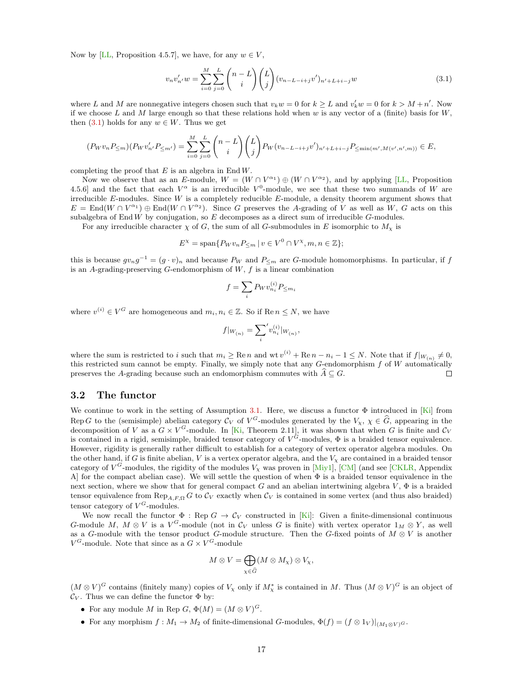Now by [\[LL,](#page-31-9) Proposition 4.5.7], we have, for any  $w \in V$ ,

<span id="page-16-1"></span>
$$
v_n v'_{n'} w = \sum_{i=0}^{M} \sum_{j=0}^{L} {n-L \choose i} {L \choose j} (v_{n-L-i+j} v')_{n'+L+i-j} w
$$
\n(3.1)

where L and M are nonnegative integers chosen such that  $v_kw = 0$  for  $k \geq L$  and  $v'_{k}w = 0$  for  $k > M + n'$ . Now if we choose L and M large enough so that these relations hold when  $w$  is any vector of a (finite) basis for  $W$ , then [\(3.1\)](#page-16-1) holds for any  $w \in W$ . Thus we get

$$
(P_W v_n P_{\leq m})(P_W v'_{n'} P_{\leq m'}) = \sum_{i=0}^{M} \sum_{j=0}^{L} {n-L \choose i} {L \choose j} P_W (v_{n-L-i+j} v')_{n'+L+i-j} P_{\leq \min(m',M(v',n',m))} \in E,
$$

completing the proof that  $E$  is an algebra in End  $W$ .

Now we observe that as an E-module,  $W = (W \cap V^{\alpha_1}) \oplus (W \cap V^{\alpha_2})$ , and by applying [\[LL,](#page-31-9) Proposition 4.5.6] and the fact that each  $V^{\alpha}$  is an irreducible  $V^{0}$ -module, we see that these two summands of W are irreducible  $E$ -modules. Since  $W$  is a completely reducible  $E$ -module, a density theorem argument shows that  $E = \text{End}(W \cap V^{\alpha_1}) \oplus \text{End}(W \cap V^{\alpha_2})$ . Since G preserves the A-grading of V as well as W, G acts on this subalgebra of End W by conjugation, so  $E$  decomposes as a direct sum of irreducible  $G$ -modules.

For any irreducible character  $\chi$  of G, the sum of all G-submodules in E isomorphic to  $M_{\chi}$  is

$$
E^{\chi} = \text{span}\{P_W v_n P_{\leq m} \mid v \in V^0 \cap V^{\chi}, m, n \in \mathbb{Z}\};
$$

this is because  $gv_ng^{-1}=(g\cdot v)_n$  and because  $P_W$  and  $P_{\leq m}$  are G-module homomorphisms. In particular, if f is an A-grading-preserving  $G$ -endomorphism of  $W, f$  is a linear combination

$$
f = \sum_{i} P_W v_{n_i}^{(i)} P_{\leq m_i}
$$

where  $v^{(i)} \in V^G$  are homogeneous and  $m_i, n_i \in \mathbb{Z}$ . So if Re  $n \leq N$ , we have

$$
f|_{W_{(n)}}=\sum_{i}^{\prime}v_{n_{i}}^{(i)}|_{W_{(n)}},
$$

where the sum is restricted to i such that  $m_i \ge \text{Re } n$  and wt  $v^{(i)} + \text{Re } n - n_i - 1 \le N$ . Note that if  $f|_{W_{(n)}} \neq 0$ , this restricted sum cannot be empty. Finally, we simply note that any G-endomorphism f of W automatically preserves the A-grading because such an endomorphism commutes with  $\widehat{A}\subseteq G.$  $\Box$ 

### <span id="page-16-0"></span>3.2 The functor

We continue to work in the setting of Assumption [3.1.](#page-14-2) Here, we discuss a functor  $\Phi$  introduced in [\[Ki\]](#page-31-0) from Rep G to the (semisimple) abelian category  $\mathcal{C}_V$  of  $V^G$ -modules generated by the  $V_\chi$ ,  $\chi \in \widehat{G}$ , appearing in the decomposition of V as a  $G \times V^G$ -module. In [\[Ki,](#page-31-0) Theorem 2.11], it was shown that when G is finite and  $C_V$ is contained in a rigid, semisimple, braided tensor category of  $V^G$ -modules,  $\Phi$  is a braided tensor equivalence. However, rigidity is generally rather difficult to establish for a category of vertex operator algebra modules. On the other hand, if G is finite abelian, V is a vertex operator algebra, and the  $V_x$  are contained in a braided tensor category of  $V^G$ -modules, the rigidity of the modules  $V_\chi$  was proven in [\[Miy1\]](#page-31-1), [\[CM\]](#page-29-0) (and see [\[CKLR,](#page-29-1) Appendix A] for the compact abelian case). We will settle the question of when  $\Phi$  is a braided tensor equivalence in the next section, where we show that for general compact G and an abelian intertwining algebra  $V$ ,  $\Phi$  is a braided tensor equivalence from Rep<sub>A,F,Ω</sub> G to  $\mathcal{C}_V$  exactly when  $\mathcal{C}_V$  is contained in some vertex (and thus also braided) tensor category of  $V^G$ -modules.

We now recall the functor  $\Phi$ : Rep  $G \to C_V$  constructed in [\[Ki\]](#page-31-0): Given a finite-dimensional continuous G-module M,  $M \otimes V$  is a  $V^G$ -module (not in  $\mathcal{C}_V$  unless G is finite) with vertex operator  $1_M \otimes Y$ , as well as a G-module with the tensor product G-module structure. Then the G-fixed points of  $M \otimes V$  is another  $V^G$ -module. Note that since as a  $G \times V^G$ -module

$$
M \otimes V = \bigoplus_{\chi \in \widehat{G}} (M \otimes M_{\chi}) \otimes V_{\chi},
$$

 $(M\otimes V)^G$  contains (finitely many) copies of  $V_\chi$  only if  $M^*_\chi$  is contained in M. Thus  $(M\otimes V)^G$  is an object of  $\mathcal{C}_V$ . Thus we can define the functor  $\Phi$  by:

- For any module M in Rep  $G, \Phi(M) = (M \otimes V)^G$ .
- For any morphism  $f : M_1 \to M_2$  of finite-dimensional G-modules,  $\Phi(f) = (f \otimes 1_V)|_{(M_1 \otimes V)}$ .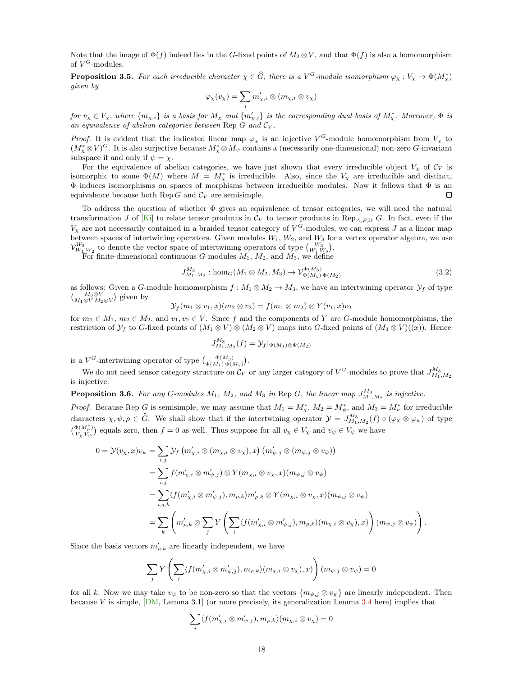Note that the image of  $\Phi(f)$  indeed lies in the G-fixed points of  $M_2 \otimes V$ , and that  $\Phi(f)$  is also a homomorphism of  $V^G$ -modules.

<span id="page-17-2"></span>**Proposition 3.5.** For each irreducible character  $\chi \in \widehat{G}$ , there is a  $V^G$ -module isomorphism  $\varphi_{\chi}: V_{\chi} \to \Phi(M_{\chi}^*)$ given by

$$
\varphi_{\chi}(v_{\chi})=\sum_i m'_{\chi,i}\otimes (m_{\chi,i}\otimes v_{\chi})
$$

for  $v_x \in V_x$ , where  $\{m_{\chi,i}\}\$ is a basis for  $M_{\chi}$  and  $\{m'_{\chi,i}\}\$ is the corresponding dual basis of  $M_{\chi}^*$ . Moreover,  $\Phi$  is an equivalence of abelian categories between Rep  $G$  and  $C_V$ .

*Proof.* It is evident that the indicated linear map  $\varphi_\chi$  is an injective  $V^G$ -module homomorphism from  $V_\chi$  to  $(M_X^* \otimes V)^G$ . It is also surjective because  $M_X^* \otimes M_\psi$  contains a (necessarily one-dimensional) non-zero G-invariant subspace if and only if  $\psi = \chi$ .

For the equivalence of abelian categories, we have just shown that every irreducible object  $V_x$  of  $\mathcal{C}_V$  is isomorphic to some  $\Phi(M)$  where  $M = M_{\chi}^*$  is irreducible. Also, since the  $V_{\chi}$  are irreducible and distinct,  $\Phi$  induces isomorphisms on spaces of morphisms between irreducible modules. Now it follows that  $\Phi$  is an equivalence because both Rep G and  $\mathcal{C}_V$  are semisimple.  $\Box$ 

To address the question of whether Φ gives an equivalence of tensor categories, we will need the natural transformation J of [\[Ki\]](#page-31-0) to relate tensor products in  $\mathcal{C}_V$  to tensor products in Rep<sub>A,F,Ω</sub> G. In fact, even if the  $V_X$  are not necessarily contained in a braided tensor category of  $V^G$ -modules, we can express J as a linear map between spaces of intertwining operators. Given modules  $W_1, W_2$ , and  $W_3$  for a vertex operator algebra, we use  $\mathcal{V}_{W_1\,W_2}^{W_3}$  to denote the vector space of intertwining operators of type  $\binom{W_3}{W_1\,W_2}$ .

For finite-dimensional continuous G-modules  $M_1$ ,  $M_2$ , and  $M_3$ , we define

$$
J_{M_1,M_2}^{M_3} : \text{hom}_G(M_1 \otimes M_2, M_3) \to \mathcal{V}_{\Phi(M_1)\Phi(M_2)}^{\Phi(M_3)} \tag{3.2}
$$

as follows: Given a G-module homomorphism  $f : M_1 \otimes M_2 \to M_3$ , we have an intertwining operator  $\mathcal{Y}_f$  of type  $\binom{M_3 \otimes V}{M_1 \otimes V M_2 \otimes V}$  given by

$$
\mathcal{Y}_f(m_1\otimes v_1,x)(m_2\otimes v_2)=f(m_1\otimes m_2)\otimes Y(v_1,x)v_2
$$

for  $m_1 \in M_1$ ,  $m_2 \in M_2$ , and  $v_1, v_2 \in V$ . Since f and the components of Y are G-module homomorphisms, the restriction of  $\mathcal{Y}_f$  to G-fixed points of  $(M_1 \otimes V) \otimes (M_2 \otimes V)$  maps into G-fixed points of  $(M_3 \otimes V)((x))$ . Hence

<span id="page-17-0"></span>
$$
J_{M_1,M_2}^{M_3}(f) = \mathcal{Y}_f|_{\Phi(M_1)\otimes\Phi(M_2)}
$$

is a  $V^G$ -intertwining operator of type  $\binom{\Phi(M_3)}{\Phi(M_1)\Phi(M_2)}$ .

We do not need tensor category structure on  $\mathcal{C}_V$  or any larger category of  $V^G$ -modules to prove that  $J_{M_1,M_2}^{M_3}$ is injective:

<span id="page-17-1"></span>**Proposition 3.6.** For any G-modules  $M_1$ ,  $M_2$ , and  $M_3$  in Rep G, the linear map  $J_{M_1,M_2}^{M_3}$  is injective.

*Proof.* Because Rep G is semisimple, we may assume that  $M_1 = M_{\chi}^*$ ,  $M_2 = M_{\psi}^*$ , and  $M_3 = M_{\rho}^*$  for irreducible characters  $\chi, \psi, \rho \in \widehat{G}$ . We shall show that if the intertwining operator  $\mathcal{Y} = J_{M_1,M_2}^{M_3}(f) \circ (\varphi_\chi \otimes \varphi_\psi)$  of type  $\binom{\Phi(M^*)}{\nu}$  $\mathcal{V}_{V_X}^{(\mu_{\rho}^{\mathcal{P}})}$  equals zero, then  $f=0$  as well. Thus suppose for all  $v_X \in V_X$  and  $v_{\psi} \in V_{\psi}$  we have

$$
0 = \mathcal{Y}(v_{\chi}, x)v_{\psi} = \sum_{i,j} \mathcal{Y}_f \left( m'_{\chi,i} \otimes (m_{\chi,i} \otimes v_{\chi}), x \right) \left( m'_{\psi,j} \otimes (m_{\psi,j} \otimes v_{\psi}) \right)
$$
  
\n
$$
= \sum_{i,j} f(m'_{\chi,i} \otimes m'_{\psi,j}) \otimes Y(m_{\chi,i} \otimes v_{\chi}, x)(m_{\psi,j} \otimes v_{\psi})
$$
  
\n
$$
= \sum_{i,j,k} \langle f(m'_{\chi,i} \otimes m'_{\psi,j}), m_{\rho,k} \rangle m'_{\rho,k} \otimes Y(m_{\chi,i} \otimes v_{\chi}, x)(m_{\psi,j} \otimes v_{\psi})
$$
  
\n
$$
= \sum_{k} \left( m'_{\rho,k} \otimes \sum_{j} Y \left( \sum_{i} \langle f(m'_{\chi,i} \otimes m'_{\psi,j}), m_{\rho,k} \rangle (m_{\chi,i} \otimes v_{\chi}), x \rangle \right) (m_{\psi,j} \otimes v_{\psi}) \right).
$$

Since the basis vectors  $m'_{\rho,k}$  are linearly independent, we have

$$
\sum_{j} Y \left( \sum_{i} \langle f(m'_{\chi,i} \otimes m'_{\psi,j}), m_{\rho,k} \rangle (m_{\chi,i} \otimes v_{\chi}), x) \right) (m_{\psi,j} \otimes v_{\psi}) = 0
$$

for all k. Now we may take  $v_{\psi}$  to be non-zero so that the vectors  $\{m_{\psi,j} \otimes v_{\psi}\}\$  are linearly independent. Then because V is simple,  $[DM, Lemma 3.1]$  $[DM, Lemma 3.1]$  (or more precisely, its generalization Lemma [3.4](#page-15-0) here) implies that

$$
\sum_i \langle f(m'_{\chi,i}\otimes m'_{\psi,j}), m_{\rho,k}\rangle (m_{\chi,i}\otimes v_\chi)=0
$$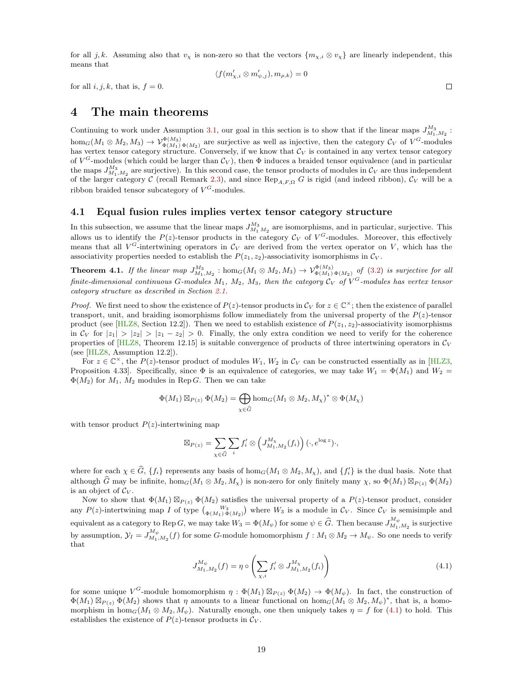for all j, k. Assuming also that  $v_x$  is non-zero so that the vectors  $\{m_{x,i} \otimes v_x\}$  are linearly independent, this means that

$$
\langle f(m'_{\chi,i}\otimes m'_{\psi,j}), m_{\rho,k}\rangle = 0
$$

 $\Box$ 

for all  $i, j, k$ , that is,  $f = 0$ .

## <span id="page-18-0"></span>4 The main theorems

Continuing to work under Assumption [3.1,](#page-14-2) our goal in this section is to show that if the linear maps  $J_{M_1,M_2}^{M_3}$ :  $hom_G(M_1 \otimes M_2, M_3) \to V^{\Phi(M_3)}_{\Phi(M_1) \Phi(M_2)}$  are surjective as well as injective, then the category  $\mathcal{C}_V$  of  $V^G$ -modules has vertex tensor category structure. Conversely, if we know that  $\mathcal{C}_V$  is contained in any vertex tensor category of  $V^G$ -modules (which could be larger than  $\mathcal{C}_V$ ), then  $\Phi$  induces a braided tensor equivalence (and in particular the maps  $J_{M_1,M_2}^{M_3}$  are surjective). In this second case, the tensor products of modules in  $\mathcal{C}_V$  are thus independent of the larger category C (recall Remark [2.3\)](#page-4-0), and since  $\text{Rep}_{A,F,\Omega} G$  is rigid (and indeed ribbon),  $\mathcal{C}_V$  will be a ribbon braided tensor subcategory of  $V^G$ -modules.

### <span id="page-18-1"></span>4.1 Equal fusion rules implies vertex tensor category structure

In this subsection, we assume that the linear maps  $J_{M_1 M_2}^{M_3}$  are isomorphisms, and in particular, surjective. This allows us to identify the  $P(z)$ -tensor products in the category  $\mathcal{C}_V$  of  $V^G$ -modules. Moreover, this effectively means that all  $V^G$ -intertwining operators in  $\mathcal{C}_V$  are derived from the vertex operator on V, which has the associativity properties needed to establish the  $P(z_1, z_2)$ -associativity isomorphisms in  $\mathcal{C}_V$ .

<span id="page-18-3"></span>**Theorem 4.1.** If the linear map  $J_{M_1,M_2}^{M_3}$  :  $\hom_G(M_1 \otimes M_2, M_3) \to V_{\Phi(M_1)\Phi(M_2)}^{\Phi(M_3)}$  of [\(3.2\)](#page-17-0) is surjective for all finite-dimensional continuous G-modules  $M_1$ ,  $M_2$ ,  $M_3$ , then the category  $\mathcal{C}_V$  of  $V^G$ -modules has vertex tensor category structure as described in Section [2.1.](#page-2-1)

*Proof.* We first need to show the existence of  $P(z)$ -tensor products in  $\mathcal{C}_V$  for  $z \in \mathbb{C}^\times$ ; then the existence of parallel transport, unit, and braiding isomorphisms follow immediately from the universal property of the  $P(z)$ -tensor product (see [\[HLZ8,](#page-31-2) Section 12.2]). Then we need to establish existence of  $P(z_1, z_2)$ -associativity isomorphisms in  $C_V$  for  $|z_1| > |z_2| > |z_1 - z_2| > 0$ . Finally, the only extra condition we need to verify for the coherence properties of  $[HLZ8,$  Theorem 12.15] is suitable convergence of products of three intertwining operators in  $C_V$ (see [\[HLZ8,](#page-31-2) Assumption 12.2]).

For  $z \in \mathbb{C}^{\times}$ , the  $P(z)$ -tensor product of modules  $W_1, W_2$  in  $\mathcal{C}_V$  can be constructed essentially as in [\[HLZ3,](#page-30-13) Proposition 4.33]. Specifically, since  $\Phi$  is an equivalence of categories, we may take  $W_1 = \Phi(M_1)$  and  $W_2 =$  $\Phi(M_2)$  for  $M_1$ ,  $M_2$  modules in Rep G. Then we can take

$$
\Phi(M_1) \boxtimes_{P(z)} \Phi(M_2) = \bigoplus_{\chi \in \widehat{G}} \hom_G(M_1 \otimes M_2, M_\chi)^* \otimes \Phi(M_\chi)
$$

with tensor product  $P(z)$ -intertwining map

$$
\boxtimes_{P(z)} = \sum_{\chi \in \widehat{G}} \sum_i f'_i \otimes \left( J_{M_1, M_2}^{M_\chi}(f_i) \right) (\cdot, e^{\log z}) \cdot,
$$

where for each  $\chi \in \widehat{G}$ ,  $\{f_i\}$  represents any basis of hom<sub>G</sub> $(M_1 \otimes M_2, M_\chi)$ , and  $\{f'_i\}$  is the dual basis. Note that although  $\widehat{G}$  may be infinite,  $hom_G(M_1 \otimes M_2, M_\chi)$  is non-zero for only finitely many  $\chi$ , so  $\Phi(M_1) \boxtimes_{P(z)} \Phi(M_2)$ is an object of  $\mathcal{C}_V$ .

Now to show that  $\Phi(M_1) \boxtimes_{P(z)} \Phi(M_2)$  satisfies the universal property of a  $P(z)$ -tensor product, consider any  $P(z)$ -intertwining map I of type  $\binom{W_3}{\Phi(M_1)\Phi(M_2)}$  where  $W_3$  is a module in  $\mathcal{C}_V$ . Since  $\mathcal{C}_V$  is semisimple and equivalent as a category to Rep G, we may take  $W_3 = \Phi(M_\psi)$  for some  $\psi \in \widehat{G}$ . Then because  $J_{M_1,M_2}^{M_\psi}$  is surjective by assumption,  $\mathcal{Y}_I = J_{M_1,M_2}^{M_{\psi}}(f)$  for some G-module homomorphism  $f : M_1 \otimes M_2 \to M_{\psi}$ . So one needs to verify that

<span id="page-18-2"></span>
$$
J_{M_1,M_2}^{M_{\psi}}(f) = \eta \circ \left(\sum_{\chi,i} f'_i \otimes J_{M_1,M_2}^{M_{\chi}}(f_i)\right) \tag{4.1}
$$

for some unique  $V^G$ -module homomorphism  $\eta : \Phi(M_1) \boxtimes_{P(z)} \Phi(M_2) \to \Phi(M_\psi)$ . In fact, the construction of  $\Phi(M_1) \boxtimes_{P(z)} \Phi(M_2)$  shows that  $\eta$  amounts to a linear functional on  $hom_G(M_1 \otimes M_2, M_\psi)^*$ , that is, a homomorphism in hom<sub>G</sub>( $M_1 \otimes M_2$ ,  $M_{\psi}$ ). Naturally enough, one then uniquely takes  $\eta = f$  for [\(4.1\)](#page-18-2) to hold. This establishes the existence of  $P(z)$ -tensor products in  $\mathcal{C}_V$ .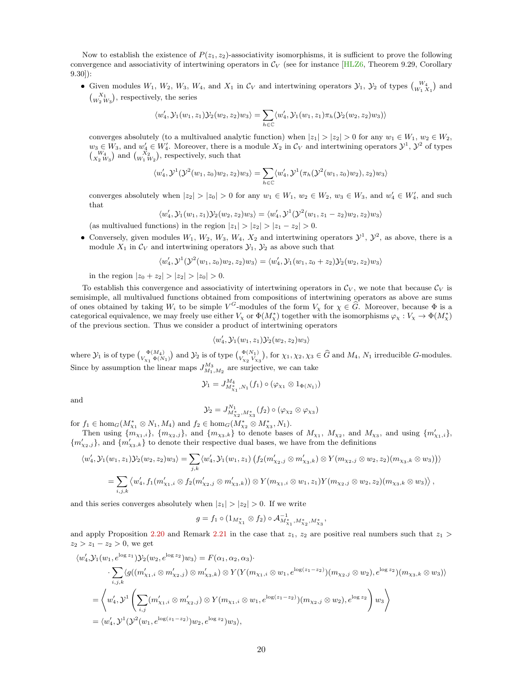Now to establish the existence of  $P(z_1, z_2)$ -associativity isomorphisms, it is sufficient to prove the following convergence and associativity of intertwining operators in  $\mathcal{C}_V$  (see for instance [\[HLZ6,](#page-31-10) Theorem 9.29, Corollary 9.30]):

• Given modules  $W_1$ ,  $W_2$ ,  $W_3$ ,  $W_4$ , and  $X_1$  in  $\mathcal{C}_V$  and intertwining operators  $\mathcal{Y}_1$ ,  $\mathcal{Y}_2$  of types  $\binom{W_4}{W_1 X_1}$  and  $\binom{X_1}{W_2 W_3}$ , respectively, the series

$$
\langle w_4',\mathcal{Y}_1(w_1,z_1)\mathcal{Y}_2(w_2,z_2)w_3\rangle=\sum_{h\in\mathbb{C}}\langle w_4',\mathcal{Y}_1(w_1,z_1)\pi_h(\mathcal{Y}_2(w_2,z_2)w_3)\rangle
$$

converges absolutely (to a multivalued analytic function) when  $|z_1| > |z_2| > 0$  for any  $w_1 \in W_1$ ,  $w_2 \in W_2$ ,  $w_3 \in W_3$ , and  $w'_4 \in W'_4$ . Moreover, there is a module  $X_2$  in  $\mathcal{C}_V$  and intertwining operators  $\mathcal{Y}^1$ ,  $\mathcal{Y}^2$  of types  $\binom{W_4}{X_2 W_3}$  and  $\binom{X_2}{W_1 W_2}$ , respectively, such that

$$
\langle w_4',\mathcal{Y}^1(\mathcal{Y}^2(w_1,z_0)w_2,z_2)w_3\rangle = \sum_{h\in\mathbb{C}} \langle w_4',\mathcal{Y}^1(\pi_h(\mathcal{Y}^2(w_1,z_0)w_2),z_2)w_3\rangle
$$

converges absolutely when  $|z_2| > |z_0| > 0$  for any  $w_1 \in W_1$ ,  $w_2 \in W_2$ ,  $w_3 \in W_3$ , and  $w'_4 \in W'_4$ , and such that

$$
\langle w_4', \mathcal{Y}_1(w_1, z_1) \mathcal{Y}_2(w_2, z_2) w_3 \rangle = \langle w_4', \mathcal{Y}^1(\mathcal{Y}^2(w_1, z_1 - z_2) w_2, z_2) w_3 \rangle
$$

(as multivalued functions) in the region  $|z_1| > |z_2| > |z_1 - z_2| > 0$ .

• Conversely, given modules  $W_1, W_2, W_3, W_4, X_2$  and intertwining operators  $\mathcal{Y}^1, \mathcal{Y}^2$ , as above, there is a module  $X_1$  in  $\mathcal{C}_V$  and intertwining operators  $\mathcal{Y}_1, \mathcal{Y}_2$  as above such that

$$
\langle w_4', \mathcal{Y}^1(\mathcal{Y}^2(w_1, z_0)w_2, z_2)w_3 \rangle = \langle w_4', \mathcal{Y}_1(w_1, z_0 + z_2)\mathcal{Y}_2(w_2, z_2)w_3 \rangle
$$

in the region  $|z_0 + z_2| > |z_2| > |z_0| > 0$ .

To establish this convergence and associativity of intertwining operators in  $\mathcal{C}_V$ , we note that because  $\mathcal{C}_V$  is semisimple, all multivalued functions obtained from compositions of intertwining operators as above are sums of ones obtained by taking  $W_i$  to be simple  $V^G$ -modules of the form  $V_\chi$  for  $\chi \in \widehat{G}$ . Moreover, because  $\Phi$  is a categorical equivalence, we may freely use either  $V_x$  or  $\Phi(M^*_x)$  together with the isomorphisms  $\varphi_x : V_x \to \Phi(M^*_x)$ of the previous section. Thus we consider a product of intertwining operators

$$
\langle w_4',\mathcal{Y}_1(w_1,z_1)\mathcal{Y}_2(w_2,z_2)w_3\rangle
$$

where  $\mathcal{Y}_1$  is of type  $\begin{pmatrix} \Phi(M_4) \\ V_{\chi_1} \Phi(N_1) \end{pmatrix}$  and  $\mathcal{Y}_2$  is of type  $\begin{pmatrix} \Phi(N_1) \\ V_{\chi_2} V_{\chi_3} \end{pmatrix}$ , for  $\chi_1, \chi_2, \chi_3 \in \widehat{G}$  and  $M_4$ ,  $N_1$  irreducible G-modules. Since by assumption the linear maps  $J_{M_1,M_2}^{M_3}$  are surjective, we can take

$$
\mathcal{Y}_1 = J_{M_{\chi_1, N_1}}^{M_4}(f_1) \circ (\varphi_{\chi_1} \otimes 1_{\Phi(N_1)})
$$

and

$$
\mathcal{Y}_2 = J_{M_{\chi_2}^*, M_{\chi_3}^*}^{N_1}(f_2) \circ (\varphi_{\chi_2} \otimes \varphi_{\chi_3})
$$

for  $f_1 \in \text{hom}_G(M^*_{\chi_1} \otimes N_1, M_4)$  and  $f_2 \in \text{hom}_G(M^*_{\chi_2} \otimes M^*_{\chi_3}, N_1)$ .

Then using  $\{m_{\chi_1,i}\}, \{m_{\chi_2,j}\},\$  and  $\{m_{\chi_3,k}\}\)$  to denote bases of  $M_{\chi_1}, M_{\chi_2}$ , and  $M_{\chi_3}$ , and using  $\{m_{\chi_1,i}'\},\$  ${m'_{\chi_2,j}}$ , and  ${m'_{\chi_3,k}}$  to denote their respective dual bases, we have from the definitions

$$
\langle w'_4, \mathcal{Y}_1(w_1, z_1) \mathcal{Y}_2(w_2, z_2) w_3 \rangle = \sum_{j,k} \langle w'_4, \mathcal{Y}_1(w_1, z_1) \left( f_2(m'_{\chi_2, j} \otimes m'_{\chi_3, k}) \otimes Y(m_{\chi_2, j} \otimes w_2, z_2)(m_{\chi_3, k} \otimes w_3) \right) \rangle
$$
  
= 
$$
\sum_{i,j,k} \langle w'_4, f_1(m'_{\chi_1, i} \otimes f_2(m'_{\chi_2, j} \otimes m'_{\chi_3, k})) \otimes Y(m_{\chi_1, i} \otimes w_1, z_1) Y(m_{\chi_2, j} \otimes w_2, z_2)(m_{\chi_3, k} \otimes w_3) \rangle,
$$

and this series converges absolutely when  $|z_1| > |z_2| > 0$ . If we write

$$
g = f_1 \circ (1_{M^*_{\chi_1}} \otimes f_2) \circ \mathcal{A}_{M^*_{\chi_1}, M^*_{\chi_2}, M^*_{\chi_3}}^{-1},
$$

and apply Proposition [2.20](#page-12-1) and Remark [2.21](#page-12-2) in the case that  $z_1$ ,  $z_2$  are positive real numbers such that  $z_1$  $z_2 > z_1 - z_2 > 0$ , we get

$$
\langle w'_4, \mathcal{Y}_1(w_1, e^{\log z_1}) \mathcal{Y}_2(w_2, e^{\log z_2}) w_3 \rangle = F(\alpha_1, \alpha_2, \alpha_3) \cdot \sum_{i,j,k} \langle g((m'_{\chi_1, i} \otimes m'_{\chi_2, j}) \otimes m'_{\chi_3, k}) \otimes Y(Y(m_{\chi_1, i} \otimes w_1, e^{\log(z_1 - z_2)})(m_{\chi_2, j} \otimes w_2), e^{\log z_2})(m_{\chi_3, k} \otimes w_3) \rangle
$$
  
= 
$$
\langle w'_4, \mathcal{Y}^1 \left( \sum_{i,j} (m'_{\chi_1, i} \otimes m'_{\chi_2, j}) \otimes Y(m_{\chi_1, i} \otimes w_1, e^{\log(z_1 - z_2)})(m_{\chi_2, j} \otimes w_2), e^{\log z_2} \right) w_3 \rangle
$$
  
= 
$$
\langle w'_4, \mathcal{Y}^1 (\mathcal{Y}^2(w_1, e^{\log(z_1 - z_2)}) w_2, e^{\log z_2}) w_3 \rangle,
$$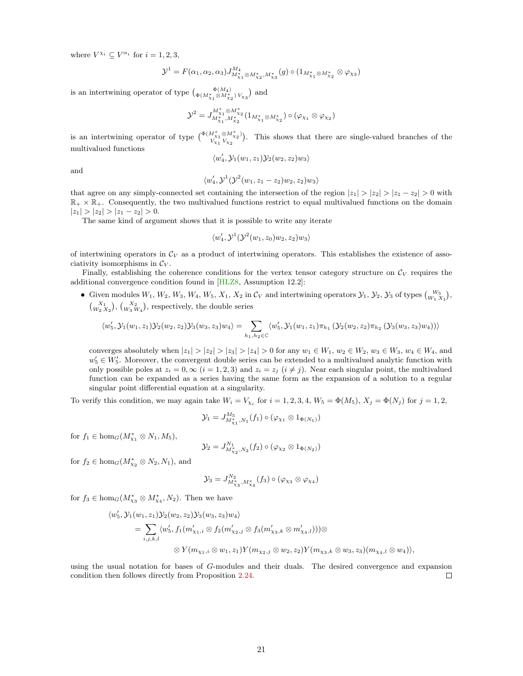where  $V^{\chi_i} \subseteq V^{\alpha_i}$  for  $i = 1, 2, 3$ ,

$$
\mathcal{Y}^{1} = F(\alpha_{1}, \alpha_{2}, \alpha_{3}) J_{M_{\chi_{1}}^{*} \otimes M_{\chi_{2}}^{*}, M_{\chi_{3}}^{*}}^{M_{4}}(g) \circ (1_{M_{\chi_{1}}^{*} \otimes M_{\chi_{2}}^{*}} \otimes \varphi_{\chi_{3}})
$$

is an intertwining operator of type  $\binom{\Phi(M_4)}{\Phi(M_{\chi_1}^*\otimes M_{\chi_2}^*)V_{\chi_3}}$  and

$$
\mathcal{Y}^2=J_{M_{\chi_1}^*,M_{\chi_2}^*}^{M_{\chi_1}^* \otimes M_{\chi_2}^*} (1_{M_{\chi_1}^* \otimes M_{\chi_2}^*}) \circ (\varphi_{\chi_1} \otimes \varphi_{\chi_2})
$$

is an intertwining operator of type  $\begin{pmatrix} \Phi(M^*_{X1} \otimes M^*_{X2}) \\ V & V \end{pmatrix}$  $\frac{W_{\chi_1} \otimes M_{\chi_2}}{W_{\chi_1} V_{\chi_2}}$ . This shows that there are single-valued branches of the multivalued functions

$$
\langle w_4',\mathcal{Y}_1(w_1,z_1)\mathcal{Y}_2(w_2,z_2)w_3\rangle
$$

and

$$
\langle w_4',\mathcal{Y}^1(\mathcal{Y}^2(w_1,z_1-z_2)w_2,z_2)w_3\rangle
$$

that agree on any simply-connected set containing the intersection of the region  $|z_1| > |z_2| > |z_1 - z_2| > 0$  with  $\mathbb{R}_+ \times \mathbb{R}_+$ . Consequently, the two multivalued functions restrict to equal multivalued functions on the domain  $|z_1| > |z_2| > |z_1 - z_2| > 0.$ 

The same kind of argument shows that it is possible to write any iterate

$$
\langle w_4',\mathcal{Y}^1(\mathcal{Y}^2(w_1,z_0)w_2,z_2)w_3\rangle
$$

of intertwining operators in  $\mathcal{C}_V$  as a product of intertwining operators. This establishes the existence of associativity isomorphisms in  $\mathcal{C}_V$ .

Finally, establishing the coherence conditions for the vertex tensor category structure on  $C_V$  requires the additional convergence condition found in [\[HLZ8,](#page-31-2) Assumption 12.2]:

• Given modules  $W_1, W_2, W_3, W_4, W_5, X_1, X_2$  in  $\mathcal{C}_V$  and intertwining operators  $\mathcal{Y}_1, \mathcal{Y}_2, \mathcal{Y}_3$  of types  $\binom{W_5}{W_1 X_1}$ ,  $\binom{X_1}{W_2 X_2}$ ,  $\binom{X_2}{W_3 W_4}$ , respectively, the double series

$$
\langle w_5', \mathcal{Y}_1(w_1, z_1) \mathcal{Y}_2(w_2, z_2) \mathcal{Y}_3(w_3, z_3) w_4 \rangle = \sum_{h_1, h_2 \in \mathbb{C}} \langle w_5', \mathcal{Y}_1(w_1, z_1) \pi_{h_1} \left( \mathcal{Y}_2(w_2, z_2) \pi_{h_2} \left( \mathcal{Y}_3(w_3, z_3) w_4 \right) \right) \rangle
$$

converges absolutely when  $|z_1| > |z_2| > |z_3| > |z_4| > 0$  for any  $w_1 \in W_1$ ,  $w_2 \in W_2$ ,  $w_3 \in W_3$ ,  $w_4 \in W_4$ , and  $w_5' \in W_5'$ . Moreover, the convergent double series can be extended to a multivalued analytic function with only possible poles at  $z_i = 0$ ,  $\infty$   $(i = 1, 2, 3)$  and  $z_i = z_j$   $(i \neq j)$ . Near each singular point, the multivalued function can be expanded as a series having the same form as the expansion of a solution to a regular singular point differential equation at a singularity.

To verify this condition, we may again take  $W_i = V_{Xi}$  for  $i = 1, 2, 3, 4$ ,  $W_5 = \Phi(M_5)$ ,  $X_j = \Phi(N_j)$  for  $j = 1, 2$ ,

$$
\mathcal{Y}_1 = J_{M_{\chi_1,N_1}^*}^{M_5}(f_1) \circ (\varphi_{\chi_1} \otimes 1_{\Phi(N_1)})
$$

for  $f_1 \in \text{hom}_G(M^*_{X_1} \otimes N_1, M_5),$ 

$$
\mathcal{Y}_2 = J_{M_{\chi_2}^*,N_2}^{N_1}(f_2) \circ (\varphi_{\chi_2} \otimes 1_{\Phi(N_2)})
$$

for  $f_2 \in \text{hom}_G(M^*_{\chi_2} \otimes N_2, N_1)$ , and

$$
\mathcal{Y}_3 = J_{M_{\chi_3}^*, M_{\chi_4}^*}^{N_2}(f_3) \circ (\varphi_{\chi_3} \otimes \varphi_{\chi_4})
$$

for  $f_3 \in \text{hom}_G(M^*_{\chi_3} \otimes M^*_{\chi_4}, N_2)$ . Then we have

$$
\langle w'_5, \mathcal{Y}_1(w_1, z_1) \mathcal{Y}_2(w_2, z_2) \mathcal{Y}_3(w_3, z_3) w_4 \rangle
$$
  
= 
$$
\sum_{i,j,k,l} \langle w'_5, f_1(m'_{\chi_1,i} \otimes f_2(m'_{\chi_2,j} \otimes f_3(m'_{\chi_3,k} \otimes m'_{\chi_4,l})) \rangle \otimes
$$
  

$$
\otimes Y(m_{\chi_1,i} \otimes w_1, z_1) Y(m_{\chi_2,j} \otimes w_2, z_2) Y(m_{\chi_3,k} \otimes w_3, z_3) (m_{\chi_4,l} \otimes w_4) \rangle,
$$

using the usual notation for bases of G-modules and their duals. The desired convergence and expansion condition then follows directly from Proposition [2.24.](#page-12-3)  $\Box$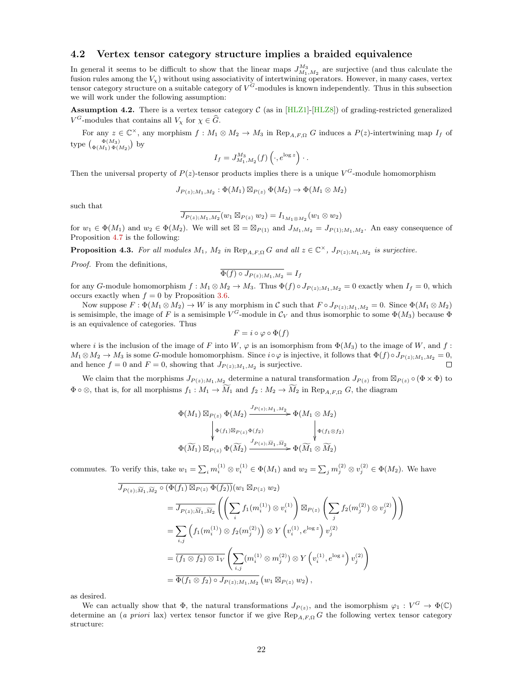### <span id="page-21-0"></span>4.2 Vertex tensor category structure implies a braided equivalence

In general it seems to be difficult to show that the linear maps  $J_{M_1,M_2}^{M_3}$  are surjective (and thus calculate the fusion rules among the  $V_{\chi}$ ) without using associativity of intertwining operators. However, in many cases, vertex tensor category structure on a suitable category of  $V^G$ -modules is known independently. Thus in this subsection we will work under the following assumption:

**Assumption 4.2.** There is a vertex tensor category  $C$  (as in [\[HLZ1\]](#page-30-7)-[\[HLZ8\]](#page-31-2)) of grading-restricted generalized  $V^G$ -modules that contains all  $V_\chi$  for  $\chi \in \widehat{G}$ .

For any  $z \in \mathbb{C}^{\times}$ , any morphism  $f : M_1 \otimes M_2 \to M_3$  in  $\text{Rep}_{A,F,\Omega} G$  induces a  $P(z)$ -intertwining map  $I_f$  of type  $\binom{\Phi(M_3)}{\Phi(M_1)\Phi(M_2)}$  by

$$
I_f = J_{M_1, M_2}^{M_3}(f) \left( \cdot, e^{\log z} \right) \cdot .
$$

Then the universal property of  $P(z)$ -tensor products implies there is a unique  $V^G$ -module homomorphism

$$
J_{P(z);M_1,M_2}: \Phi(M_1) \boxtimes_{P(z)} \Phi(M_2) \to \Phi(M_1 \otimes M_2)
$$

such that

$$
\overline{J_{P(z);M_1,M_2}}(w_1\boxtimes_{P(z)} w_2)=I_{1_{M_1\otimes M_2}}(w_1\otimes w_2)
$$

for  $w_1 \in \Phi(M_1)$  and  $w_2 \in \Phi(M_2)$ . We will set  $\boxtimes = \boxtimes_{P(1)}$  and  $J_{M_1,M_2} = J_{P(1);M_1,M_2}$ . An easy consequence of Proposition [4.7](#page-23-0) is the following:

<span id="page-21-1"></span>**Proposition 4.3.** For all modules  $M_1$ ,  $M_2$  in  $\text{Rep}_{A,F,\Omega} G$  and all  $z \in \mathbb{C}^\times$ ,  $J_{P(z);M_1,M_2}$  is surjective.

Proof. From the definitions,

$$
\Phi(f) \circ J_{P(z);M_1,M_2} = I_f
$$

for any G-module homomorphism  $f : M_1 \otimes M_2 \to M_3$ . Thus  $\Phi(f) \circ J_{P(z);M_1,M_2} = 0$  exactly when  $I_f = 0$ , which occurs exactly when  $f = 0$  by Proposition [3.6.](#page-17-1)

Now suppose  $F: \Phi(M_1 \otimes M_2) \to W$  is any morphism in C such that  $F \circ J_{P(z),M_1,M_2} = 0$ . Since  $\Phi(M_1 \otimes M_2)$ is semisimple, the image of F is a semisimple  $V^G$ -module in  $\mathcal{C}_V$  and thus isomorphic to some  $\Phi(M_3)$  because  $\Phi$ is an equivalence of categories. Thus

$$
F = i \circ \varphi \circ \Phi(f)
$$

where i is the inclusion of the image of F into W,  $\varphi$  is an isomorphism from  $\Phi(M_3)$  to the image of W, and f:  $M_1 \otimes M_2 \to M_3$  is some G-module homomorphism. Since  $i \circ \varphi$  is injective, it follows that  $\Phi(f) \circ J_{P(z);M_1,M_2} = 0$ , and hence  $f = 0$  and  $F = 0$  showing that  $J_{P(z);M_1,M_2}$  is surjective and hence  $f = 0$  and  $F = 0$ , showing that  $J_{P(z);M_1,M_2}$  is surjective.

We claim that the morphisms  $J_{P(z);M_1,M_2}$  determine a natural transformation  $J_{P(z)}$  from  $\mathbb{Z}_{P(z)} \circ (\Phi \times \Phi)$  to  $\Phi \circ \otimes$ , that is, for all morphisms  $f_1 : M_1 \to M_1$  and  $f_2 : M_2 \to M_2$  in Rep<sub>A,F,Q</sub> G, the diagram

$$
\Phi(M_1) \boxtimes_{P(z)} \Phi(M_2) \xrightarrow{J_{P(z);M_1,M_2}} \Phi(M_1 \otimes M_2)
$$
\n
$$
\downarrow \Phi(f_1) \boxtimes_{P(z)} \Phi(f_2) \qquad \qquad \downarrow \Phi(f_1 \otimes f_2)
$$
\n
$$
\Phi(\widetilde{M}_1) \boxtimes_{P(z)} \Phi(\widetilde{M}_2) \xrightarrow{J_{P(z); \widetilde{M}_1, \widetilde{M}_2}} \Phi(\widetilde{M}_1 \otimes \widetilde{M}_2)
$$

commutes. To verify this, take  $w_1 = \sum_i m_i^{(1)} \otimes v_i^{(1)} \in \Phi(M_1)$  and  $w_2 = \sum_j m_j^{(2)} \otimes v_j^{(2)} \in \Phi(M_2)$ . We have

$$
\overline{J_{P(z),\widetilde{M}_{1},\widetilde{M}_{2}} \circ (\Phi(f_{1}) \boxtimes_{P(z)} \Phi(f_{2}))}(w_{1} \boxtimes_{P(z)} w_{2})
$$
\n
$$
= \overline{J_{P(z),\widetilde{M}_{1},\widetilde{M}_{2}}} \left( \left( \sum_{i} f_{1}(m_{i}^{(1)}) \otimes v_{i}^{(1)} \right) \boxtimes_{P(z)} \left( \sum_{j} f_{2}(m_{j}^{(2)}) \otimes v_{j}^{(2)} \right) \right)
$$
\n
$$
= \sum_{i,j} \left( f_{1}(m_{i}^{(1)}) \otimes f_{2}(m_{j}^{(2)}) \right) \otimes Y \left( v_{i}^{(1)}, e^{\log z} \right) v_{j}^{(2)}
$$
\n
$$
= \overline{(f_{1} \otimes f_{2}) \otimes 1_{V}} \left( \sum_{i,j} (m_{i}^{(1)} \otimes m_{j}^{(2)}) \otimes Y \left( v_{i}^{(1)}, e^{\log z} \right) v_{j}^{(2)} \right)
$$
\n
$$
= \overline{\Phi(f_{1} \otimes f_{2}) \circ J_{P(z);M_{1},M_{2}}} (w_{1} \boxtimes_{P(z)} w_{2}),
$$

as desired.

We can actually show that  $\Phi$ , the natural transformations  $J_{P(z)}$ , and the isomorphism  $\varphi_1: V^G \to \Phi(\mathbb{C})$ determine an (a priori lax) vertex tensor functor if we give  $\text{Rep}_{A,F,\Omega} G$  the following vertex tensor category structure: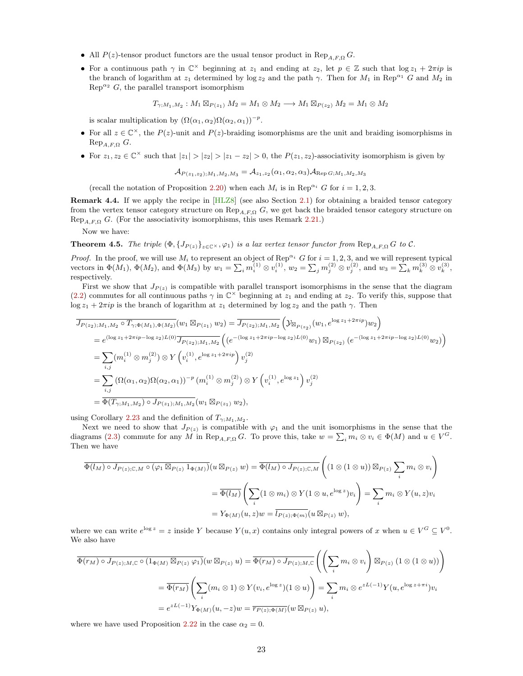- All  $P(z)$ -tensor product functors are the usual tensor product in  $\text{Rep}_{A,F,\Omega} G$ .
- For a continuous path  $\gamma$  in  $\mathbb{C}^{\times}$  beginning at  $z_1$  and ending at  $z_2$ , let  $p \in \mathbb{Z}$  such that  $\log z_1 + 2\pi i p$  is the branch of logarithm at  $z_1$  determined by log  $z_2$  and the path  $\gamma$ . Then for  $M_1$  in Rep<sup> $\alpha_1$ </sup> G and  $M_2$  in  $\text{Rep}^{\alpha_2}$  G, the parallel transport isomorphism

$$
T_{\gamma;M_1,M_2}:M_1\boxtimes_{P(z_1)} M_2=M_1\otimes M_2\longrightarrow M_1\boxtimes_{P(z_2)} M_2=M_1\otimes M_2
$$

is scalar multiplication by  $(\Omega(\alpha_1, \alpha_2) \Omega(\alpha_2, \alpha_1))^{-p}$ .

- For all  $z \in \mathbb{C}^{\times}$ , the  $P(z)$ -unit and  $P(z)$ -braiding isomorphisms are the unit and braiding isomorphisms in  $\text{Rep}_{A,F,\Omega} G.$
- For  $z_1, z_2 \in \mathbb{C}^\times$  such that  $|z_1| > |z_2| > |z_1 z_2| > 0$ , the  $P(z_1, z_2)$ -associativity isomorphism is given by

$$
\mathcal{A}_{P(z_1, z_2); M_1, M_2, M_3} = \mathcal{A}_{z_1, z_2}(\alpha_1, \alpha_2, \alpha_3) \mathcal{A}_{\text{Rep }G; M_1, M_2, M_3}
$$

(recall the notation of Proposition [2.20\)](#page-12-1) when each  $M_i$  is in Rep<sup> $\alpha_i$ </sup> G for  $i = 1, 2, 3$ .

<span id="page-22-0"></span>Remark 4.4. If we apply the recipe in [\[HLZ8\]](#page-31-2) (see also Section [2.1\)](#page-2-1) for obtaining a braided tensor category from the vertex tensor category structure on  $\text{Rep}_{A,F,\Omega} G$ , we get back the braided tensor category structure on Rep<sub>A,F,Ω</sub> G. (For the associativity isomorphisms, this uses Remark [2.21.](#page-12-2))

Now we have:

<span id="page-22-1"></span>**Theorem 4.5.** The triple  $(\Phi, \{J_{P(z)}\}_{z\in\mathbb{C}^{\times}}, \varphi_1)$  is a lax vertex tensor functor from Rep<sub>A,F,Ω</sub> G to C.

*Proof.* In the proof, we will use  $M_i$  to represent an object of Rep<sup> $\alpha_i$ </sup> G for  $i = 1, 2, 3$ , and we will represent typical vectors in  $\Phi(M_1)$ ,  $\Phi(M_2)$ , and  $\Phi(M_3)$  by  $w_1 = \sum_i m_i^{(1)} \otimes v_i^{(1)}$ ,  $w_2 = \sum_j m_j^{(2)} \otimes v_j^{(2)}$ , and  $w_3 = \sum_k m_k^{(3)} \otimes v_k^{(3)}$ , respectively.

First we show that  $J_{P(z)}$  is compatible with parallel transport isomorphisms in the sense that the diagram [\(2.2\)](#page-5-1) commutes for all continuous paths  $\gamma$  in  $\mathbb{C}^{\times}$  beginning at  $z_1$  and ending at  $z_2$ . To verify this, suppose that  $\log z_1 + 2\pi i p$  is the branch of logarithm at  $z_1$  determined by  $\log z_2$  and the path  $\gamma$ . Then

$$
\overline{J_{P(z_{2});M_{1},M_{2}} \circ T_{\gamma;\Phi(M_{1}),\Phi(M_{2})}}(w_{1} \boxtimes_{P(z_{1})} w_{2}) = \overline{J_{P(z_{2});M_{1},M_{2}}} \left( \mathcal{Y}_{\boxtimes_{P(z_{2})}}(w_{1}, e^{\log z_{1} + 2\pi i p}) w_{2} \right)
$$
\n
$$
= e^{(\log z_{1} + 2\pi i p - \log z_{2})L(0)} \overline{J_{P(z_{2});M_{1},M_{2}}} \left( (e^{-(\log z_{1} + 2\pi i p - \log z_{2})L(0)} w_{1}) \boxtimes_{P(z_{2})} (e^{-(\log z_{1} + 2\pi i p - \log z_{2})L(0)} w_{2}) \right)
$$
\n
$$
= \sum_{i,j} (m_{i}^{(1)} \otimes m_{j}^{(2)}) \otimes Y \left( v_{i}^{(1)}, e^{\log z_{1} + 2\pi i p} \right) v_{j}^{(2)}
$$
\n
$$
= \sum_{i,j} (\Omega(\alpha_{1}, \alpha_{2})\Omega(\alpha_{2}, \alpha_{1}))^{-p} (m_{i}^{(1)} \otimes m_{j}^{(2)}) \otimes Y \left( v_{i}^{(1)}, e^{\log z_{1}} \right) v_{j}^{(2)}
$$
\n
$$
= \overline{\Phi(T_{\gamma;M_{1},M_{2}}) \circ J_{P(z_{1});M_{1},M_{2}}(w_{1} \boxtimes_{P(z_{1})} w_{2})},
$$

using Corollary [2.23](#page-12-4) and the definition of  $T_{\gamma;M_1,M_2}$ .

Next we need to show that  $J_{P(z)}$  is compatible with  $\varphi_1$  and the unit isomorphisms in the sense that the diagrams [\(2.3\)](#page-5-0) commute for any M in Rep<sub>A,F,Ω</sub> G. To prove this, take  $w = \sum_i m_i \otimes v_i \in \Phi(M)$  and  $u \in V^G$ . Then we have

$$
\overline{\Phi(l_M) \circ J_{P(z);C,M} \circ (\varphi_1 \boxtimes_{P(z)} 1_{\Phi(M)})}(u \boxtimes_{P(z)} w) = \overline{\Phi(l_M) \circ J_{P(z);C,M}} \left( (1 \otimes (1 \otimes u)) \boxtimes_{P(z)} \sum_i m_i \otimes v_i \right)
$$

$$
= \overline{\Phi(l_M)} \left( \sum_i (1 \otimes m_i) \otimes Y(1 \otimes u, e^{\log z}) v_i \right) = \sum_i m_i \otimes Y(u, z) v_i
$$

$$
= Y_{\Phi(M)}(u, z)w = \overline{l_{P(z); \Phi(m)}} (u \boxtimes_{P(z)} w),
$$

where we can write  $e^{\log z} = z$  inside Y because  $Y(u, x)$  contains only integral powers of x when  $u \in V^G \subseteq V^0$ . We also have

$$
\overline{\Phi(r_M) \circ J_{P(z);M,\mathbb{C}} \circ (1_{\Phi(M)} \boxtimes_{P(z)} \varphi_1)}(w \boxtimes_{P(z)} u) = \overline{\Phi(r_M) \circ J_{P(z);M,\mathbb{C}}}\left(\left(\sum_i m_i \otimes v_i\right) \boxtimes_{P(z)} (1 \otimes (1 \otimes u))\right)
$$

$$
= \overline{\Phi(r_M)}\left(\sum_i (m_i \otimes 1) \otimes Y(v_i, e^{\log z})(1 \otimes u)\right) = \sum_i m_i \otimes e^{zL(-1)}Y(u, e^{\log z + \pi i})v_i
$$

$$
= e^{zL(-1)}Y_{\Phi(M)}(u, -z)w = \overline{r_{P(z); \Phi(M)}}(w \boxtimes_{P(z)} u),
$$

where we have used Proposition [2.22](#page-12-5) in the case  $\alpha_2 = 0$ .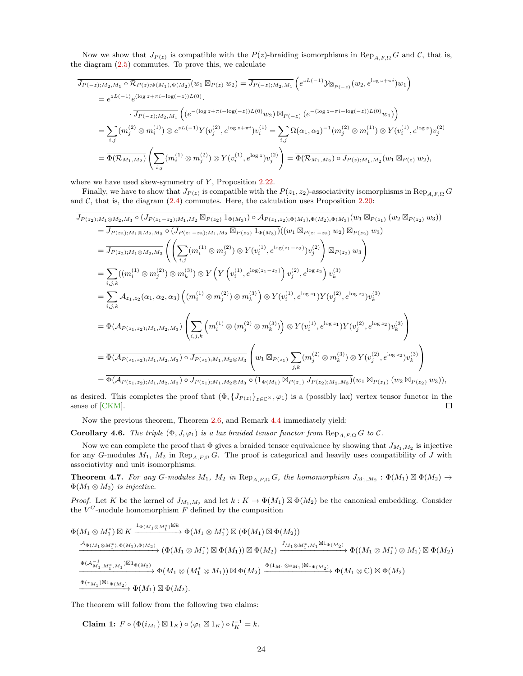Now we show that  $J_{P(z)}$  is compatible with the  $P(z)$ -braiding isomorphisms in  $\text{Rep}_{A,F,\Omega} G$  and  $\mathcal{C}$ , that is, the diagram [\(2.5\)](#page-6-1) commutes. To prove this, we calculate

$$
\overline{J_{P(-z);M_2,M_1} \circ \mathcal{R}_{P(z);\Phi(M_1),\Phi(M_2)}}(w_1 \boxtimes_{P(z)} w_2) = \overline{J_{P(-z);M_2,M_1}} \left(e^{zL(-1)} \mathcal{Y}_{\boxtimes_{P(-z)}}(w_2, e^{\log z + \pi i}) w_1\right)
$$
\n
$$
= e^{zL(-1)} e^{(\log z + \pi i - \log(-z))L(0)}.
$$
\n
$$
\overline{J_{P(-z);M_2,M_1}} \left( (e^{-(\log z + \pi i - \log(-z))L(0)} w_2) \boxtimes_{P(-z)} (e^{-(\log z + \pi i - \log(-z))L(0)} w_1) \right)
$$
\n
$$
= \sum_{i,j} (m_j^{(2)} \otimes m_i^{(1)}) \otimes e^{zL(-1)} Y(v_j^{(2)}, e^{\log z + \pi i}) v_i^{(1)} = \sum_{i,j} \Omega(\alpha_1, \alpha_2)^{-1} (m_j^{(2)} \otimes m_i^{(1)}) \otimes Y(v_i^{(1)}, e^{\log z}) v_j^{(2)}
$$
\n
$$
= \overline{\Phi(\mathcal{R}_{M_1,M_2})} \left( \sum_{i,j} (m_i^{(1)} \otimes m_j^{(2)}) \otimes Y(v_i^{(1)}, e^{\log z}) v_j^{(2)} \right) = \overline{\Phi(\mathcal{R}_{M_1,M_2}) \circ J_{P(z);M_1,M_2}}(w_1 \boxtimes_{P(z)} w_2),
$$

where we have used skew-symmetry of  $Y$ , Proposition [2.22.](#page-12-5)

Finally, we have to show that  $J_{P(z)}$  is compatible with the  $P(z_1, z_2)$ -associativity isomorphisms in Rep<sub>A,F,Ω</sub> G and  $C$ , that is, the diagram  $(2.4)$  commutes. Here, the calculation uses Proposition [2.20:](#page-12-1)

$$
J_{P(z_{2}),M_{1}\otimes M_{2},M_{3}} \circ (J_{P(z_{1}-z_{2}),M_{1},M_{2}} \boxtimes P(z_{2}) 1_{\Phi(M_{3})}) \circ \mathcal{A}_{P(z_{1},z_{2}),\Phi(M_{1}),\Phi(M_{2}),\Phi(M_{3})}(w_{1} \boxtimes P(z_{1}) (w_{2} \boxtimes P(z_{2}) w_{3}))
$$
\n
$$
= J_{P(z_{2}),M_{1}\otimes M_{2},M_{3}} \circ (J_{P(z_{1}-z_{2}),M_{1},M_{2}} \boxtimes P(z_{2}) 1_{\Phi(M_{3})})(w_{1} \boxtimes P(z_{1}-z_{2}) w_{2}) \boxtimes P(z_{2}) w_{3})
$$
\n
$$
= J_{P(z_{2}),M_{1}\otimes M_{2},M_{3}} \left( \left( \sum_{i,j} (m_{i}^{(1)} \otimes m_{j}^{(2)}) \otimes Y (v_{i}^{(1)}, e^{\log(z_{1}-z_{2})}) v_{j}^{(2)} \right) \boxtimes P(z_{2}) w_{3} \right)
$$
\n
$$
= \sum_{i,j,k} ((m_{i}^{(1)} \otimes m_{j}^{(2)}) \otimes m_{k}^{(3)}) \otimes Y \left( Y (v_{i}^{(1)}, e^{\log(z_{1}-z_{2})}) v_{j}^{(2)}, e^{\log z_{2}} \right) v_{k}^{(3)}
$$
\n
$$
= \sum_{i,j,k} \mathcal{A}_{z_{1},z_{2}}(\alpha_{1},\alpha_{2},\alpha_{3}) \left( (m_{i}^{(1)} \otimes m_{j}^{(2)}) \otimes m_{k}^{(3)} \right) \otimes Y (v_{i}^{(1)}, e^{\log z_{1}}) Y (v_{j}^{(2)}, e^{\log z_{2}}) v_{k}^{(3)}
$$
\n
$$
= \overline{\Phi(\mathcal{A}_{P(z_{1},z_{2}),M_{1},M_{2},M_{3}})} \left( \sum_{i,j,k} (m_{i}^{(1)} \otimes (m_{j}^{(2)} \otimes m_{k}^{(3)})) \otimes Y (v_{i}^{(1)}, e^{\log z_{1}}) Y (v_{j}^{(2)}, e^{\log z_{2}}) v_{k}^{(3)} \right)
$$
\n
$$
= \overline{\Phi(\mathcal{A}_{P(z_{1},z_{2}),M_{1},M_{2},
$$

as desired. This completes the proof that  $(\Phi, \{J_{P(z)}\}_{z\in\mathbb{C}^{\times}}, \varphi_1)$  is a (possibly lax) vertex tensor functor in the sense of [\[CKM\]](#page-29-4).  $\Box$ 

Now the previous theorem, Theorem [2.6,](#page-6-3) and Remark [4.4](#page-22-0) immediately yield:

<span id="page-23-1"></span>Corollary 4.6. The triple  $(\Phi, J, \varphi_1)$  is a lax braided tensor functor from  $\text{Rep}_{A,F,\Omega} G$  to  $\mathcal{C}.$ 

Now we can complete the proof that  $\Phi$  gives a braided tensor equivalence by showing that  $J_{M_1,M_2}$  is injective for any G-modules  $M_1$ ,  $M_2$  in Rep<sub>A,F,Ω</sub> G. The proof is categorical and heavily uses compatibility of J with associativity and unit isomorphisms:

<span id="page-23-0"></span>**Theorem 4.7.** For any G-modules  $M_1$ ,  $M_2$  in  $\text{Rep}_{A,F,\Omega} G$ , the homomorphism  $J_{M_1,M_2} : \Phi(M_1) \boxtimes \Phi(M_2) \to$  $\Phi(M_1 \otimes M_2)$  is injective.

*Proof.* Let K be the kernel of  $J_{M_1,M_2}$  and let  $k: K \to \Phi(M_1) \boxtimes \Phi(M_2)$  be the canonical embedding. Consider the  $V^G$ -module homomorphism  $F$  defined by the composition

$$
\Phi(M_1 \otimes M_1^*) \boxtimes K \xrightarrow{1_{\Phi(M_1 \otimes M_1^*)} \boxtimes k} \Phi(M_1 \otimes M_1^*) \boxtimes (\Phi(M_1) \boxtimes \Phi(M_2))
$$
\n
$$
\xrightarrow{\mathcal{A}_{\Phi(M_1 \otimes M_1^*), \Phi(M_1), \Phi(M_2))}} (\Phi(M_1 \otimes M_1^*) \boxtimes \Phi(M_1)) \boxtimes \Phi(M_2) \xrightarrow{\mathcal{J}_{M_1 \otimes M_1^*, M_1} \boxtimes 1_{\Phi(M_2)}} \Phi((M_1 \otimes M_1^*) \otimes M_1) \boxtimes \Phi(M_2))
$$
\n
$$
\xrightarrow{\Phi(\mathcal{A}_{M_1, M_1^*, M_1}^{-1}) \boxtimes 1_{\Phi(M_2)}}} \Phi(M_1 \otimes (M_1^* \otimes M_1)) \boxtimes \Phi(M_2) \xrightarrow{\Phi(1_{M_1} \otimes e_{M_1}) \boxtimes 1_{\Phi(M_2)}}} \Phi(M_1 \otimes \mathbb{C}) \boxtimes \Phi(M_2)
$$
\n
$$
\xrightarrow{\Phi(r_{M_1}) \boxtimes 1_{\Phi(M_2)}}} \Phi(M_1) \boxtimes \Phi(M_2).
$$

The theorem will follow from the following two claims:

Claim 1:  $F \circ (\Phi(i_{M_1}) \boxtimes 1_K) \circ (\varphi_1 \boxtimes 1_K) \circ l_K^{-1} = k.$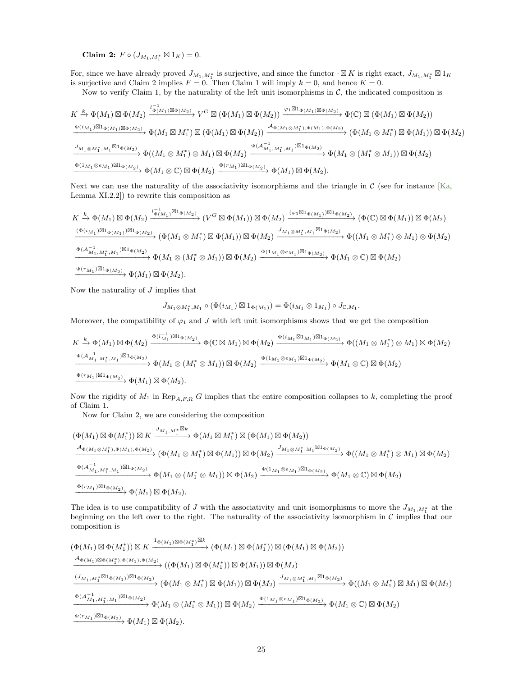Claim 2:  $F \circ (J_{M_1,M_1^*} \boxtimes 1_K) = 0.$ 

For, since we have already proved  $J_{M_1,M_1^*}$  is surjective, and since the functor  $\cdot \boxtimes K$  is right exact,  $J_{M_1,M_1^*} \boxtimes 1_K$ is surjective and Claim 2 implies  $F = 0$ . Then Claim 1 will imply  $k = 0$ , and hence  $K = 0$ .

Now to verify Claim 1, by the naturality of the left unit isomorphisms in  $\mathcal{C}$ , the indicated composition is

$$
\begin{split} &K\xrightarrow{k}\Phi(M_{1})\boxtimes\Phi(M_{2})\xrightarrow{l_{\Phi(M_{1})\boxtimes\Phi(M_{2})}}V^{G}\boxtimes\left(\Phi(M_{1})\boxtimes\Phi(M_{2})\right)\xrightarrow{\varphi_{1}\boxtimes1_{\Phi(M_{1})\boxtimes\Phi(M_{2})}}\Phi(\mathbb{C})\boxtimes\left(\Phi(M_{1})\boxtimes\Phi(M_{2})\right)\\ &\xrightarrow{\Phi(i_{M_{1}})\boxtimes1_{\Phi(M_{1})\boxtimes\Phi(M_{2})}}\Phi(M_{1}\boxtimes M_{1}^{*})\boxtimes\left(\Phi(M_{1})\boxtimes\Phi(M_{2})\right)\xrightarrow{\mathcal{A}_{\Phi(M_{1}\otimes M_{1}^{*}),\Phi(M_{1}),\Phi(M_{2})}}\left(\Phi(M_{1}\otimes M_{1}^{*})\boxtimes\Phi(M_{1})\right)\boxtimes\Phi(M_{2})\\ &\xrightarrow{J_{M_{1}\otimes M_{1}^{*},M_{1}}\boxtimes1_{\Phi(M_{2})}}\Phi((M_{1}\otimes M_{1}^{*})\otimes M_{1})\boxtimes\Phi(M_{2})\xrightarrow{\Phi(i_{M_{1}},M_{1}^{*},M_{1})\boxtimes1_{\Phi(M_{2})}}\Phi(M_{1}\otimes(M_{1}^{*}\otimes M_{1}))\boxtimes\Phi(M_{2})\\ &\xrightarrow{\Phi(1_{M_{1}}\otimes e_{M_{1}})\boxtimes1_{\Phi(M_{2})}}\Phi(M_{1}\otimes\mathbb{C})\boxtimes\Phi(M_{2})\xrightarrow{\Phi(r_{M_{1}})\boxtimes1_{\Phi(M_{2})}}\Phi(M_{1})\boxtimes\Phi(M_{2}). \end{split}
$$

Next we can use the naturality of the associativity isomorphisms and the triangle in  $\mathcal C$  (see for instance [\[Ka,](#page-31-11) Lemma XI.2.2]) to rewrite this composition as

$$
K \xrightarrow{\mathbf{k}} \Phi(M_1) \boxtimes \Phi(M_2) \xrightarrow{l_{\Phi(M_1)}^{-1} \boxtimes 1_{\Phi(M_2)}^{-1}} (V^G \boxtimes \Phi(M_1)) \boxtimes \Phi(M_2) \xrightarrow{(\varphi_1 \boxtimes 1_{\Phi(M_1)}) \boxtimes 1_{\Phi(M_2)}^{-1}} (\Phi(\mathbb{C}) \boxtimes \Phi(M_1)) \boxtimes \Phi(M_2)
$$
  

$$
\xrightarrow{(\Phi(i_{M_1}) \boxtimes 1_{\Phi(M_1)}) \boxtimes 1_{\Phi(M_2)}} (\Phi(M_1 \otimes M_1^*) \boxtimes \Phi(M_1)) \boxtimes \Phi(M_2) \xrightarrow{J_{M_1 \otimes M_1^*, M_1} \boxtimes 1_{\Phi(M_2)}} \Phi((M_1 \otimes M_1^*) \otimes M_1) \otimes \Phi(M_2)
$$
  

$$
\xrightarrow{\Phi(\mathcal{A}_{M_1, M_1^*, M_1}) \boxtimes 1_{\Phi(M_2)}} \Phi(M_1 \otimes (M_1^* \otimes M_1)) \boxtimes \Phi(M_2) \xrightarrow{\Phi(1_{M_1} \otimes e_{M_1}) \boxtimes 1_{\Phi(M_2)}} \Phi(M_1 \otimes \mathbb{C}) \boxtimes \Phi(M_2)
$$
  

$$
\xrightarrow{\Phi(r_{M_1}) \boxtimes 1_{\Phi(M_2)}} \Phi(M_1) \boxtimes \Phi(M_2).
$$

Now the naturality of  $J$  implies that

$$
J_{M_{1}\otimes M_{1}^{*},M_{1}}\circ (\Phi(i_{M_{1}})\boxtimes 1_{\Phi(M_{1})})=\Phi(i_{M_{1}}\otimes 1_{M_{1}})\circ J_{\mathbb{C},M_{1}}.
$$

Moreover, the compatibility of  $\varphi_1$  and J with left unit isomorphisms shows that we get the composition

$$
\begin{split} K &\xrightarrow{k} \Phi(M_1) \boxtimes \Phi(M_2) \xrightarrow{\Phi(l_{M_1}^{-1}) \boxtimes 1_{\Phi(M_2)}} \Phi(\mathbb{C} \boxtimes M_1) \boxtimes \Phi(M_2) \xrightarrow{\Phi(i_{M_1} \boxtimes 1_{M_1}) \boxtimes 1_{\Phi(M_2)}} \Phi((M_1 \otimes M_1^*) \otimes M_1) \boxtimes \Phi(M_2) \\ &\xrightarrow{\Phi(\mathcal{A}_{M_1,M_1^*,M_1}^{-1}) \boxtimes 1_{\Phi(M_2)}} \Phi(M_1 \otimes (M_1^* \otimes M_1)) \boxtimes \Phi(M_2) \xrightarrow{\Phi(1_{M_1} \otimes e_{M_1}) \boxtimes 1_{\Phi(M_2)}} \Phi(M_1 \otimes \mathbb{C}) \boxtimes \Phi(M_2) \\ &\xrightarrow{\Phi(r_{M_1}) \boxtimes 1_{\Phi(M_2)}} \Phi(M_1) \boxtimes \Phi(M_2). \end{split}
$$

Now the rigidity of  $M_1$  in Rep<sub>A,F,Ω</sub> G implies that the entire composition collapses to k, completing the proof of Claim 1.

Now for Claim 2, we are considering the composition

$$
\begin{split} &(\Phi(M_1)\boxtimes \Phi(M_1^*))\boxtimes K\xrightarrow{J_{M_1,M_1^*}\boxtimes k} \Phi(M_1\boxtimes M_1^*)\boxtimes (\Phi(M_1)\boxtimes \Phi(M_2))\\ &\xrightarrow{A_{\Phi(M_1\otimes M_1^*),\Phi(M_1),\Phi(M_2))}} (\Phi(M_1\otimes M_1^*)\boxtimes \Phi(M_1))\boxtimes \Phi(M_2)\xrightarrow{J_{M_1\otimes M_1^*,M_1}\boxtimes 1_{\Phi(M_2)}} \Phi((M_1\otimes M_1^*)\otimes M_1)\boxtimes \Phi(M_2))\\ &\xrightarrow{\Phi(\mathcal{A}_{M_1,M_1^*,M_1}^{-})\boxtimes 1_{\Phi(M_2)}} \Phi(M_1\otimes (M_1^*\otimes M_1))\boxtimes \Phi(M_2)\xrightarrow{\Phi(1_{M_1}\otimes e_{M_1})\boxtimes 1_{\Phi(M_2)}} \Phi(M_1\otimes \mathbb{C})\boxtimes \Phi(M_2)\\ &\xrightarrow{\Phi(r_{M_1})\boxtimes 1_{\Phi(M_2)}} \Phi(M_1)\boxtimes \Phi(M_2). \end{split}
$$

The idea is to use compatibility of J with the associativity and unit isomorphisms to move the  $J_{M_1,M_1^*}$  at the beginning on the left over to the right. The naturality of the associativity isomorphism in  $C$  implies that our beginning on the left over to the right. The naturality of the associativity isomorphism in  $C$  implies that composition is

$$
\begin{split}\n&\left(\Phi(M_{1})\boxtimes\Phi(M_{1}^{*})\right)\boxtimes K\xrightarrow{1_{\Phi(M_{1})\boxtimes\Phi(M_{1}^{*})}\boxtimes k}\left(\Phi(M_{1})\boxtimes\Phi(M_{1}^{*})\right)\boxtimes\left(\Phi(M_{1})\boxtimes\Phi(M_{2})\right)\\ \xrightarrow{A_{\Phi(M_{1})\boxtimes\Phi(M_{1}^{*}),\Phi(M_{1}),\Phi(M_{2})}}\left(\left(\Phi(M_{1})\boxtimes\Phi(M_{1}^{*})\right)\boxtimes\Phi(M_{1})\right)\boxtimes\Phi(M_{2})\\ &\xrightarrow{(J_{M_{1},M_{1}^{*}}\boxtimes1_{\Phi(M_{1})})\boxtimes1_{\Phi(M_{2})}}\left(\Phi(M_{1}\otimes M_{1}^{*})\boxtimes\Phi(M_{1})\right)\boxtimes\Phi(M_{2})\xrightarrow{J_{M_{1}\otimes M_{1}^{*},M_{1}}\boxtimes1_{\Phi(M_{2})}}\Phi((M_{1}\otimes M_{1}^{*})\boxtimes M_{1})\boxtimes\Phi(M_{2})\\ &\xrightarrow{\Phi(A_{M_{1},M_{1}^{*},M_{1}}^{-})\boxtimes1_{\Phi(M_{2})}}\Phi(M_{1}\otimes(M_{1}^{*}\otimes M_{1}))\boxtimes\Phi(M_{2})\xrightarrow{\Phi(1_{M_{1}}\otimes e_{M_{1}})\boxtimes1_{\Phi(M_{2})}}\Phi(M_{1}\otimes\mathbb{C})\boxtimes\Phi(M_{2})\\ &\xrightarrow{\Phi(r_{M_{1}})\boxtimes1_{\Phi(M_{2})}}\Phi(M_{1})\boxtimes\Phi(M_{2}).\n\end{split}
$$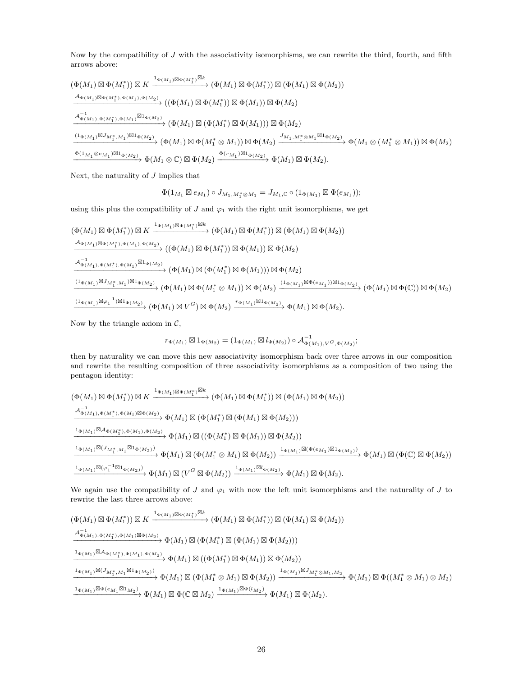Now by the compatibility of J with the associativity isomorphisms, we can rewrite the third, fourth, and fifth arrows above:

$$
\begin{split}\n&\left(\Phi(M_{1})\boxtimes\Phi(M_{1}^{*})\right)\boxtimes K\xrightarrow{1_{\Phi(M_{1}^{*})}\boxtimes k}\n\left(\Phi(M_{1})\boxtimes\Phi(M_{1}^{*})\boxtimes\left(\Phi(M_{1})\boxtimes\Phi(M_{2})\right)\right) \\
&\xrightarrow{\mathcal{A}_{\Phi(M_{1})}\boxtimes\Phi(M_{1}^{*}),\Phi(M_{1}),\Phi(M_{2})}\n\left(\left(\Phi(M_{1})\boxtimes\Phi(M_{1}^{*})\right)\boxtimes\Phi(M_{1})\right)\boxtimes\Phi(M_{2}) \\
&\xrightarrow{\mathcal{A}_{\Phi(M_{1})},\Phi(M_{1}^{*}),\Phi(M_{1})}\n\otimes\left(\Phi(M_{1})\boxtimes\Phi(M_{1}^{*})\boxtimes\Phi(M_{1})\right)\boxtimes\Phi(M_{2})\n\end{split}
$$
\n
$$
\begin{split}\n&\xrightarrow{1_{\Phi(M_{1})}\boxtimes\mathcal{A}_{\Phi(M_{1})},\Phi(M_{1})}\n\otimes\left(\Phi(M_{1})\boxtimes\Phi(M_{1}^{*})\boxtimes\Phi(M_{1})\right)\boxtimes\Phi(M_{2})\n\end{split}
$$
\n
$$
\xrightarrow{1_{\Phi(M_{1})}\boxtimes\mathcal{M}_{1}^{*},\mathcal{M}_{1}}\boxtimes\mathcal{A}_{\Phi(M_{2})}\n\left(\Phi(M_{1})\boxtimes\Phi(M_{1}^{*}\otimes M_{1})\right)\boxtimes\Phi(M_{2})\n\end{split}
$$
\n
$$
\xrightarrow{\mathcal{M}_{1},\mathcal{M}_{1}^{*}\otimes\mathcal{M}_{1}}\boxtimes\mathcal{A}_{\Phi(M_{1})}\boxtimes\Phi(M_{2})\n\end{split}
$$

Next, the naturality of  $J$  implies that

$$
\Phi(1_{M_1} \boxtimes e_{M_1}) \circ J_{M_1, M_1^* \otimes M_1} = J_{M_1, \mathbb{C}} \circ (1_{\Phi(M_1)} \boxtimes \Phi(e_{M_1}));
$$

using this plus the compatibility of J and  $\varphi_1$  with the right unit isomorphisms, we get

$$
\begin{split}\n&\left(\Phi(M_{1})\boxtimes\Phi(M_{1}^{*})\right)\boxtimes K\xrightarrow{1_{\Phi(M_{1})\boxtimes\Phi(M_{1}^{*})}\boxtimes k}\left(\Phi(M_{1})\boxtimes\Phi(M_{1}^{*})\right)\boxtimes\left(\Phi(M_{1})\boxtimes\Phi(M_{2})\right)\\&\xrightarrow{\mathcal{A}_{\Phi(M_{1})\boxtimes\Phi(M_{1}^{*}),\Phi(M_{1}),\Phi(M_{2})}}\left((\Phi(M_{1})\boxtimes\Phi(M_{1}^{*}))\boxtimes\Phi(M_{1})\right)\boxtimes\Phi(M_{2})\\&\xrightarrow{\mathcal{A}_{\Phi(M_{1}),\Phi(M_{1}^{*}),\Phi(M_{1})}\boxtimes 1_{\Phi(M_{2})}}\left(\Phi(M_{1})\boxtimes\left(\Phi(M_{1}^{*})\boxtimes\Phi(M_{1})\right)\boxtimes\Phi(M_{2})\right)\\&\xrightarrow{(1_{\Phi(M_{1})}\boxtimes J_{M_{1}^{*},M_{1}})\boxtimes 1_{\Phi(M_{2})}}\left(\Phi(M_{1})\boxtimes\Phi(M_{1}^{*}\otimes M_{1})\right)\boxtimes\Phi(M_{2})\xrightarrow{(1_{\Phi(M_{1})}\boxtimes\Phi(e_{M_{1}}))\boxtimes 1_{\Phi(M_{2})}}\left(\Phi(M_{1})\boxtimes\Phi(M_{2})\right)\\&\xrightarrow{(1_{\Phi(M_{1})}\boxtimes\varphi_{1}^{-1})\boxtimes 1_{\Phi(M_{2})}}\left(\Phi(M_{1})\boxtimes V^{G}\right)\boxtimes\Phi(M_{2})\xrightarrow{r_{\Phi(M_{1})}\boxtimes 1_{\Phi(M_{2})}}\Phi(M_{1})\boxtimes\Phi(M_{2}).\n\end{split}
$$

Now by the triangle axiom in  $C$ ,

$$
r_{\Phi(M_1)} \boxtimes 1_{\Phi(M_2)} = (1_{\Phi(M_1)} \boxtimes l_{\Phi(M_2)}) \circ \mathcal{A}_{\Phi(M_1),V^G,\Phi(M_2)}^{-1};
$$

then by naturality we can move this new associativity isomorphism back over three arrows in our composition and rewrite the resulting composition of three associativity isomorphisms as a composition of two using the pentagon identity:

$$
\begin{split} &(\Phi(M_1)\boxtimes \Phi(M_1^*))\boxtimes K \xrightarrow{1_{\Phi(M_1)\boxtimes \Phi(M_1^*)\boxtimes k}} (\Phi(M_1)\boxtimes \Phi(M_1^*))\boxtimes (\Phi(M_1)\boxtimes \Phi(M_2))\\ &\xrightarrow{A_{\Phi(M_1),\Phi(M_1^*),\Phi(M_1)\boxtimes \Phi(M_2)}} \Phi(M_1)\boxtimes (\Phi(M_1^*)\boxtimes (\Phi(M_1)\boxtimes \Phi(M_2)))\\ &\xrightarrow{1_{\Phi(M_1)}\boxtimes A_{\Phi(M_1^*),\Phi(M_1),\Phi(M_2)}} \Phi(M_1)\boxtimes ((\Phi(M_1^*)\boxtimes \Phi(M_1))\boxtimes \Phi(M_2))\\ &\xrightarrow{1_{\Phi(M_1)}\boxtimes (J_{M_1^*,M_1}\boxtimes 1_{\Phi(M_2)})} \Phi(M_1)\boxtimes (\Phi(M_1^*\otimes M_1)\boxtimes \Phi(M_2))\xrightarrow{1_{\Phi(M_1)}\boxtimes (\Phi(e_{M_1})\boxtimes 1_{\Phi(M_2)})} \Phi(M_1)\boxtimes (\Phi(\mathbb{C})\boxtimes \Phi(M_2))\\ &\xrightarrow{1_{\Phi(M_1)}\boxtimes (\varphi_1^{-1}\boxtimes 1_{\Phi(M_2)})} \Phi(M_1)\boxtimes (V^G\boxtimes \Phi(M_2))\xrightarrow{1_{\Phi(M_1)}\boxtimes 1_{\Phi(M_2)}} \Phi(M_1)\boxtimes \Phi(M_2). \end{split}
$$

We again use the compatibility of J and  $\varphi_1$  with now the left unit isomorphisms and the naturality of J to rewrite the last three arrows above:

$$
\begin{split} &(\Phi(M_1)\boxtimes \Phi(M_1^*))\boxtimes K\xrightarrow{1_{\Phi(M_1)\boxtimes \Phi(M_1^*)}\boxtimes k} (\Phi(M_1)\boxtimes \Phi(M_1^*))\boxtimes (\Phi(M_1)\boxtimes \Phi(M_2))\\ &\xrightarrow{A_{\Phi(M_1),\Phi(M_1^*),\Phi(M_1)\boxtimes \Phi(M_2)}} \Phi(M_1)\boxtimes (\Phi(M_1^*)\boxtimes (\Phi(M_1)\boxtimes \Phi(M_2)))\\ &\xrightarrow{1_{\Phi(M_1)}\boxtimes A_{\Phi(M_1^*),\Phi(M_1),\Phi(M_2)}} \Phi(M_1)\boxtimes ((\Phi(M_1^*)\boxtimes \Phi(M_1))\boxtimes \Phi(M_2))\\ &\xrightarrow{1_{\Phi(M_1)}\boxtimes (J_{M_1^*,M_1}\boxtimes 1_{\Phi(M_2)})} \Phi(M_1)\boxtimes (\Phi(M_1^*\otimes M_1)\boxtimes \Phi(M_2))\xrightarrow{1_{\Phi(M_1)}\boxtimes J_{M_1^*}\otimes M_1,M_2}} \Phi(M_1)\boxtimes \Phi((M_1^*\otimes M_1)\otimes M_2)\\ &\xrightarrow{1_{\Phi(M_1)}\boxtimes \Phi(e_{M_1}\boxtimes 1_{M_2})} \Phi(M_1)\boxtimes \Phi(\boxtimes M_2)\xrightarrow{1_{\Phi(M_1)}\boxtimes \Phi(M_2)} \Phi(M_1)\boxtimes \Phi(M_2). \end{split}
$$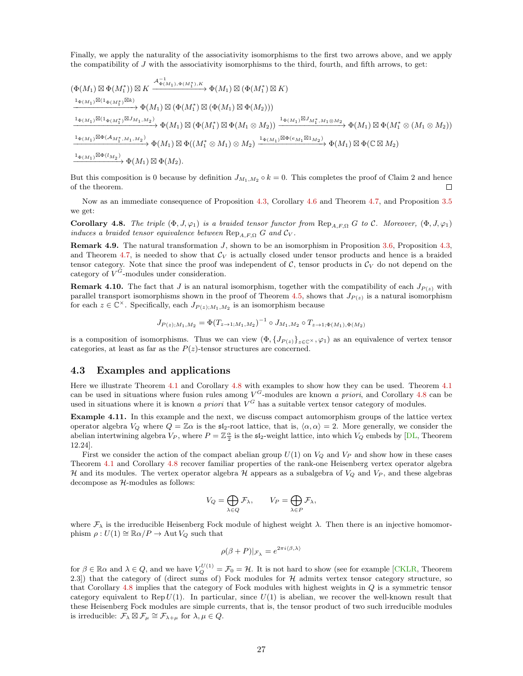Finally, we apply the naturality of the associativity isomorphisms to the first two arrows above, and we apply the compatibility of  $J$  with the associativity isomorphisms to the third, fourth, and fifth arrows, to get:

$$
\begin{split} &(\Phi(M_1)\boxtimes \Phi(M_1^*))\boxtimes K \xrightarrow{\mathcal{A}_{\Phi(M_1),\Phi(M_1^*),K}} \Phi(M_1)\boxtimes (\Phi(M_1^*)\boxtimes K)\\ &\xrightarrow{\mathbf{1}_{\Phi(M_1)}\boxtimes (\mathbf{1}_{\Phi(M_1^*)}\boxtimes k)} \Phi(M_1)\boxtimes (\Phi(M_1^*)\boxtimes (\Phi(M_1)\boxtimes \Phi(M_2)))\\ &\xrightarrow{\mathbf{1}_{\Phi(M_1)}\boxtimes (\mathbf{1}_{\Phi(M_1^*)}\boxtimes J_{M_1,M_2})} \Phi(M_1)\boxtimes (\Phi(M_1^*)\boxtimes \Phi(M_1\otimes M_2))\xrightarrow{\mathbf{1}_{\Phi(M_1)}\boxtimes J_{M_1^*,M_1\otimes M_2}} \Phi(M_1)\boxtimes \Phi(M_1^*\otimes (M_1\otimes M_2))\\ &\xrightarrow{\mathbf{1}_{\Phi(M_1)}\boxtimes \Phi(\mathcal{A}_{M_1^*,M_1,M_2})} \Phi(M_1)\boxtimes \Phi((M_1^*\otimes M_1)\otimes M_2)\xrightarrow{\mathbf{1}_{\Phi(M_1)}\boxtimes \Phi(e_{M_1}\boxtimes \mathbf{1}_{M_2})} \Phi(M_1)\boxtimes \Phi(\mathbb{C}\boxtimes M_2)\\ &\xrightarrow{\mathbf{1}_{\Phi(M_1)}\boxtimes \Phi(\mathcal{U}_{M_2})} \Phi(M_1)\boxtimes \Phi(M_2). \end{split}
$$

But this composition is 0 because by definition  $J_{M_1,M_2} \circ k = 0$ . This completes the proof of Claim 2 and hence of the theorem.  $\Box$ 

Now as an immediate consequence of Proposition [4.3,](#page-21-1) Corollary [4.6](#page-23-1) and Theorem [4.7,](#page-23-0) and Proposition [3.5](#page-17-2) we get:

<span id="page-26-1"></span>**Corollary 4.8.** The triple  $(\Phi, J, \varphi_1)$  is a braided tensor functor from  $\text{Rep}_{A,F,\Omega} G$  to C. Moreover,  $(\Phi, J, \varphi_1)$ induces a braided tensor equivalence between  $\text{Rep}_{A,F,\Omega} G$  and  $\mathcal{C}_V$ .

**Remark 4.9.** The natural transformation  $J$ , shown to be an isomorphism in Proposition [3.6,](#page-17-1) Proposition [4.3,](#page-21-1) and Theorem [4.7,](#page-23-0) is needed to show that  $\mathcal{C}_V$  is actually closed under tensor products and hence is a braided tensor category. Note that since the proof was independent of  $\mathcal{C}$ , tensor products in  $\mathcal{C}_V$  do not depend on the category of  $V^G$ -modules under consideration.

**Remark 4.10.** The fact that J is an natural isomorphism, together with the compatibility of each  $J_{P(z)}$  with parallel transport isomorphisms shown in the proof of Theorem [4.5,](#page-22-1) shows that  $J_{P(z)}$  is a natural isomorphism for each  $z \in \mathbb{C}^{\times}$ . Specifically, each  $J_{P(z);M_1,M_2}$  is an isomorphism because

$$
J_{P(z);M_1,M_2} = \Phi(T_{z \to 1;M_1,M_2})^{-1} \circ J_{M_1,M_2} \circ T_{z \to 1; \Phi(M_1), \Phi(M_2)}
$$

is a composition of isomorphisms. Thus we can view  $(\Phi, \{J_{P(z)}\}_{z\in\mathbb{C}^{\times}}, \varphi_1)$  as an equivalence of vertex tensor categories, at least as far as the  $P(z)$ -tensor structures are concerned.

### <span id="page-26-0"></span>4.3 Examples and applications

Here we illustrate Theorem [4.1](#page-18-3) and Corollary [4.8](#page-26-1) with examples to show how they can be used. Theorem [4.1](#page-18-3) can be used in situations where fusion rules among  $V^G$ -modules are known a priori, and Corollary [4.8](#page-26-1) can be used in situations where it is known a priori that  $V^G$  has a suitable vertex tensor category of modules.

Example 4.11. In this example and the next, we discuss compact automorphism groups of the lattice vertex operator algebra  $V_Q$  where  $Q = \mathbb{Z}\alpha$  is the  $\mathfrak{sl}_2$ -root lattice, that is,  $\langle \alpha, \alpha \rangle = 2$ . More generally, we consider the abelian intertwining algebra  $V_P$ , where  $P = \mathbb{Z}_2^{\alpha}$  is the  $\mathfrak{sl}_2$ -weight lattice, into which  $V_Q$  embeds by [\[DL,](#page-29-2) Theorem 12.24].

First we consider the action of the compact abelian group  $U(1)$  on  $V_Q$  and  $V_P$  and show how in these cases Theorem [4.1](#page-18-3) and Corollary [4.8](#page-26-1) recover familiar properties of the rank-one Heisenberg vertex operator algebra H and its modules. The vertex operator algebra H appears as a subalgebra of  $V_Q$  and  $V_P$ , and these algebras decompose as H-modules as follows:

$$
V_Q = \bigoplus_{\lambda \in Q} \mathcal{F}_{\lambda}, \qquad V_P = \bigoplus_{\lambda \in P} \mathcal{F}_{\lambda},
$$

where  $\mathcal{F}_{\lambda}$  is the irreducible Heisenberg Fock module of highest weight  $\lambda$ . Then there is an injective homomorphism  $\rho: U(1) \cong \mathbb{R} \alpha / P \to \text{Aut } V_Q$  such that

$$
\rho(\beta + P)|_{\mathcal{F}_{\lambda}} = e^{2\pi i \langle \beta, \lambda \rangle}
$$

for  $\beta \in \mathbb{R} \alpha$  and  $\lambda \in Q$ , and we have  $V_Q^{U(1)} = \mathcal{F}_0 = \mathcal{H}$ . It is not hard to show (see for example [\[CKLR,](#page-29-1) Theorem 2.3) that the category of (direct sums of) Fock modules for  $H$  admits vertex tensor category structure, so that Corollary [4.8](#page-26-1) implies that the category of Fock modules with highest weights in  $Q$  is a symmetric tensor category equivalent to Rep  $U(1)$ . In particular, since  $U(1)$  is abelian, we recover the well-known result that these Heisenberg Fock modules are simple currents, that is, the tensor product of two such irreducible modules is irreducible:  $\mathcal{F}_{\lambda} \boxtimes \mathcal{F}_{\mu} \cong \mathcal{F}_{\lambda+\mu}$  for  $\lambda, \mu \in Q$ .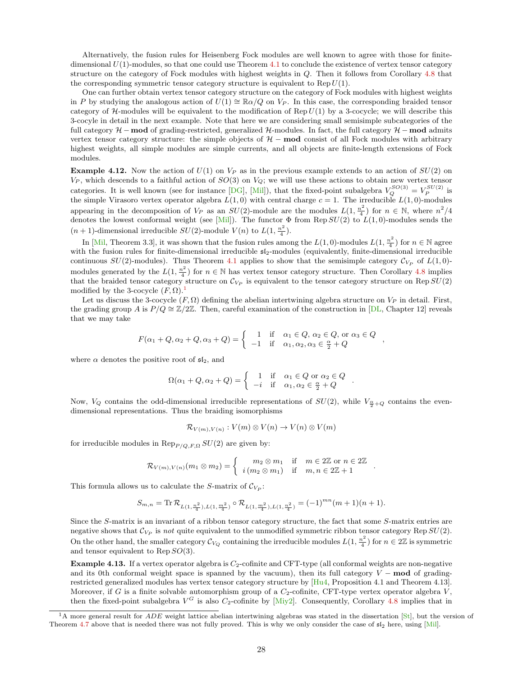Alternatively, the fusion rules for Heisenberg Fock modules are well known to agree with those for finitedimensional  $U(1)$ -modules, so that one could use Theorem [4.1](#page-18-3) to conclude the existence of vertex tensor category structure on the category of Fock modules with highest weights in Q. Then it follows from Corollary [4.8](#page-26-1) that the corresponding symmetric tensor category structure is equivalent to Rep  $U(1)$ .

One can further obtain vertex tensor category structure on the category of Fock modules with highest weights in P by studying the analogous action of  $U(1) \cong \mathbb{R} \alpha/Q$  on  $V_P$ . In this case, the corresponding braided tensor category of  $H$ -modules will be equivalent to the modification of Rep  $U(1)$  by a 3-cocycle; we will describe this 3-cocyle in detail in the next example. Note that here we are considering small semisimple subcategories of the full category  $H$  − mod of grading-restricted, generalized H-modules. In fact, the full category  $H$  − mod admits vertex tensor category structure: the simple objects of  $H$  – mod consist of all Fock modules with arbitrary highest weights, all simple modules are simple currents, and all objects are finite-length extensions of Fock modules.

**Example 4.12.** Now the action of  $U(1)$  on  $V_P$  as in the previous example extends to an action of  $SU(2)$  on  $V_P$ , which descends to a faithful action of  $SO(3)$  on  $V_Q$ ; we will use these actions to obtain new vertex tensor categories. It is well known (see for instance [\[DG\]](#page-29-7), [\[Mil\]](#page-31-12)), that the fixed-point subalgebra  $V_Q^{SO(3)} = V_P^{SU(2)}$  is the simple Virasoro vertex operator algebra  $L(1,0)$  with central charge  $c = 1$ . The irreducible  $L(1,0)$ -modules appearing in the decomposition of  $V_P$  as an  $SU(2)$ -module are the modules  $L(1, \frac{n^2}{4})$  $\frac{n^2}{4}$ ) for  $n \in \mathbb{N}$ , where  $n^2/4$ denotes the lowest conformal weight (see [\[Mil\]](#page-31-12)). The functor  $\Phi$  from Rep  $SU(2)$  to  $L(1,0)$ -modules sends the  $(n+1)$ -dimensional irreducible  $SU(2)$ -module  $V(n)$  to  $L(1, \frac{n^2}{4})$  $\frac{i}{4}$ ).

In [\[Mil,](#page-31-12) Theorem 3.3], it was shown that the fusion rules among the  $L(1,0)$ -modules  $L(1, \frac{n^2}{4})$  $\frac{n^2}{4}$ ) for  $n \in \mathbb{N}$  agree with the fusion rules for finite-dimensional irreducible  $sI_2$ -modules (equivalently, finite-dimensional irreducible continuous  $SU(2)$ -modules). Thus Theorem [4.1](#page-18-3) applies to show that the semisimple category  $\mathcal{C}_{V_P}$  of  $L(1,0)$ modules generated by the  $L(1, \frac{n^2}{4})$  $\frac{n^2}{4}$ ) for  $n \in \mathbb{N}$  has vertex tensor category structure. Then Corollary [4.8](#page-26-1) implies that the braided tensor category structure on  $\mathcal{C}_{V_P}$  is equivalent to the tensor category structure on Rep  $SU(2)$ modified by the 3-cocycle  $(F, \Omega)$ .<sup>[1](#page-27-0)</sup>

Let us discuss the 3-cocycle  $(F, \Omega)$  defining the abelian intertwining algebra structure on  $V_P$  in detail. First, the grading group A is  $P/Q \cong \mathbb{Z}/2\mathbb{Z}$ . Then, careful examination of the construction in [\[DL,](#page-29-2) Chapter 12] reveals that we may take

$$
F(\alpha_1 + Q, \alpha_2 + Q, \alpha_3 + Q) = \begin{cases} 1 & \text{if } \alpha_1 \in Q, \alpha_2 \in Q, \text{ or } \alpha_3 \in Q \\ -1 & \text{if } \alpha_1, \alpha_2, \alpha_3 \in \frac{\alpha}{2} + Q \end{cases}
$$

where  $\alpha$  denotes the positive root of  $\mathfrak{sl}_2$ , and

$$
\Omega(\alpha_1 + Q, \alpha_2 + Q) = \begin{cases} 1 & \text{if } \alpha_1 \in Q \text{ or } \alpha_2 \in Q \\ -i & \text{if } \alpha_1, \alpha_2 \in \frac{\alpha}{2} + Q \end{cases}
$$

.

Now,  $V_Q$  contains the odd-dimensional irreducible representations of  $SU(2)$ , while  $V_{\frac{\alpha}{2}+Q}$  contains the evendimensional representations. Thus the braiding isomorphisms

$$
\mathcal{R}_{V(m),V(n)}: V(m) \otimes V(n) \to V(n) \otimes V(m)
$$

for irreducible modules in  $\mathrm{Rep}_{P/Q,F,\Omega}$   $SU(2)$  are given by:

$$
\mathcal{R}_{V(m),V(n)}(m_1 \otimes m_2) = \begin{cases} m_2 \otimes m_1 & \text{if } m \in 2\mathbb{Z} \text{ or } n \in 2\mathbb{Z} \\ i (m_2 \otimes m_1) & \text{if } m, n \in 2\mathbb{Z} + 1 \end{cases}.
$$

This formula allows us to calculate the S-matrix of  $\mathcal{C}_{V_P}$ :

$$
S_{m,n} = \text{Tr}\,\mathcal{R}_{L(1,\frac{n^2}{4}),L(1,\frac{m^2}{4})} \circ \mathcal{R}_{L(1,\frac{m^2}{4}),L(1,\frac{n^2}{4})} = (-1)^{mn}(m+1)(n+1).
$$

Since the S-matrix is an invariant of a ribbon tensor category structure, the fact that some S-matrix entries are negative shows that  $\mathcal{C}_{V_P}$  is not quite equivalent to the unmodified symmetric ribbon tensor category Rep  $SU(2)$ . On the other hand, the smaller category  $\mathcal{C}_{V_Q}$  containing the irreducible modules  $L(1, \frac{n^2}{4})$  $\frac{n^2}{4}$ ) for  $n \in 2\mathbb{Z}$  is symmetric and tensor equivalent to Rep  $SO(3)$ .

**Example 4.13.** If a vertex operator algebra is  $C_2$ -cofinite and CFT-type (all conformal weights are non-negative and its 0th conformal weight space is spanned by the vacuum), then its full category  $V - \text{mod}$  of gradingrestricted generalized modules has vertex tensor category structure by [\[Hu4,](#page-30-2) Proposition 4.1 and Theorem 4.13]. Moreover, if G is a finite solvable automorphism group of a  $C_2$ -cofinite, CFT-type vertex operator algebra  $V$ , then the fixed-point subalgebra  $V^G$  is also  $C_2$ -cofinite by [\[Miy2\]](#page-31-3). Consequently, Corollary [4.8](#page-26-1) implies that in

<span id="page-27-0"></span><sup>&</sup>lt;sup>1</sup>A more general result for *ADE* weight lattice abelian intertwining algebras was stated in the dissertation [\[St\]](#page-31-13), but the version of Theorem [4.7](#page-23-0) above that is needed there was not fully proved. This is why we only consider the case of  $s_2$  here, using [\[Mil\]](#page-31-12).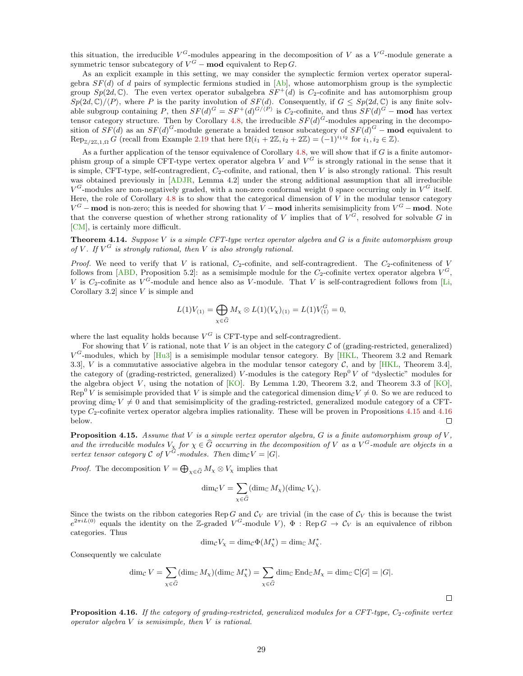this situation, the irreducible  $V^G$ -modules appearing in the decomposition of V as a  $V^G$ -module generate a symmetric tensor subcategory of  $V^G$  – mod equivalent to Rep G.

As an explicit example in this setting, we may consider the symplectic fermion vertex operator superalgebra  $SF(d)$  of d pairs of symplectic fermions studied in  $[Ab]$ , whose automorphism group is the symplectic group  $Sp(2d, \mathbb{C})$ . The even vertex operator subalgebra  $SF^+(d)$  is  $C_2$ -cofinite and has automorphism group  $Sp(2d,\mathbb{C})\setminus\langle P\rangle$ , where P is the parity involution of  $SF(d)$ . Consequently, if  $G \le Sp(2d,\mathbb{C})$  is any finite solvable subgroup containing P, then  $SF(d)^G = SF^+(d)^{G/(P)}$  is C<sub>2</sub>-cofinite, and thus  $SF(d)^G$  – mod has vertex tensor category structure. Then by Corollary [4.8,](#page-26-1) the irreducible  $SF(d)<sup>G</sup>$ -modules appearing in the decomposition of  $SF(d)$  as an  $SF(d)^G$ -module generate a braided tensor subcategory of  $SF(d)^G$  – mod equivalent to  $\text{Rep}_{\mathbb{Z}/2\mathbb{Z},1,\Omega} G$  (recall from Example [2.19](#page-11-0) that here  $\Omega(i_1 + 2\mathbb{Z}, i_2 + 2\mathbb{Z}) = (-1)^{i_1 i_2}$  for  $i_1, i_2 \in \mathbb{Z}$ ).

As a further application of the tensor equivalence of Corollary [4.8,](#page-26-1) we will show that if  $G$  is a finite automorphism group of a simple CFT-type vertex operator algebra V and  $V^G$  is strongly rational in the sense that it is simple, CFT-type, self-contragredient,  $C_2$ -cofinite, and rational, then V is also strongly rational. This result was obtained previously in [\[ADJR,](#page-29-3) Lemma 4.2] under the strong additional assumption that all irreducible  $V^G$ -modules are non-negatively graded, with a non-zero conformal weight 0 space occurring only in  $V^G$  itself. Here, the role of Corollary  $4.8$  is to show that the categorical dimension of V in the modular tensor category  $V^G$  – mod is non-zero; this is needed for showing that V – mod inherits semisimplicity from  $V^G$  – mod. Note that the converse question of whether strong rationality of V implies that of  $V^G$ , resolved for solvable G in [\[CM\]](#page-29-0), is certainly more difficult.

<span id="page-28-0"></span>**Theorem 4.14.** Suppose V is a simple CFT-type vertex operator algebra and G is a finite automorphism group of V. If  $V^G$  is strongly rational, then V is also strongly rational.

Proof. We need to verify that V is rational,  $C_2$ -cofinite, and self-contragredient. The  $C_2$ -cofiniteness of V follows from [\[ABD,](#page-29-9) Proposition 5.2]: as a semisimple module for the  $C_2$ -cofinite vertex operator algebra  $V^G$ , V is C<sub>2</sub>-cofinite as  $V^G$ -module and hence also as V-module. That V is self-contragredient follows from [\[Li,](#page-31-14) Corollary 3.2 since  $V$  is simple and

$$
L(1)V_{(1)} = \bigoplus_{\chi \in \widehat{G}} M_{\chi} \otimes L(1)(V_{\chi})_{(1)} = L(1)V_{(1)}^G = 0,
$$

where the last equality holds because  $V^G$  is CFT-type and self-contragredient.

For showing that V is rational, note that V is an object in the category  $\mathcal C$  of (grading-restricted, generalized)  $V^G$ -modules, which by  $[Hu3]$  is a semisimple modular tensor category. By [\[HKL,](#page-30-3) Theorem 3.2 and Remark 3.3], V is a commutative associative algebra in the modular tensor category C, and by [\[HKL,](#page-30-3) Theorem 3.4], the category of (grading-restricted, generalized) V-modules is the category  $\text{Rep}^0 V$  of "dyslectic" modules for the algebra object V, using the notation of [\[KO\]](#page-31-15). By Lemma 1.20, Theorem 3.2, and Theorem 3.3 of [KO], Rep<sup>0</sup> V is semisimple provided that V is simple and the categorical dimension dim<sub>C</sub>V  $\neq$  0. So we are reduced to proving dim<sub>C</sub> V  $\neq$  0 and that semisimplicity of the grading-restricted, generalized module category of a CFTtype  $C_2$ -cofinite vertex operator algebra implies rationality. These will be proven in Propositions [4.15](#page-28-1) and [4.16](#page-28-2) below.  $\Box$ 

<span id="page-28-1"></span>**Proposition 4.15.** Assume that V is a simple vertex operator algebra, G is a finite automorphism group of V, and the irreducible modules  $V_{\chi}$  for  $\chi \in \widehat{G}$  occurring in the decomposition of V as a  $V^G$ -module are objects in a vertex tensor category C of  $V^G$ -modules. Then  $\dim_{\mathcal{C}} V = |G|$ .

*Proof.* The decomposition  $V = \bigoplus_{\chi \in \widehat{G}} M_{\chi} \otimes V_{\chi}$  implies that

$$
\dim_{\mathcal{C}} V = \sum_{\chi \in \widehat{G}} (\dim_{\mathbb{C}} M_{\chi})(\dim_{\mathcal{C}} V_{\chi}).
$$

Since the twists on the ribbon categories Rep G and  $\mathcal{C}_V$  are trivial (in the case of  $\mathcal{C}_V$  this is because the twist  $e^{2\pi i L(0)}$  equals the identity on the Z-graded  $V^G$ -module V),  $\Phi$ : Rep  $G \to C_V$  is an equivalence of ribbon categories. Thus

$$
\dim_{\mathcal{C}} V_{\chi} = \dim_{\mathcal{C}} \Phi(M_{\chi}^*) = \dim_{\mathbb{C}} M_{\chi}^*.
$$

Consequently we calculate

$$
\dim_{\mathcal{C}} V = \sum_{\chi \in \widehat{G}} (\dim_{\mathbb{C}} M_{\chi})(\dim_{\mathbb{C}} M_{\chi}^*) = \sum_{\chi \in \widehat{G}} \dim_{\mathbb{C}} \text{End}_{\mathbb{C}} M_{\chi} = \dim_{\mathbb{C}} \mathbb{C}[G] = |G|.
$$

 $\Box$ 

<span id="page-28-2"></span>**Proposition 4.16.** If the category of grading-restricted, generalized modules for a CFT-type,  $C_2$ -cofinite vertex operator algebra  $V$  is semisimple, then  $V$  is rational.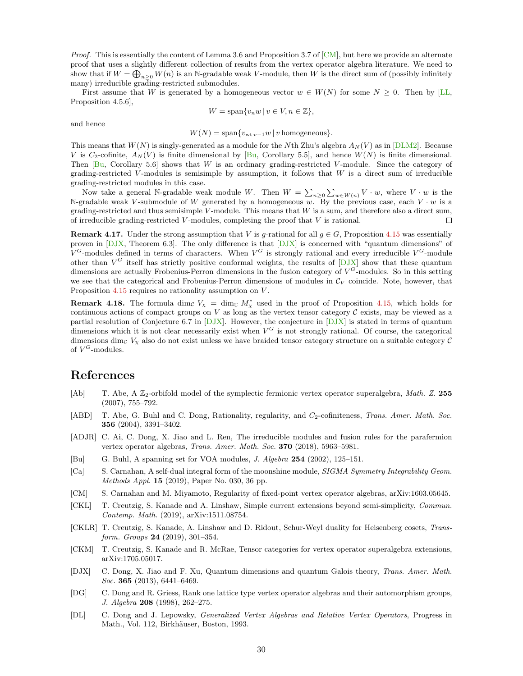*Proof.* This is essentially the content of Lemma 3.6 and Proposition 3.7 of  $[CM]$ , but here we provide an alternate proof that uses a slightly different collection of results from the vertex operator algebra literature. We need to show that if  $W = \bigoplus_{n \geq 0} W(n)$  is an N-gradable weak V-module, then W is the direct sum of (possibly infinitely many) irreducible grading-restricted submodules.

First assume that W is generated by a homogeneous vector  $w \in W(N)$  for some  $N \geq 0$ . Then by [\[LL,](#page-31-9) Proposition 4.5.6],

$$
W = \text{span}\{v_n w \mid v \in V, n \in \mathbb{Z}\},\
$$

and hence

$$
W(N) = \text{span}\{v_{\text{wt }v-1}w \mid v \text{ homogeneous}\}.
$$

This means that  $W(N)$  is singly-generated as a module for the Nth Zhu's algebra  $A_N(V)$  as in [\[DLM2\]](#page-30-20). Because V is C<sub>2</sub>-cofinite,  $A_N(V)$  is finite dimensional by [\[Bu,](#page-29-10) Corollary 5.5], and hence  $W(N)$  is finite dimensional. Then  $[Bu, Corollary 5.6]$  $[Bu, Corollary 5.6]$  shows that W is an ordinary grading-restricted V-module. Since the category of grading-restricted V-modules is semisimple by assumption, it follows that  $W$  is a direct sum of irreducible grading-restricted modules in this case.

Now take a general N-gradable weak module W. Then  $W = \sum_{n\geq 0} \sum_{w\in W(n)} V \cdot w$ , where  $V \cdot w$  is the N-gradable weak V-submodule of W generated by a homogeneous  $w$ . By the previous case, each  $V \cdot w$  is a grading-restricted and thus semisimple  $V$ -module. This means that  $W$  is a sum, and therefore also a direct sum, of irreducible grading-restricted  $V$ -modules, completing the proof that  $V$  is rational.  $\Box$ 

**Remark 4.17.** Under the strong assumption that V is g-rational for all  $g \in G$ , Proposition [4.15](#page-28-1) was essentially proven in [\[DJX,](#page-29-11) Theorem 6.3]. The only difference is that [\[DJX\]](#page-29-11) is concerned with "quantum dimensions" of  $V^G$ -modules defined in terms of characters. When  $V^G$  is strongly rational and every irreducible  $V^G$ -module other than  $V^G$  itself has strictly positive conformal weights, the results of  $[DJX]$  show that these quantum dimensions are actually Frobenius-Perron dimensions in the fusion category of  $V^G$ -modules. So in this setting we see that the categorical and Frobenius-Perron dimensions of modules in  $C_V$  coincide. Note, however, that Proposition [4.15](#page-28-1) requires no rationality assumption on V.

**Remark 4.18.** The formula dim<sub>C</sub>  $V_\chi = \dim_{\mathbb{C}} M_\chi^*$  used in the proof of Proposition [4.15,](#page-28-1) which holds for continuous actions of compact groups on  $V$  as long as the vertex tensor category  $\mathcal C$  exists, may be viewed as a partial resolution of Conjecture 6.7 in  $[DJX]$ . However, the conjecture in  $[DJX]$  is stated in terms of quantum dimensions which it is not clear necessarily exist when  $V^G$  is not strongly rational. Of course, the categorical dimensions dimc  $V_x$  also do not exist unless we have braided tensor category structure on a suitable category  $C$ of  $V^G$ -modules.

## References

- <span id="page-29-8"></span>[Ab] T. Abe, A  $\mathbb{Z}_2$ -orbifold model of the symplectic fermionic vertex operator superalgebra, Math. Z. 255 (2007), 755–792.
- <span id="page-29-9"></span>[ABD] T. Abe, G. Buhl and C. Dong, Rationality, regularity, and  $C_2$ -cofiniteness, Trans. Amer. Math. Soc. 356 (2004), 3391–3402.
- <span id="page-29-3"></span>[ADJR] C. Ai, C. Dong, X. Jiao and L. Ren, The irreducible modules and fusion rules for the parafermion vertex operator algebras, Trans. Amer. Math. Soc. 370 (2018), 5963–5981.
- <span id="page-29-10"></span>[Bu] G. Buhl, A spanning set for VOA modules, J. Algebra 254 (2002), 125–151.
- <span id="page-29-6"></span>[Ca] S. Carnahan, A self-dual integral form of the moonshine module, SIGMA Symmetry Integrability Geom. Methods Appl. 15 (2019), Paper No. 030, 36 pp.
- <span id="page-29-0"></span>[CM] S. Carnahan and M. Miyamoto, Regularity of fixed-point vertex operator algebras, arXiv:1603.05645.
- <span id="page-29-5"></span>[CKL] T. Creutzig, S. Kanade and A. Linshaw, Simple current extensions beyond semi-simplicity, Commun. Contemp. Math. (2019), arXiv:1511.08754.
- <span id="page-29-1"></span>[CKLR] T. Creutzig, S. Kanade, A. Linshaw and D. Ridout, Schur-Weyl duality for Heisenberg cosets, Transform. Groups **24** (2019), 301-354.
- <span id="page-29-4"></span>[CKM] T. Creutzig, S. Kanade and R. McRae, Tensor categories for vertex operator superalgebra extensions, arXiv:1705.05017.
- <span id="page-29-11"></span>[DJX] C. Dong, X. Jiao and F. Xu, Quantum dimensions and quantum Galois theory, Trans. Amer. Math. Soc. **365** (2013), 6441-6469.
- <span id="page-29-7"></span>[DG] C. Dong and R. Griess, Rank one lattice type vertex operator algebras and their automorphism groups, J. Algebra 208 (1998), 262–275.
- <span id="page-29-2"></span>[DL] C. Dong and J. Lepowsky, Generalized Vertex Algebras and Relative Vertex Operators, Progress in Math., Vol. 112, Birkhäuser, Boston, 1993.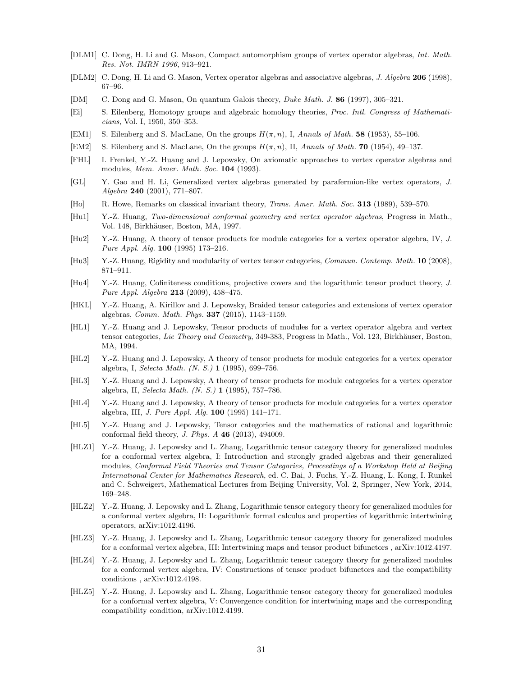- <span id="page-30-0"></span>[DLM1] C. Dong, H. Li and G. Mason, Compact automorphism groups of vertex operator algebras, Int. Math. Res. Not. IMRN 1996, 913–921.
- <span id="page-30-20"></span>[DLM2] C. Dong, H. Li and G. Mason, Vertex operator algebras and associative algebras, J. Algebra 206 (1998), 67–96.
- <span id="page-30-9"></span>[DM] C. Dong and G. Mason, On quantum Galois theory, Duke Math. J. 86 (1997), 305–321.
- <span id="page-30-14"></span>[Ei] S. Eilenberg, Homotopy groups and algebraic homology theories, Proc. Intl. Congress of Mathematicians, Vol. I, 1950, 350–353.
- <span id="page-30-15"></span>[EM1] S. Eilenberg and S. MacLane, On the groups  $H(\pi, n)$ , I, Annals of Math. 58 (1953), 55–106.
- <span id="page-30-16"></span>[EM2] S. Eilenberg and S. MacLane, On the groups  $H(\pi, n)$ , II, Annals of Math. **70** (1954), 49–137.
- <span id="page-30-18"></span>[FHL] I. Frenkel, Y.-Z. Huang and J. Lepowsky, On axiomatic approaches to vertex operator algebras and modules, *Mem. Amer. Math. Soc.* **104** (1993).
- <span id="page-30-17"></span>[GL] Y. Gao and H. Li, Generalized vertex algebras generated by parafermion-like vertex operators, J. Algebra 240 (2001), 771–807.
- <span id="page-30-19"></span>[Ho] R. Howe, Remarks on classical invariant theory, Trans. Amer. Math. Soc. 313 (1989), 539–570.
- <span id="page-30-12"></span>[Hu1] Y.-Z. Huang, Two-dimensional conformal geometry and vertex operator algebras, Progress in Math., Vol. 148, Birkhäuser, Boston, MA, 1997.
- <span id="page-30-6"></span>[Hu2] Y.-Z. Huang, A theory of tensor products for module categories for a vertex operator algebra, IV, J. Pure Appl. Alg. 100 (1995) 173–216.
- <span id="page-30-1"></span>[Hu3] Y.-Z. Huang, Rigidity and modularity of vertex tensor categories, Commun. Contemp. Math. 10 (2008), 871–911.
- <span id="page-30-2"></span>[Hu4] Y.-Z. Huang, Cofiniteness conditions, projective covers and the logarithmic tensor product theory, J. Pure Appl. Algebra 213 (2009), 458–475.
- <span id="page-30-3"></span>[HKL] Y.-Z. Huang, A. Kirillov and J. Lepowsky, Braided tensor categories and extensions of vertex operator algebras, Comm. Math. Phys. 337 (2015), 1143–1159.
- <span id="page-30-4"></span>[HL1] Y.-Z. Huang and J. Lepowsky, Tensor products of modules for a vertex operator algebra and vertex tensor categories, Lie Theory and Geometry, 349-383, Progress in Math., Vol. 123, Birkhäuser, Boston, MA, 1994.
- <span id="page-30-11"></span>[HL2] Y.-Z. Huang and J. Lepowsky, A theory of tensor products for module categories for a vertex operator algebra, I, Selecta Math. (N. S.) 1 (1995), 699–756.
- [HL3] Y.-Z. Huang and J. Lepowsky, A theory of tensor products for module categories for a vertex operator algebra, II, Selecta Math. (N. S.) 1 (1995), 757–786.
- <span id="page-30-5"></span>[HL4] Y.-Z. Huang and J. Lepowsky, A theory of tensor products for module categories for a vertex operator algebra, III, J. Pure Appl. Alg. 100 (1995) 141–171.
- <span id="page-30-8"></span>[HL5] Y.-Z. Huang and J. Lepowsky, Tensor categories and the mathematics of rational and logarithmic conformal field theory, J. Phys. A 46 (2013), 494009.
- <span id="page-30-7"></span>[HLZ1] Y.-Z. Huang, J. Lepowsky and L. Zhang, Logarithmic tensor category theory for generalized modules for a conformal vertex algebra, I: Introduction and strongly graded algebras and their generalized modules, Conformal Field Theories and Tensor Categories, Proceedings of a Workshop Held at Beijing International Center for Mathematics Research, ed. C. Bai, J. Fuchs, Y.-Z. Huang, L. Kong, I. Runkel and C. Schweigert, Mathematical Lectures from Beijing University, Vol. 2, Springer, New York, 2014, 169–248.
- [HLZ2] Y.-Z. Huang, J. Lepowsky and L. Zhang, Logarithmic tensor category theory for generalized modules for a conformal vertex algebra, II: Logarithmic formal calculus and properties of logarithmic intertwining operators, arXiv:1012.4196.
- <span id="page-30-13"></span>[HLZ3] Y.-Z. Huang, J. Lepowsky and L. Zhang, Logarithmic tensor category theory for generalized modules for a conformal vertex algebra, III: Intertwining maps and tensor product bifunctors , arXiv:1012.4197.
- [HLZ4] Y.-Z. Huang, J. Lepowsky and L. Zhang, Logarithmic tensor category theory for generalized modules for a conformal vertex algebra, IV: Constructions of tensor product bifunctors and the compatibility conditions , arXiv:1012.4198.
- <span id="page-30-10"></span>[HLZ5] Y.-Z. Huang, J. Lepowsky and L. Zhang, Logarithmic tensor category theory for generalized modules for a conformal vertex algebra, V: Convergence condition for intertwining maps and the corresponding compatibility condition, arXiv:1012.4199.